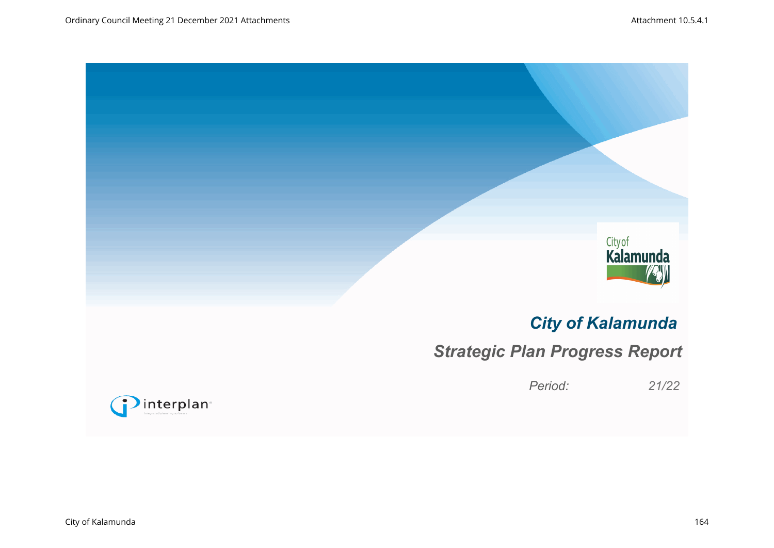

# *City of Kalamunda*

# *Strategic Plan Progress Report*

*Period: 21/22*

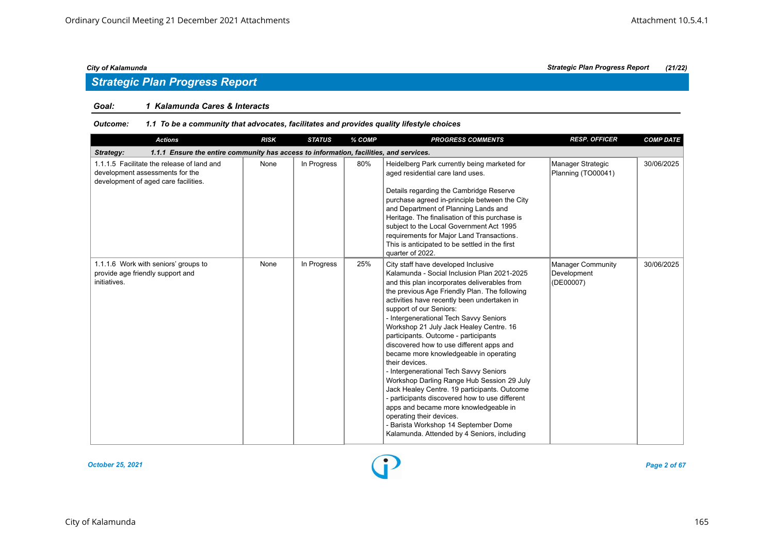## *Strategic Plan Progress Report*

### *Goal: 1 Kalamunda Cares & Interacts*

| <b>Actions</b>                                                                                                        | <b>RISK</b> | <b>STATUS</b> | % COMP | <b>PROGRESS COMMENTS</b>                                                                                                                                                                                                                                                                                                                                                                                                                                                                                                                                                                                                                                                                                                                                                                                                                                 | <b>RESP. OFFICER</b>                          | <b>COMP DATE</b> |  |  |  |  |
|-----------------------------------------------------------------------------------------------------------------------|-------------|---------------|--------|----------------------------------------------------------------------------------------------------------------------------------------------------------------------------------------------------------------------------------------------------------------------------------------------------------------------------------------------------------------------------------------------------------------------------------------------------------------------------------------------------------------------------------------------------------------------------------------------------------------------------------------------------------------------------------------------------------------------------------------------------------------------------------------------------------------------------------------------------------|-----------------------------------------------|------------------|--|--|--|--|
| 1.1.1 Ensure the entire community has access to information, facilities, and services.<br>Strategy:                   |             |               |        |                                                                                                                                                                                                                                                                                                                                                                                                                                                                                                                                                                                                                                                                                                                                                                                                                                                          |                                               |                  |  |  |  |  |
| 1.1.1.5 Facilitate the release of land and<br>development assessments for the<br>development of aged care facilities. | None        | In Progress   | 80%    | Heidelberg Park currently being marketed for<br>aged residential care land uses.<br>Details regarding the Cambridge Reserve<br>purchase agreed in-principle between the City<br>and Department of Planning Lands and<br>Heritage. The finalisation of this purchase is<br>subject to the Local Government Act 1995<br>requirements for Major Land Transactions.<br>This is anticipated to be settled in the first<br>quarter of 2022.                                                                                                                                                                                                                                                                                                                                                                                                                    | Manager Strategic<br>Planning (TO00041)       | 30/06/2025       |  |  |  |  |
| 1.1.1.6 Work with seniors' groups to<br>provide age friendly support and<br>initiatives.                              | None        | In Progress   | 25%    | City staff have developed Inclusive<br>Kalamunda - Social Inclusion Plan 2021-2025<br>and this plan incorporates deliverables from<br>the previous Age Friendly Plan. The following<br>activities have recently been undertaken in<br>support of our Seniors:<br>- Intergenerational Tech Savvy Seniors<br>Workshop 21 July Jack Healey Centre. 16<br>participants. Outcome - participants<br>discovered how to use different apps and<br>became more knowledgeable in operating<br>their devices.<br>- Intergenerational Tech Savvy Seniors<br>Workshop Darling Range Hub Session 29 July<br>Jack Healey Centre. 19 participants. Outcome<br>- participants discovered how to use different<br>apps and became more knowledgeable in<br>operating their devices.<br>- Barista Workshop 14 September Dome<br>Kalamunda. Attended by 4 Seniors, including | Manager Community<br>Development<br>(DE00007) | 30/06/2025       |  |  |  |  |

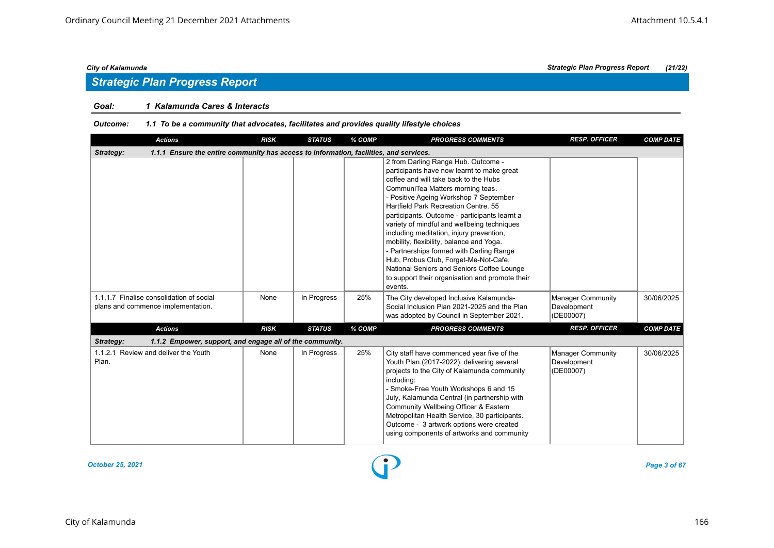## *Strategic Plan Progress Report*

### *Goal: 1 Kalamunda Cares & Interacts*

| <b>Actions</b>                                                                                      | <b>RISK</b> | <b>STATUS</b> | % COMP | <b>PROGRESS COMMENTS</b>                                                                                                                                                                                                                                                                                                                                                                                                                                                                                                                                                                                                                  | <b>RESP. OFFICER</b>                                 | <b>COMP DATE</b> |  |  |  |
|-----------------------------------------------------------------------------------------------------|-------------|---------------|--------|-------------------------------------------------------------------------------------------------------------------------------------------------------------------------------------------------------------------------------------------------------------------------------------------------------------------------------------------------------------------------------------------------------------------------------------------------------------------------------------------------------------------------------------------------------------------------------------------------------------------------------------------|------------------------------------------------------|------------------|--|--|--|
| 1.1.1 Ensure the entire community has access to information, facilities, and services.<br>Strategy: |             |               |        |                                                                                                                                                                                                                                                                                                                                                                                                                                                                                                                                                                                                                                           |                                                      |                  |  |  |  |
|                                                                                                     |             |               |        | 2 from Darling Range Hub. Outcome -<br>participants have now learnt to make great<br>coffee and will take back to the Hubs<br>CommuniTea Matters morning teas.<br>- Positive Ageing Workshop 7 September<br>Hartfield Park Recreation Centre, 55<br>participants. Outcome - participants learnt a<br>variety of mindful and wellbeing techniques<br>including meditation, injury prevention,<br>mobility, flexibility, balance and Yoga.<br>- Partnerships formed with Darling Range<br>Hub, Probus Club, Forget-Me-Not-Cafe,<br>National Seniors and Seniors Coffee Lounge<br>to support their organisation and promote their<br>events. |                                                      |                  |  |  |  |
| 1.1.1.7 Finalise consolidation of social<br>plans and commence implementation.                      | None        | In Progress   | 25%    | The City developed Inclusive Kalamunda-<br>Social Inclusion Plan 2021-2025 and the Plan<br>was adopted by Council in September 2021.                                                                                                                                                                                                                                                                                                                                                                                                                                                                                                      | <b>Manager Community</b><br>Development<br>(DE00007) | 30/06/2025       |  |  |  |
| <b>Actions</b>                                                                                      | <b>RISK</b> | <b>STATUS</b> | % COMP | <b>PROGRESS COMMENTS</b>                                                                                                                                                                                                                                                                                                                                                                                                                                                                                                                                                                                                                  | <b>RESP. OFFICER</b>                                 | <b>COMP DATE</b> |  |  |  |
| Strategy:<br>1.1.2 Empower, support, and engage all of the community.                               |             |               |        |                                                                                                                                                                                                                                                                                                                                                                                                                                                                                                                                                                                                                                           |                                                      |                  |  |  |  |
| 1.1.2.1 Review and deliver the Youth<br>Plan.                                                       | None        | In Progress   | 25%    | City staff have commenced year five of the<br>Youth Plan (2017-2022), delivering several<br>projects to the City of Kalamunda community<br>including:<br>- Smoke-Free Youth Workshops 6 and 15<br>July, Kalamunda Central (in partnership with<br>Community Wellbeing Officer & Eastern<br>Metropolitan Health Service, 30 participants.<br>Outcome - 3 artwork options were created<br>using components of artworks and community                                                                                                                                                                                                        | <b>Manager Community</b><br>Development<br>(DE00007) | 30/06/2025       |  |  |  |

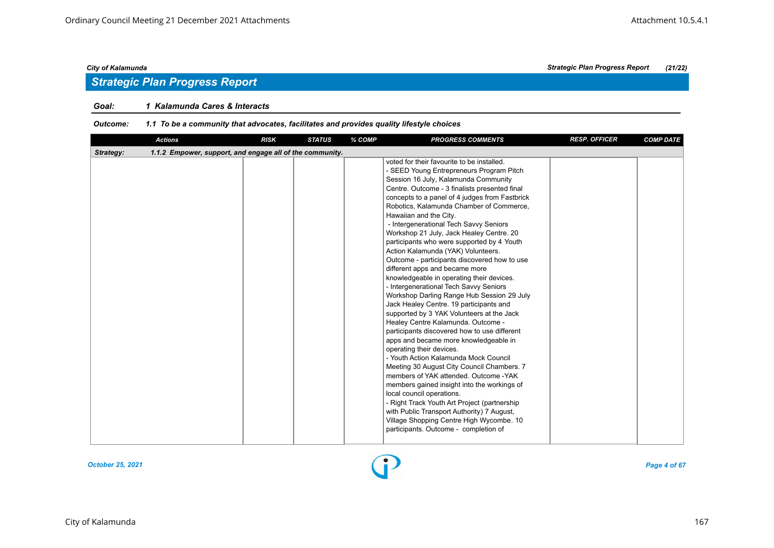## *Strategic Plan Progress Report*

### *Goal: 1 Kalamunda Cares & Interacts*

| <b>Actions</b>                                                        | <b>RISK</b> | <b>STATUS</b> | % COMP | <b>PROGRESS COMMENTS</b>                                                                                                                                                                                                                                                                                                                                                                                                                                                                                                                                                                                                                                                                                                                                                                                                                                                                                                                                                                                                                                                                                                                                                                                                                                                                                                                                    | <b>RESP. OFFICER</b> | <b>COMP DATE</b> |
|-----------------------------------------------------------------------|-------------|---------------|--------|-------------------------------------------------------------------------------------------------------------------------------------------------------------------------------------------------------------------------------------------------------------------------------------------------------------------------------------------------------------------------------------------------------------------------------------------------------------------------------------------------------------------------------------------------------------------------------------------------------------------------------------------------------------------------------------------------------------------------------------------------------------------------------------------------------------------------------------------------------------------------------------------------------------------------------------------------------------------------------------------------------------------------------------------------------------------------------------------------------------------------------------------------------------------------------------------------------------------------------------------------------------------------------------------------------------------------------------------------------------|----------------------|------------------|
| 1.1.2 Empower, support, and engage all of the community.<br>Strategy: |             |               |        |                                                                                                                                                                                                                                                                                                                                                                                                                                                                                                                                                                                                                                                                                                                                                                                                                                                                                                                                                                                                                                                                                                                                                                                                                                                                                                                                                             |                      |                  |
|                                                                       |             |               |        | voted for their favourite to be installed.<br>- SEED Young Entrepreneurs Program Pitch<br>Session 16 July, Kalamunda Community<br>Centre. Outcome - 3 finalists presented final<br>concepts to a panel of 4 judges from Fastbrick<br>Robotics, Kalamunda Chamber of Commerce,<br>Hawaiian and the City.<br>- Intergenerational Tech Savvy Seniors<br>Workshop 21 July, Jack Healey Centre. 20<br>participants who were supported by 4 Youth<br>Action Kalamunda (YAK) Volunteers.<br>Outcome - participants discovered how to use<br>different apps and became more<br>knowledgeable in operating their devices.<br>- Intergenerational Tech Savvy Seniors<br>Workshop Darling Range Hub Session 29 July<br>Jack Healey Centre. 19 participants and<br>supported by 3 YAK Volunteers at the Jack<br>Healey Centre Kalamunda. Outcome -<br>participants discovered how to use different<br>apps and became more knowledgeable in<br>operating their devices.<br>- Youth Action Kalamunda Mock Council<br>Meeting 30 August City Council Chambers. 7<br>members of YAK attended. Outcome - YAK<br>members gained insight into the workings of<br>local council operations.<br>- Right Track Youth Art Project (partnership<br>with Public Transport Authority) 7 August,<br>Village Shopping Centre High Wycombe. 10<br>participants. Outcome - completion of |                      |                  |

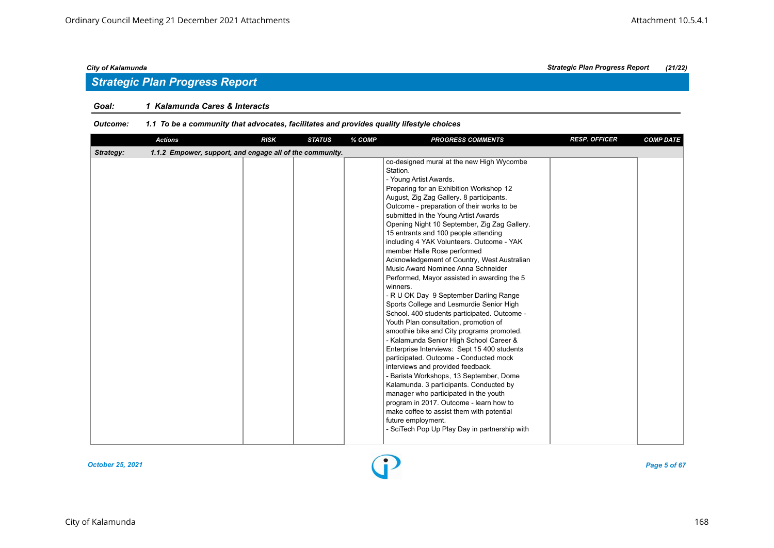## *Strategic Plan Progress Report*

### *Goal: 1 Kalamunda Cares & Interacts*

| <b>Actions</b>                                                        | <b>RISK</b> | <b>STATUS</b> | % COMP | <b>PROGRESS COMMENTS</b>                                                                                                                                                                                                                                                                                                                                                                                                                                                                                                                                                                                                                                                                                                                                                                                                                                                                                                                                                                                                                                                                                                                                                                                                                                                            | <b>RESP. OFFICER</b> | <b>COMP DATE</b> |
|-----------------------------------------------------------------------|-------------|---------------|--------|-------------------------------------------------------------------------------------------------------------------------------------------------------------------------------------------------------------------------------------------------------------------------------------------------------------------------------------------------------------------------------------------------------------------------------------------------------------------------------------------------------------------------------------------------------------------------------------------------------------------------------------------------------------------------------------------------------------------------------------------------------------------------------------------------------------------------------------------------------------------------------------------------------------------------------------------------------------------------------------------------------------------------------------------------------------------------------------------------------------------------------------------------------------------------------------------------------------------------------------------------------------------------------------|----------------------|------------------|
| 1.1.2 Empower, support, and engage all of the community.<br>Strategy: |             |               |        |                                                                                                                                                                                                                                                                                                                                                                                                                                                                                                                                                                                                                                                                                                                                                                                                                                                                                                                                                                                                                                                                                                                                                                                                                                                                                     |                      |                  |
|                                                                       |             |               |        | co-designed mural at the new High Wycombe<br>Station.<br>- Young Artist Awards.<br>Preparing for an Exhibition Workshop 12<br>August, Zig Zag Gallery. 8 participants.<br>Outcome - preparation of their works to be<br>submitted in the Young Artist Awards<br>Opening Night 10 September, Zig Zag Gallery.<br>15 entrants and 100 people attending<br>including 4 YAK Volunteers. Outcome - YAK<br>member Halle Rose performed<br>Acknowledgement of Country, West Australian<br>Music Award Nominee Anna Schneider<br>Performed, Mayor assisted in awarding the 5<br>winners.<br>- R U OK Day 9 September Darling Range<br>Sports College and Lesmurdie Senior High<br>School. 400 students participated. Outcome -<br>Youth Plan consultation, promotion of<br>smoothie bike and City programs promoted.<br>- Kalamunda Senior High School Career &<br>Enterprise Interviews: Sept 15 400 students<br>participated. Outcome - Conducted mock<br>interviews and provided feedback.<br>- Barista Workshops, 13 September, Dome<br>Kalamunda. 3 participants. Conducted by<br>manager who participated in the youth<br>program in 2017. Outcome - learn how to<br>make coffee to assist them with potential<br>future employment.<br>- SciTech Pop Up Play Day in partnership with |                      |                  |

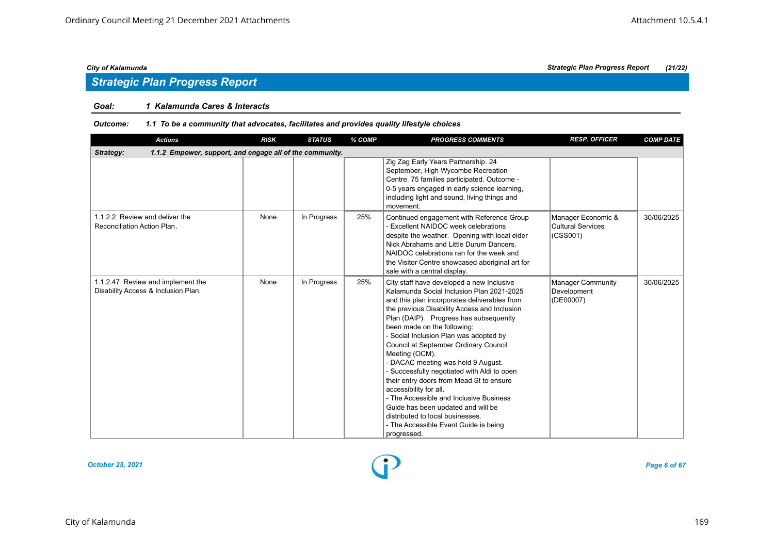## *Strategic Plan Progress Report*

### *Goal: 1 Kalamunda Cares & Interacts*

| <b>Actions</b>                                                           | <b>RISK</b> | <b>STATUS</b> | % COMP | <b>PROGRESS COMMENTS</b>                                                                                                                                                                                                                                                                                                                                                                                                                                                                                                                                                                                                                                                                                     | <b>RESP. OFFICER</b>                                       | <b>COMP DATE</b> |  |  |  |  |
|--------------------------------------------------------------------------|-------------|---------------|--------|--------------------------------------------------------------------------------------------------------------------------------------------------------------------------------------------------------------------------------------------------------------------------------------------------------------------------------------------------------------------------------------------------------------------------------------------------------------------------------------------------------------------------------------------------------------------------------------------------------------------------------------------------------------------------------------------------------------|------------------------------------------------------------|------------------|--|--|--|--|
| Strategy:<br>1.1.2 Empower, support, and engage all of the community.    |             |               |        |                                                                                                                                                                                                                                                                                                                                                                                                                                                                                                                                                                                                                                                                                                              |                                                            |                  |  |  |  |  |
|                                                                          |             |               |        | Zig Zag Early Years Partnership. 24<br>September, High Wycombe Recreation<br>Centre. 75 families participated. Outcome -<br>0-5 years engaged in early science learning,<br>including light and sound, living things and<br>movement.                                                                                                                                                                                                                                                                                                                                                                                                                                                                        |                                                            |                  |  |  |  |  |
| 1.1.2.2 Review and deliver the<br>Reconciliation Action Plan.            | None        | In Progress   | 25%    | Continued engagement with Reference Group<br>- Excellent NAIDOC week celebrations<br>despite the weather. Opening with local elder<br>Nick Abrahams and Little Durum Dancers.<br>NAIDOC celebrations ran for the week and<br>the Visitor Centre showcased aboriginal art for<br>sale with a central display.                                                                                                                                                                                                                                                                                                                                                                                                 | Manager Economic &<br><b>Cultural Services</b><br>(CSS001) | 30/06/2025       |  |  |  |  |
| 1.1.2.47 Review and implement the<br>Disability Access & Inclusion Plan. | None        | In Progress   | 25%    | City staff have developed a new Inclusive<br>Kalamunda Social Inclusion Plan 2021-2025<br>and this plan incorporates deliverables from<br>the previous Disability Access and Inclusion<br>Plan (DAIP). Progress has subsequently<br>been made on the following:<br>- Social Inclusion Plan was adopted by<br>Council at September Ordinary Council<br>Meeting (OCM).<br>- DACAC meeting was held 9 August.<br>- Successfully negotiated with Aldi to open<br>their entry doors from Mead St to ensure<br>accessibility for all.<br>- The Accessible and Inclusive Business<br>Guide has been updated and will be<br>distributed to local businesses.<br>- The Accessible Event Guide is being<br>progressed. | <b>Manager Community</b><br>Development<br>(DE00007)       | 30/06/2025       |  |  |  |  |

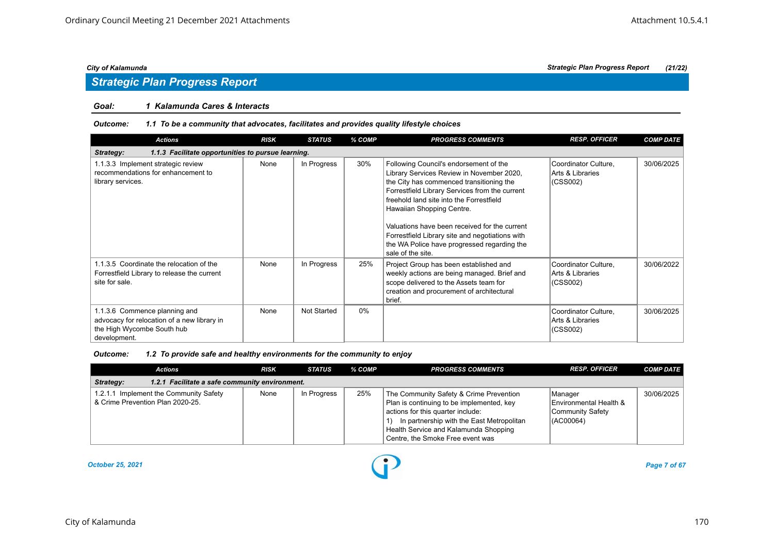### *Goal: 1 Kalamunda Cares & Interacts*

#### *Outcome: 1.1 To be a community that advocates, facilitates and provides quality lifestyle choices*

| <b>Actions</b>                                                                                                             | <b>RISK</b> | <b>STATUS</b>      | % COMP | <b>PROGRESS COMMENTS</b>                                                                                                                                                                                                                                                                                                                                                                                                           | <b>RESP. OFFICER</b>                                 | <b>COMP DATE</b> |  |  |  |
|----------------------------------------------------------------------------------------------------------------------------|-------------|--------------------|--------|------------------------------------------------------------------------------------------------------------------------------------------------------------------------------------------------------------------------------------------------------------------------------------------------------------------------------------------------------------------------------------------------------------------------------------|------------------------------------------------------|------------------|--|--|--|
| 1.1.3 Facilitate opportunities to pursue learning.<br>Strategy:                                                            |             |                    |        |                                                                                                                                                                                                                                                                                                                                                                                                                                    |                                                      |                  |  |  |  |
| 1.1.3.3 Implement strategic review<br>recommendations for enhancement to<br>library services.                              | None        | In Progress        | 30%    | Following Council's endorsement of the<br>Library Services Review in November 2020,<br>the City has commenced transitioning the<br>Forrestfield Library Services from the current<br>freehold land site into the Forrestfield<br>Hawaiian Shopping Centre.<br>Valuations have been received for the current<br>Forrestfield Library site and negotiations with<br>the WA Police have progressed regarding the<br>sale of the site. | Coordinator Culture.<br>Arts & Libraries<br>(CSS002) | 30/06/2025       |  |  |  |
| 1.1.3.5 Coordinate the relocation of the<br>Forrestfield Library to release the current<br>site for sale.                  | None        | In Progress        | 25%    | Project Group has been established and<br>weekly actions are being managed. Brief and<br>scope delivered to the Assets team for<br>creation and procurement of architectural<br>brief.                                                                                                                                                                                                                                             | Coordinator Culture,<br>Arts & Libraries<br>(CSS002) | 30/06/2022       |  |  |  |
| 1.1.3.6 Commence planning and<br>advocacy for relocation of a new library in<br>the High Wycombe South hub<br>development. | None        | <b>Not Started</b> | 0%     |                                                                                                                                                                                                                                                                                                                                                                                                                                    | Coordinator Culture,<br>Arts & Libraries<br>(CSS002) | 30/06/2025       |  |  |  |

*Outcome: 1.2 To provide safe and healthy environments for the community to enjoy*

| Actions                                                                    | RISK | <b>STATUS</b> | % COMP | <b>PROGRESS COMMENTS</b>                                                                                                                                                                                                                            | <b>RESP. OFFICER</b>                                                                  | <b>COMP DATE</b> |  |  |  |
|----------------------------------------------------------------------------|------|---------------|--------|-----------------------------------------------------------------------------------------------------------------------------------------------------------------------------------------------------------------------------------------------------|---------------------------------------------------------------------------------------|------------------|--|--|--|
| 1.2.1 Facilitate a safe community environment.<br>Strategy:                |      |               |        |                                                                                                                                                                                                                                                     |                                                                                       |                  |  |  |  |
| 1.2.1.1 Implement the Community Safety<br>& Crime Prevention Plan 2020-25. | None | In Progress   | 25%    | The Community Safety & Crime Prevention<br>Plan is continuing to be implemented, key<br>actions for this quarter include:<br>In partnership with the East Metropolitan<br>Health Service and Kalamunda Shopping<br>Centre, the Smoke Free event was | Manager<br><b>IEnvironmental Health &amp;</b><br><b>Community Safety</b><br>(ACO0064) | 30/06/2025       |  |  |  |

*October 25, 2021 Page 7 of 67*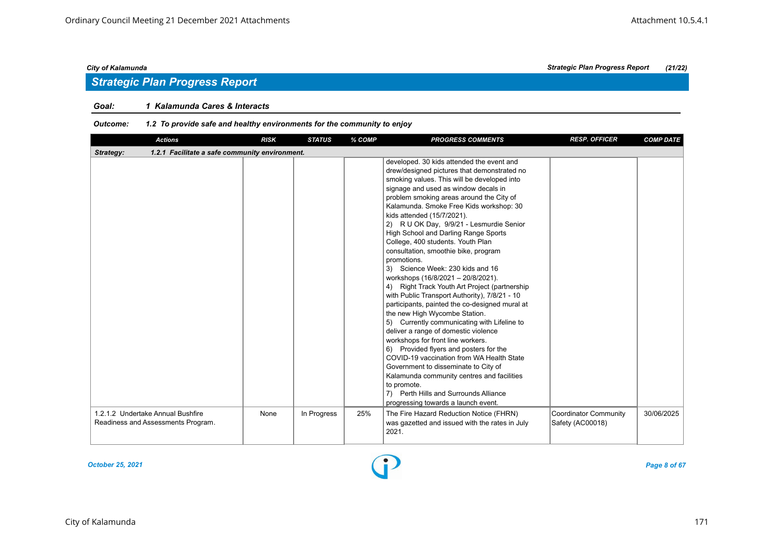## *Strategic Plan Progress Report*

### *Goal: 1 Kalamunda Cares & Interacts*

### *Outcome: 1.2 To provide safe and healthy environments for the community to enjoy*

| <b>Actions</b>                                                          | <b>RISK</b> | <b>STATUS</b> | % COMP | <b>PROGRESS COMMENTS</b>                                                                                                                                                                                                                                                                                                                                                                                                                                                                                                                                                                                                                                                                                                                                                                                                                                                                                                                                                                                                                                                                                                                                       | <b>RESP. OFFICER</b>                             | <b>COMP DATE</b> |
|-------------------------------------------------------------------------|-------------|---------------|--------|----------------------------------------------------------------------------------------------------------------------------------------------------------------------------------------------------------------------------------------------------------------------------------------------------------------------------------------------------------------------------------------------------------------------------------------------------------------------------------------------------------------------------------------------------------------------------------------------------------------------------------------------------------------------------------------------------------------------------------------------------------------------------------------------------------------------------------------------------------------------------------------------------------------------------------------------------------------------------------------------------------------------------------------------------------------------------------------------------------------------------------------------------------------|--------------------------------------------------|------------------|
| 1.2.1 Facilitate a safe community environment.<br>Strategy:             |             |               |        |                                                                                                                                                                                                                                                                                                                                                                                                                                                                                                                                                                                                                                                                                                                                                                                                                                                                                                                                                                                                                                                                                                                                                                |                                                  |                  |
|                                                                         |             |               |        | developed. 30 kids attended the event and<br>drew/designed pictures that demonstrated no<br>smoking values. This will be developed into<br>signage and used as window decals in<br>problem smoking areas around the City of<br>Kalamunda. Smoke Free Kids workshop: 30<br>kids attended (15/7/2021).<br>2) R U OK Day, 9/9/21 - Lesmurdie Senior<br>High School and Darling Range Sports<br>College, 400 students. Youth Plan<br>consultation, smoothie bike, program<br>promotions.<br>3) Science Week: 230 kids and 16<br>workshops (16/8/2021 - 20/8/2021).<br>4) Right Track Youth Art Project (partnership<br>with Public Transport Authority), 7/8/21 - 10<br>participants, painted the co-designed mural at<br>the new High Wycombe Station.<br>5) Currently communicating with Lifeline to<br>deliver a range of domestic violence<br>workshops for front line workers.<br>6) Provided flyers and posters for the<br>COVID-19 vaccination from WA Health State<br>Government to disseminate to City of<br>Kalamunda community centres and facilities<br>to promote.<br>Perth Hills and Surrounds Alliance<br>7)<br>progressing towards a launch event. |                                                  |                  |
| 1.2.1.2 Undertake Annual Bushfire<br>Readiness and Assessments Program. | None        | In Progress   | 25%    | The Fire Hazard Reduction Notice (FHRN)<br>was gazetted and issued with the rates in July<br>2021.                                                                                                                                                                                                                                                                                                                                                                                                                                                                                                                                                                                                                                                                                                                                                                                                                                                                                                                                                                                                                                                             | <b>Coordinator Community</b><br>Safety (AC00018) | 30/06/2025       |

#### *October 25, 2021 Page 8 of 67*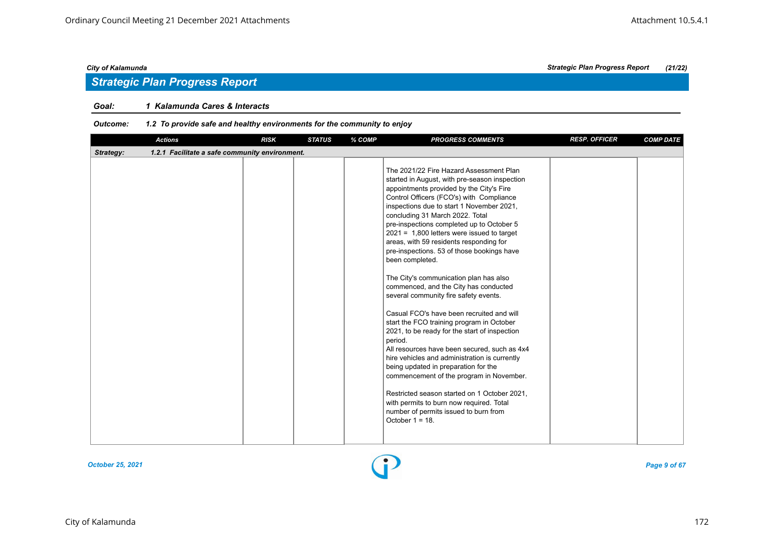## *Strategic Plan Progress Report*

### *Goal: 1 Kalamunda Cares & Interacts*

### *Outcome: 1.2 To provide safe and healthy environments for the community to enjoy*

|           | <b>Actions</b>                                 | <b>RISK</b> | <b>STATUS</b> | % COMP | <b>PROGRESS COMMENTS</b>                                                                                                                                                                                                                                                                                                                                                                                                                                                                                                                                                                                                                                                                                                                                                                                                                                                                                                                                                                                                                                                                                    | <b>RESP. OFFICER</b> | <b>COMP DATE</b> |
|-----------|------------------------------------------------|-------------|---------------|--------|-------------------------------------------------------------------------------------------------------------------------------------------------------------------------------------------------------------------------------------------------------------------------------------------------------------------------------------------------------------------------------------------------------------------------------------------------------------------------------------------------------------------------------------------------------------------------------------------------------------------------------------------------------------------------------------------------------------------------------------------------------------------------------------------------------------------------------------------------------------------------------------------------------------------------------------------------------------------------------------------------------------------------------------------------------------------------------------------------------------|----------------------|------------------|
| Strategy: | 1.2.1 Facilitate a safe community environment. |             |               |        |                                                                                                                                                                                                                                                                                                                                                                                                                                                                                                                                                                                                                                                                                                                                                                                                                                                                                                                                                                                                                                                                                                             |                      |                  |
|           |                                                |             |               |        | The 2021/22 Fire Hazard Assessment Plan<br>started in August, with pre-season inspection<br>appointments provided by the City's Fire<br>Control Officers (FCO's) with Compliance<br>inspections due to start 1 November 2021,<br>concluding 31 March 2022. Total<br>pre-inspections completed up to October 5<br>$2021 = 1,800$ letters were issued to target<br>areas, with 59 residents responding for<br>pre-inspections. 53 of those bookings have<br>been completed.<br>The City's communication plan has also<br>commenced, and the City has conducted<br>several community fire safety events.<br>Casual FCO's have been recruited and will<br>start the FCO training program in October<br>2021, to be ready for the start of inspection<br>period.<br>All resources have been secured, such as 4x4<br>hire vehicles and administration is currently<br>being updated in preparation for the<br>commencement of the program in November.<br>Restricted season started on 1 October 2021,<br>with permits to burn now required. Total<br>number of permits issued to burn from<br>October $1 = 18$ . |                      |                  |
|           |                                                |             |               |        |                                                                                                                                                                                                                                                                                                                                                                                                                                                                                                                                                                                                                                                                                                                                                                                                                                                                                                                                                                                                                                                                                                             |                      |                  |

#### *October 25, 2021 Page 9 of 67*

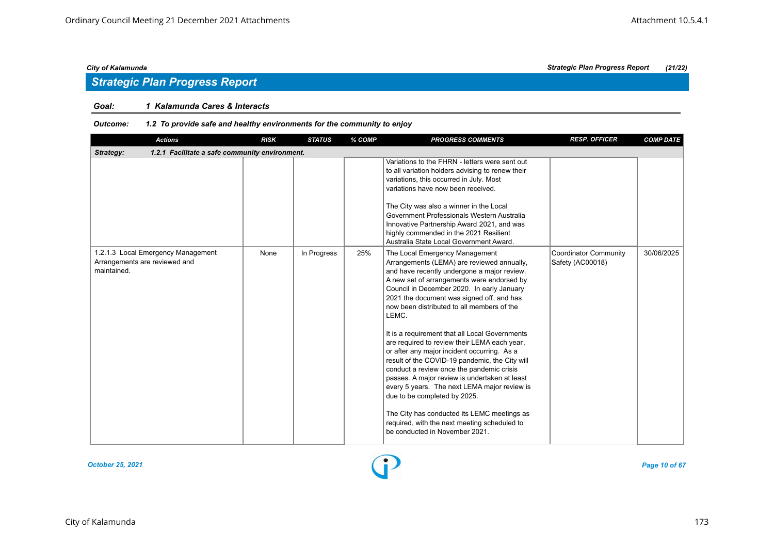## *Strategic Plan Progress Report*

### *Goal: 1 Kalamunda Cares & Interacts*

| <b>Actions</b>                                                                     | <b>RISK</b> | <b>STATUS</b> | % COMP | <b>PROGRESS COMMENTS</b>                                                                                                                                                                                                                                                                                                                                                                                                                                                                                                                                                                                                                                                                                                                                                                                                                      | <b>RESP. OFFICER</b>                             | <b>COMP DATE</b> |  |  |  |  |
|------------------------------------------------------------------------------------|-------------|---------------|--------|-----------------------------------------------------------------------------------------------------------------------------------------------------------------------------------------------------------------------------------------------------------------------------------------------------------------------------------------------------------------------------------------------------------------------------------------------------------------------------------------------------------------------------------------------------------------------------------------------------------------------------------------------------------------------------------------------------------------------------------------------------------------------------------------------------------------------------------------------|--------------------------------------------------|------------------|--|--|--|--|
| 1.2.1 Facilitate a safe community environment.<br>Strategy:                        |             |               |        |                                                                                                                                                                                                                                                                                                                                                                                                                                                                                                                                                                                                                                                                                                                                                                                                                                               |                                                  |                  |  |  |  |  |
|                                                                                    |             |               |        | Variations to the FHRN - letters were sent out<br>to all variation holders advising to renew their<br>variations, this occurred in July. Most<br>variations have now been received.<br>The City was also a winner in the Local<br>Government Professionals Western Australia<br>Innovative Partnership Award 2021, and was<br>highly commended in the 2021 Resilient<br>Australia State Local Government Award                                                                                                                                                                                                                                                                                                                                                                                                                                |                                                  |                  |  |  |  |  |
| 1.2.1.3 Local Emergency Management<br>Arrangements are reviewed and<br>maintained. | None        | In Progress   | 25%    | The Local Emergency Management<br>Arrangements (LEMA) are reviewed annually,<br>and have recently undergone a major review.<br>A new set of arrangements were endorsed by<br>Council in December 2020. In early January<br>2021 the document was signed off, and has<br>now been distributed to all members of the<br>LEMC.<br>It is a requirement that all Local Governments<br>are required to review their LEMA each year,<br>or after any major incident occurring. As a<br>result of the COVID-19 pandemic, the City will<br>conduct a review once the pandemic crisis<br>passes. A major review is undertaken at least<br>every 5 years. The next LEMA major review is<br>due to be completed by 2025.<br>The City has conducted its LEMC meetings as<br>required, with the next meeting scheduled to<br>be conducted in November 2021. | <b>Coordinator Community</b><br>Safety (AC00018) | 30/06/2025       |  |  |  |  |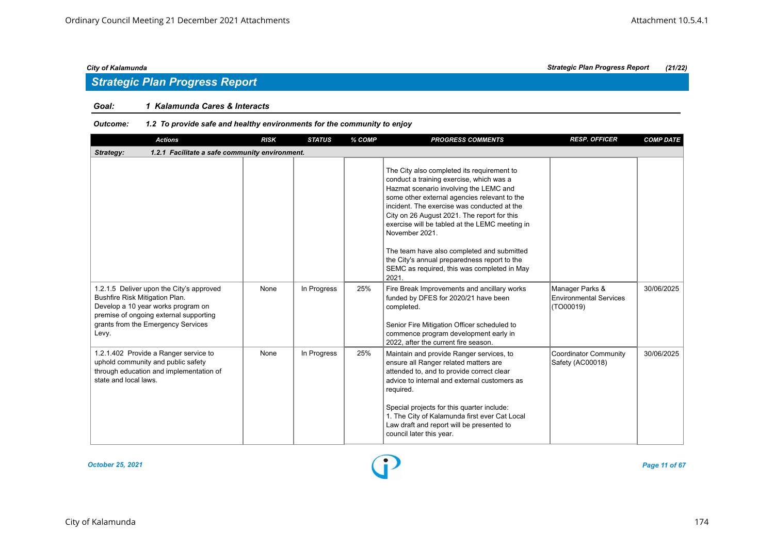## *Strategic Plan Progress Report*

### *Goal: 1 Kalamunda Cares & Interacts*

| <b>Actions</b>                                                                                                                                                                                            | <b>RISK</b> | <b>STATUS</b> | % COMP | <b>PROGRESS COMMENTS</b>                                                                                                                                                                                                                                                                                                                                                                                                                                                                                 | <b>RESP. OFFICER</b>                                          | <b>COMP DATE</b> |  |  |  |  |
|-----------------------------------------------------------------------------------------------------------------------------------------------------------------------------------------------------------|-------------|---------------|--------|----------------------------------------------------------------------------------------------------------------------------------------------------------------------------------------------------------------------------------------------------------------------------------------------------------------------------------------------------------------------------------------------------------------------------------------------------------------------------------------------------------|---------------------------------------------------------------|------------------|--|--|--|--|
| 1.2.1 Facilitate a safe community environment.<br>Strategy:                                                                                                                                               |             |               |        |                                                                                                                                                                                                                                                                                                                                                                                                                                                                                                          |                                                               |                  |  |  |  |  |
|                                                                                                                                                                                                           |             |               |        | The City also completed its requirement to<br>conduct a training exercise, which was a<br>Hazmat scenario involving the LEMC and<br>some other external agencies relevant to the<br>incident. The exercise was conducted at the<br>City on 26 August 2021. The report for this<br>exercise will be tabled at the LEMC meeting in<br>November 2021.<br>The team have also completed and submitted<br>the City's annual preparedness report to the<br>SEMC as required, this was completed in May<br>2021. |                                                               |                  |  |  |  |  |
| 1.2.1.5 Deliver upon the City's approved<br>Bushfire Risk Mitigation Plan.<br>Develop a 10 year works program on<br>premise of ongoing external supporting<br>grants from the Emergency Services<br>Levy. | None        | In Progress   | 25%    | Fire Break Improvements and ancillary works<br>funded by DFES for 2020/21 have been<br>completed.<br>Senior Fire Mitigation Officer scheduled to<br>commence program development early in<br>2022, after the current fire season.                                                                                                                                                                                                                                                                        | Manager Parks &<br><b>Environmental Services</b><br>(TO00019) | 30/06/2025       |  |  |  |  |
| 1.2.1.402 Provide a Ranger service to<br>uphold community and public safety<br>through education and implementation of<br>state and local laws.                                                           | None        | In Progress   | 25%    | Maintain and provide Ranger services, to<br>ensure all Ranger related matters are<br>attended to, and to provide correct clear<br>advice to internal and external customers as<br>required.<br>Special projects for this quarter include:<br>1. The City of Kalamunda first ever Cat Local<br>Law draft and report will be presented to<br>council later this year.                                                                                                                                      | <b>Coordinator Community</b><br>Safety (AC00018)              | 30/06/2025       |  |  |  |  |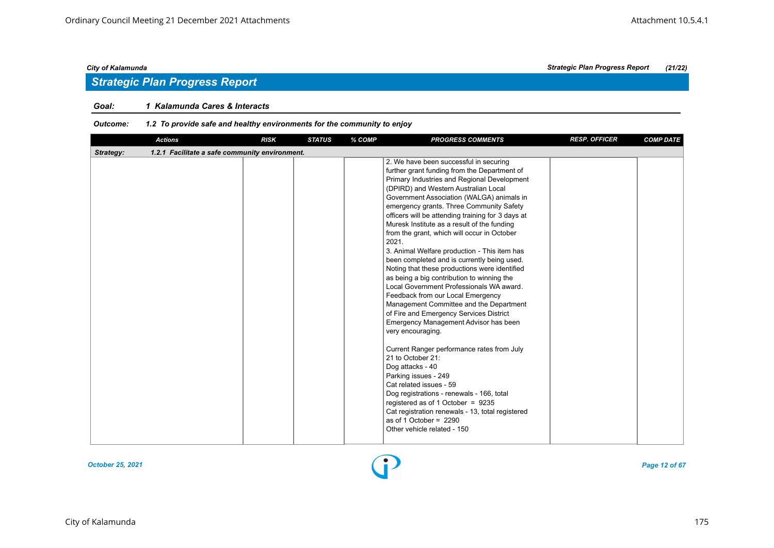### *Goal: 1 Kalamunda Cares & Interacts*

### *Outcome: 1.2 To provide safe and healthy environments for the community to enjoy*

| <b>Actions</b>                                              | <b>RISK</b> | <b>STATUS</b> | % COMP | <b>PROGRESS COMMENTS</b>                                                                                                                                                                                                                                                                                                                                                                                                                                                                                                                                                                                                                                                                                                                                                                                                                                                                                                                                                                                                                                                                                                                                                                                           | <b>RESP. OFFICER</b> | <b>COMP DATE</b> |
|-------------------------------------------------------------|-------------|---------------|--------|--------------------------------------------------------------------------------------------------------------------------------------------------------------------------------------------------------------------------------------------------------------------------------------------------------------------------------------------------------------------------------------------------------------------------------------------------------------------------------------------------------------------------------------------------------------------------------------------------------------------------------------------------------------------------------------------------------------------------------------------------------------------------------------------------------------------------------------------------------------------------------------------------------------------------------------------------------------------------------------------------------------------------------------------------------------------------------------------------------------------------------------------------------------------------------------------------------------------|----------------------|------------------|
| 1.2.1 Facilitate a safe community environment.<br>Strategy: |             |               |        |                                                                                                                                                                                                                                                                                                                                                                                                                                                                                                                                                                                                                                                                                                                                                                                                                                                                                                                                                                                                                                                                                                                                                                                                                    |                      |                  |
|                                                             |             |               |        | 2. We have been successful in securing<br>further grant funding from the Department of<br>Primary Industries and Regional Development<br>(DPIRD) and Western Australian Local<br>Government Association (WALGA) animals in<br>emergency grants. Three Community Safety<br>officers will be attending training for 3 days at<br>Muresk Institute as a result of the funding<br>from the grant, which will occur in October<br>2021.<br>3. Animal Welfare production - This item has<br>been completed and is currently being used.<br>Noting that these productions were identified<br>as being a big contribution to winning the<br>Local Government Professionals WA award.<br>Feedback from our Local Emergency<br>Management Committee and the Department<br>of Fire and Emergency Services District<br>Emergency Management Advisor has been<br>very encouraging.<br>Current Ranger performance rates from July<br>21 to October 21:<br>Dog attacks - 40<br>Parking issues - 249<br>Cat related issues - 59<br>Dog registrations - renewals - 166, total<br>registered as of 1 October = $9235$<br>Cat registration renewals - 13, total registered<br>as of 1 October = $2290$<br>Other vehicle related - 150 |                      |                  |

#### *October 25, 2021 Page 12 of 67*



*City of Kalamunda Strategic Plan Progress Report (21/22)*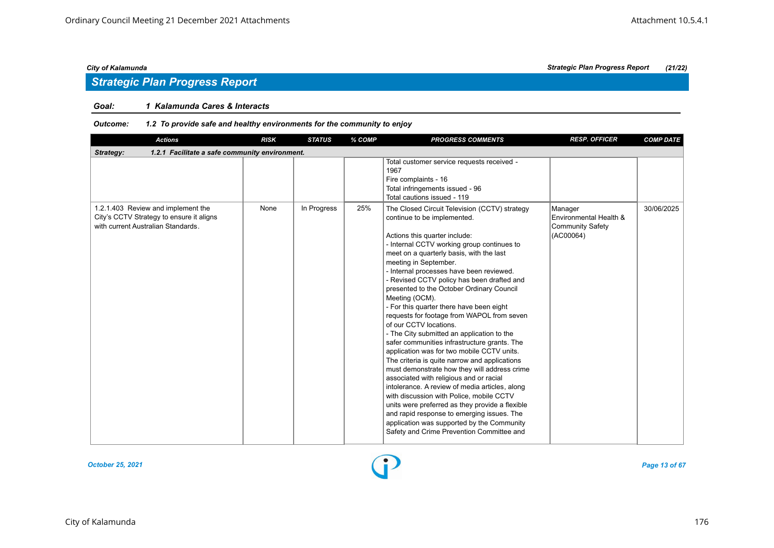## *Strategic Plan Progress Report*

### *Goal: 1 Kalamunda Cares & Interacts*

| <b>Actions</b>                                                                 | <b>RISK</b> | <b>STATUS</b> | % COMP | <b>PROGRESS COMMENTS</b>                                                                                                                                                                                                                                                                                                                                                                                                                                                                                                                                                                                                                                                                                                                                                                                                                                                                                                                                                                                                                       | <b>RESP. OFFICER</b>                                    | <b>COMP DATE</b> |  |  |  |  |
|--------------------------------------------------------------------------------|-------------|---------------|--------|------------------------------------------------------------------------------------------------------------------------------------------------------------------------------------------------------------------------------------------------------------------------------------------------------------------------------------------------------------------------------------------------------------------------------------------------------------------------------------------------------------------------------------------------------------------------------------------------------------------------------------------------------------------------------------------------------------------------------------------------------------------------------------------------------------------------------------------------------------------------------------------------------------------------------------------------------------------------------------------------------------------------------------------------|---------------------------------------------------------|------------------|--|--|--|--|
| Strategy:<br>1.2.1 Facilitate a safe community environment.                    |             |               |        |                                                                                                                                                                                                                                                                                                                                                                                                                                                                                                                                                                                                                                                                                                                                                                                                                                                                                                                                                                                                                                                |                                                         |                  |  |  |  |  |
| 1.2.1.403 Review and implement the                                             | None        | In Progress   | 25%    | Total customer service requests received -<br>1967<br>Fire complaints - 16<br>Total infringements issued - 96<br>Total cautions issued - 119<br>The Closed Circuit Television (CCTV) strategy                                                                                                                                                                                                                                                                                                                                                                                                                                                                                                                                                                                                                                                                                                                                                                                                                                                  | Manager                                                 | 30/06/2025       |  |  |  |  |
| City's CCTV Strategy to ensure it aligns<br>with current Australian Standards. |             |               |        | continue to be implemented.<br>Actions this quarter include:<br>- Internal CCTV working group continues to<br>meet on a quarterly basis, with the last<br>meeting in September.<br>- Internal processes have been reviewed.<br>- Revised CCTV policy has been drafted and<br>presented to the October Ordinary Council<br>Meeting (OCM).<br>- For this quarter there have been eight<br>requests for footage from WAPOL from seven<br>of our CCTV locations.<br>- The City submitted an application to the<br>safer communities infrastructure grants. The<br>application was for two mobile CCTV units.<br>The criteria is quite narrow and applications<br>must demonstrate how they will address crime<br>associated with religious and or racial<br>intolerance. A review of media articles, along<br>with discussion with Police, mobile CCTV<br>units were preferred as they provide a flexible<br>and rapid response to emerging issues. The<br>application was supported by the Community<br>Safety and Crime Prevention Committee and | Environmental Health &<br>Community Safety<br>(AC00064) |                  |  |  |  |  |

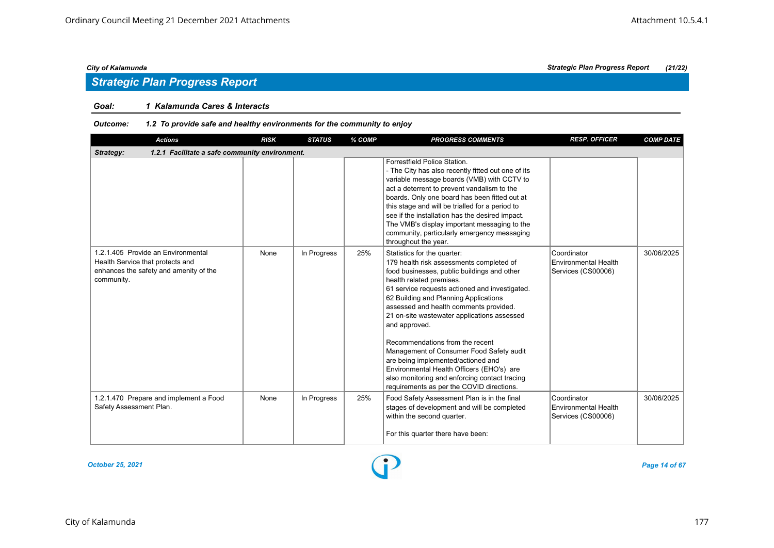## *Strategic Plan Progress Report*

### *Goal: 1 Kalamunda Cares & Interacts*

| <b>Actions</b>                                                                                                                 | <b>RISK</b> | <b>STATUS</b> | % COMP | <b>PROGRESS COMMENTS</b>                                                                                                                                                                                                                                                                                                                                                                                                                                                                                                                                                                                                | <b>RESP. OFFICER</b>                                             | <b>COMP DATE</b> |  |  |  |  |
|--------------------------------------------------------------------------------------------------------------------------------|-------------|---------------|--------|-------------------------------------------------------------------------------------------------------------------------------------------------------------------------------------------------------------------------------------------------------------------------------------------------------------------------------------------------------------------------------------------------------------------------------------------------------------------------------------------------------------------------------------------------------------------------------------------------------------------------|------------------------------------------------------------------|------------------|--|--|--|--|
| 1.2.1 Facilitate a safe community environment.<br>Strategy:                                                                    |             |               |        |                                                                                                                                                                                                                                                                                                                                                                                                                                                                                                                                                                                                                         |                                                                  |                  |  |  |  |  |
|                                                                                                                                |             |               |        | Forrestfield Police Station.<br>- The City has also recently fitted out one of its<br>variable message boards (VMB) with CCTV to<br>act a deterrent to prevent vandalism to the<br>boards. Only one board has been fitted out at<br>this stage and will be trialled for a period to<br>see if the installation has the desired impact.<br>The VMB's display important messaging to the<br>community, particularly emergency messaging<br>throughout the year.                                                                                                                                                           |                                                                  |                  |  |  |  |  |
| 1.2.1.405 Provide an Environmental<br>Health Service that protects and<br>enhances the safety and amenity of the<br>community. | None        | In Progress   | 25%    | Statistics for the quarter:<br>179 health risk assessments completed of<br>food businesses, public buildings and other<br>health related premises.<br>61 service requests actioned and investigated.<br>62 Building and Planning Applications<br>assessed and health comments provided.<br>21 on-site wastewater applications assessed<br>and approved.<br>Recommendations from the recent<br>Management of Consumer Food Safety audit<br>are being implemented/actioned and<br>Environmental Health Officers (EHO's) are<br>also monitoring and enforcing contact tracing<br>requirements as per the COVID directions. | Coordinator<br>Environmental Health<br>Services (CS00006)        | 30/06/2025       |  |  |  |  |
| 1.2.1.470 Prepare and implement a Food<br>Safety Assessment Plan.                                                              | None        | In Progress   | 25%    | Food Safety Assessment Plan is in the final<br>stages of development and will be completed<br>within the second quarter.<br>For this quarter there have been:                                                                                                                                                                                                                                                                                                                                                                                                                                                           | Coordinator<br><b>Environmental Health</b><br>Services (CS00006) | 30/06/2025       |  |  |  |  |

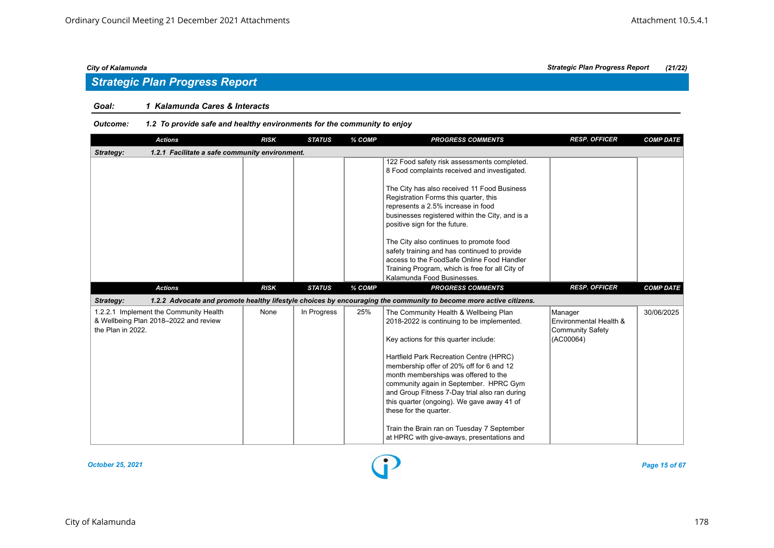## *Strategic Plan Progress Report*

### *Goal: 1 Kalamunda Cares & Interacts*

| <b>Actions</b>                                                                                       | <b>RISK</b> | <b>STATUS</b> | % COMP | <b>PROGRESS COMMENTS</b>                                                                                                                                                                                                                                                                                                                                                                                                       | <b>RESP. OFFICER</b>                                                      | <b>COMP DATE</b> |  |  |  |  |
|------------------------------------------------------------------------------------------------------|-------------|---------------|--------|--------------------------------------------------------------------------------------------------------------------------------------------------------------------------------------------------------------------------------------------------------------------------------------------------------------------------------------------------------------------------------------------------------------------------------|---------------------------------------------------------------------------|------------------|--|--|--|--|
| 1.2.1 Facilitate a safe community environment.<br>Strategy:                                          |             |               |        |                                                                                                                                                                                                                                                                                                                                                                                                                                |                                                                           |                  |  |  |  |  |
|                                                                                                      |             |               |        | 122 Food safety risk assessments completed.<br>8 Food complaints received and investigated.<br>The City has also received 11 Food Business<br>Registration Forms this quarter, this<br>represents a 2.5% increase in food<br>businesses registered within the City, and is a<br>positive sign for the future.                                                                                                                  |                                                                           |                  |  |  |  |  |
|                                                                                                      |             |               |        | The City also continues to promote food<br>safety training and has continued to provide<br>access to the FoodSafe Online Food Handler<br>Training Program, which is free for all City of<br>Kalamunda Food Businesses.                                                                                                                                                                                                         |                                                                           |                  |  |  |  |  |
| <b>Actions</b>                                                                                       | <b>RISK</b> | <b>STATUS</b> | % COMP | <b>PROGRESS COMMENTS</b>                                                                                                                                                                                                                                                                                                                                                                                                       | <b>RESP. OFFICER</b>                                                      | <b>COMP DATE</b> |  |  |  |  |
| Strategy:                                                                                            |             |               |        | 1.2.2 Advocate and promote healthy lifestyle choices by encouraging the community to become more active citizens.                                                                                                                                                                                                                                                                                                              |                                                                           |                  |  |  |  |  |
| 1.2.2.1 Implement the Community Health<br>& Wellbeing Plan 2018-2022 and review<br>the Plan in 2022. | None        | In Progress   | 25%    | The Community Health & Wellbeing Plan<br>2018-2022 is continuing to be implemented.<br>Key actions for this quarter include:<br>Hartfield Park Recreation Centre (HPRC)<br>membership offer of 20% off for 6 and 12<br>month memberships was offered to the<br>community again in September. HPRC Gym<br>and Group Fitness 7-Day trial also ran during<br>this quarter (ongoing). We gave away 41 of<br>these for the quarter. | Manager<br>Environmental Health &<br><b>Community Safety</b><br>(AC00064) | 30/06/2025       |  |  |  |  |
|                                                                                                      |             |               |        | Train the Brain ran on Tuesday 7 September<br>at HPRC with give-aways, presentations and                                                                                                                                                                                                                                                                                                                                       |                                                                           |                  |  |  |  |  |

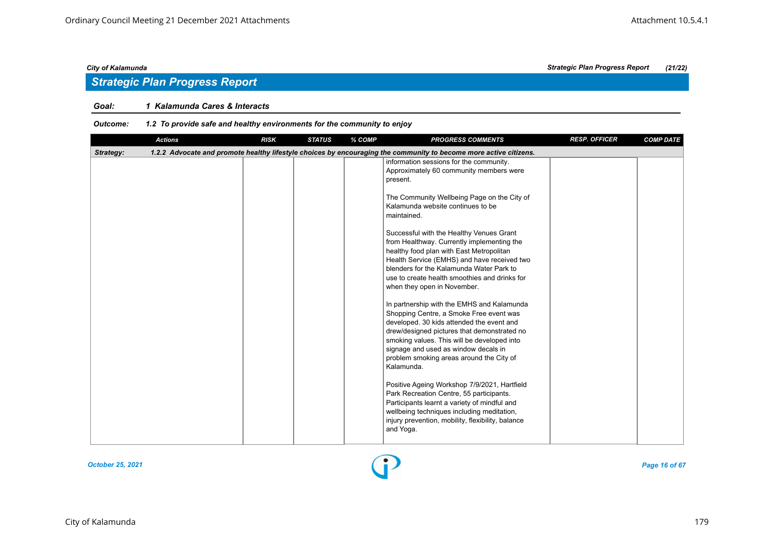## *Strategic Plan Progress Report*

### *Goal: 1 Kalamunda Cares & Interacts*

|           | <b>Actions</b> | <b>RISK</b> | <b>STATUS</b> | % COMP | <b>PROGRESS COMMENTS</b>                                                                                                                                                                                                                                                                                                           | <b>RESP. OFFICER</b> | <b>COMP DATE</b> |
|-----------|----------------|-------------|---------------|--------|------------------------------------------------------------------------------------------------------------------------------------------------------------------------------------------------------------------------------------------------------------------------------------------------------------------------------------|----------------------|------------------|
| Strategy: |                |             |               |        | 1.2.2 Advocate and promote healthy lifestyle choices by encouraging the community to become more active citizens.                                                                                                                                                                                                                  |                      |                  |
|           |                |             |               |        | information sessions for the community.<br>Approximately 60 community members were<br>present.                                                                                                                                                                                                                                     |                      |                  |
|           |                |             |               |        | The Community Wellbeing Page on the City of<br>Kalamunda website continues to be<br>maintained.                                                                                                                                                                                                                                    |                      |                  |
|           |                |             |               |        | Successful with the Healthy Venues Grant<br>from Healthway. Currently implementing the<br>healthy food plan with East Metropolitan<br>Health Service (EMHS) and have received two<br>blenders for the Kalamunda Water Park to<br>use to create health smoothies and drinks for<br>when they open in November.                      |                      |                  |
|           |                |             |               |        | In partnership with the EMHS and Kalamunda<br>Shopping Centre, a Smoke Free event was<br>developed. 30 kids attended the event and<br>drew/designed pictures that demonstrated no<br>smoking values. This will be developed into<br>signage and used as window decals in<br>problem smoking areas around the City of<br>Kalamunda. |                      |                  |
|           |                |             |               |        | Positive Ageing Workshop 7/9/2021, Hartfield<br>Park Recreation Centre, 55 participants.<br>Participants learnt a variety of mindful and<br>wellbeing techniques including meditation,<br>injury prevention, mobility, flexibility, balance<br>and Yoga.                                                                           |                      |                  |

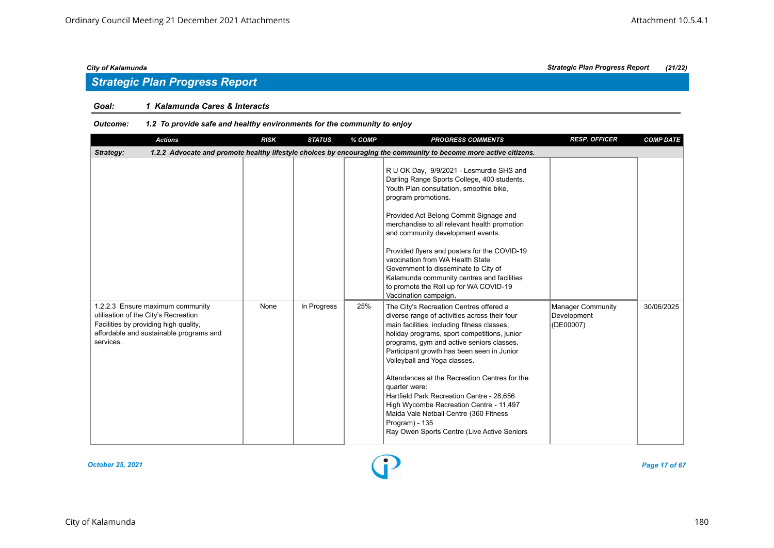## *Strategic Plan Progress Report*

### *Goal: 1 Kalamunda Cares & Interacts*

| <b>Actions</b>                                                                                                                                                            | <b>RISK</b> | <b>STATUS</b> | % COMP | <b>PROGRESS COMMENTS</b>                                                                                                                                                                                                                                                                                                                                                                                                                                                                                                                                                                | <b>RESP. OFFICER</b>                          | <b>COMP DATE</b> |  |  |  |  |
|---------------------------------------------------------------------------------------------------------------------------------------------------------------------------|-------------|---------------|--------|-----------------------------------------------------------------------------------------------------------------------------------------------------------------------------------------------------------------------------------------------------------------------------------------------------------------------------------------------------------------------------------------------------------------------------------------------------------------------------------------------------------------------------------------------------------------------------------------|-----------------------------------------------|------------------|--|--|--|--|
| 1.2.2 Advocate and promote healthy lifestyle choices by encouraging the community to become more active citizens.<br>Strategy:                                            |             |               |        |                                                                                                                                                                                                                                                                                                                                                                                                                                                                                                                                                                                         |                                               |                  |  |  |  |  |
|                                                                                                                                                                           |             |               |        | R U OK Day, 9/9/2021 - Lesmurdie SHS and<br>Darling Range Sports College, 400 students.<br>Youth Plan consultation, smoothie bike,<br>program promotions.<br>Provided Act Belong Commit Signage and<br>merchandise to all relevant health promotion<br>and community development events.<br>Provided flyers and posters for the COVID-19<br>vaccination from WA Health State<br>Government to disseminate to City of<br>Kalamunda community centres and facilities<br>to promote the Roll up for WA COVID-19<br>Vaccination campaign.                                                   |                                               |                  |  |  |  |  |
| 1.2.2.3 Ensure maximum community<br>utilisation of the City's Recreation<br>Facilities by providing high quality,<br>affordable and sustainable programs and<br>services. | None        | In Progress   | 25%    | The City's Recreation Centres offered a<br>diverse range of activities across their four<br>main facilities, including fitness classes,<br>holiday programs, sport competitions, junior<br>programs, gym and active seniors classes.<br>Participant growth has been seen in Junior<br>Volleyball and Yoga classes.<br>Attendances at the Recreation Centres for the<br>quarter were:<br>Hartfield Park Recreation Centre - 28,656<br>High Wycombe Recreation Centre - 11,497<br>Maida Vale Netball Centre (360 Fitness<br>Program) - 135<br>Ray Owen Sports Centre (Live Active Seniors | Manager Community<br>Development<br>(DE00007) | 30/06/2025       |  |  |  |  |

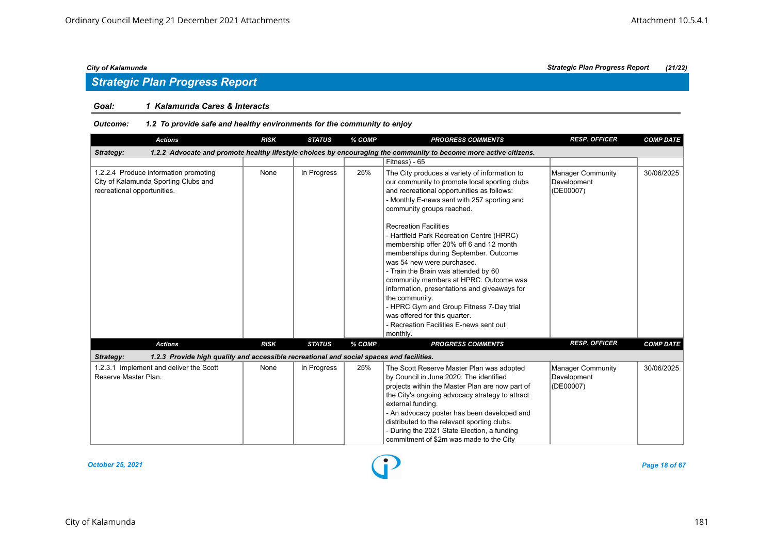## *Strategic Plan Progress Report*

### *Goal: 1 Kalamunda Cares & Interacts*

### *Outcome: 1.2 To provide safe and healthy environments for the community to enjoy*

| <b>Actions</b>                                                                                                                 | <b>RISK</b> | <b>STATUS</b> | % COMP | <b>PROGRESS COMMENTS</b>                                                                                                                                                                                                                                                                                                                                                                                | <b>RESP. OFFICER</b>                                 | <b>COMP DATE</b> |  |  |
|--------------------------------------------------------------------------------------------------------------------------------|-------------|---------------|--------|---------------------------------------------------------------------------------------------------------------------------------------------------------------------------------------------------------------------------------------------------------------------------------------------------------------------------------------------------------------------------------------------------------|------------------------------------------------------|------------------|--|--|
| Strategy:<br>1.2.2 Advocate and promote healthy lifestyle choices by encouraging the community to become more active citizens. |             |               |        |                                                                                                                                                                                                                                                                                                                                                                                                         |                                                      |                  |  |  |
|                                                                                                                                |             |               |        | Fitness) - 65                                                                                                                                                                                                                                                                                                                                                                                           |                                                      |                  |  |  |
| 1.2.2.4 Produce information promoting<br>City of Kalamunda Sporting Clubs and<br>recreational opportunities.                   | None        | In Progress   | 25%    | The City produces a variety of information to<br>our community to promote local sporting clubs<br>and recreational opportunities as follows:<br>- Monthly E-news sent with 257 sporting and<br>community groups reached.<br><b>Recreation Facilities</b><br>- Hartfield Park Recreation Centre (HPRC)                                                                                                   | <b>Manager Community</b><br>Development<br>(DE00007) | 30/06/2025       |  |  |
|                                                                                                                                |             |               |        | membership offer 20% off 6 and 12 month<br>memberships during September. Outcome<br>was 54 new were purchased.<br>- Train the Brain was attended by 60                                                                                                                                                                                                                                                  |                                                      |                  |  |  |
|                                                                                                                                |             |               |        | community members at HPRC. Outcome was<br>information, presentations and giveaways for<br>the community.                                                                                                                                                                                                                                                                                                |                                                      |                  |  |  |
|                                                                                                                                |             |               |        | - HPRC Gym and Group Fitness 7-Day trial<br>was offered for this quarter.<br>- Recreation Facilities E-news sent out                                                                                                                                                                                                                                                                                    |                                                      |                  |  |  |
|                                                                                                                                |             |               |        | monthly.                                                                                                                                                                                                                                                                                                                                                                                                |                                                      |                  |  |  |
| <b>Actions</b>                                                                                                                 | <b>RISK</b> | <b>STATUS</b> | % COMP | <b>PROGRESS COMMENTS</b>                                                                                                                                                                                                                                                                                                                                                                                | <b>RESP. OFFICER</b>                                 | <b>COMP DATE</b> |  |  |
| 1.2.3 Provide high quality and accessible recreational and social spaces and facilities.<br>Strategy:                          |             |               |        |                                                                                                                                                                                                                                                                                                                                                                                                         |                                                      |                  |  |  |
| 1.2.3.1 Implement and deliver the Scott<br>Reserve Master Plan.                                                                | None        | In Progress   | 25%    | The Scott Reserve Master Plan was adopted<br>by Council in June 2020. The identified<br>projects within the Master Plan are now part of<br>the City's ongoing advocacy strategy to attract<br>external funding.<br>- An advocacy poster has been developed and<br>distributed to the relevant sporting clubs.<br>- During the 2021 State Election, a funding<br>commitment of \$2m was made to the City | <b>Manager Community</b><br>Development<br>(DE00007) | 30/06/2025       |  |  |

*October 25, 2021 Page 18 of 67*

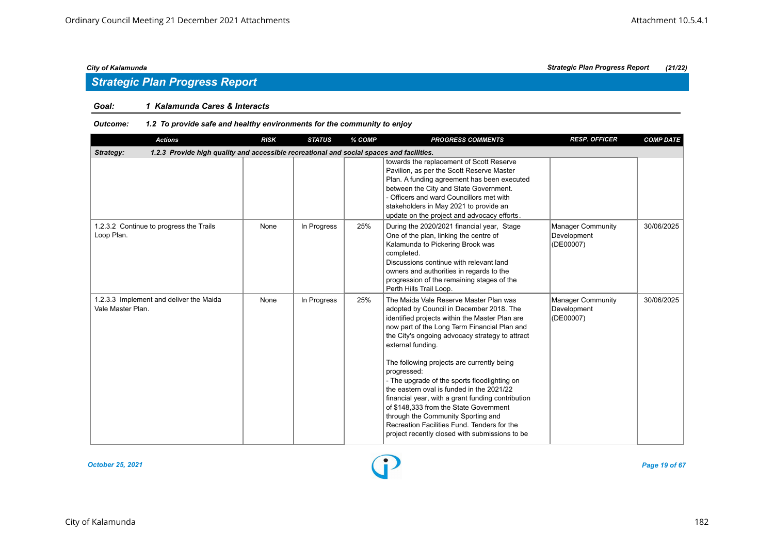### *Goal: 1 Kalamunda Cares & Interacts*

### *Outcome: 1.2 To provide safe and healthy environments for the community to enjoy*

| <b>Actions</b>                                                                                        | <b>RISK</b> | <b>STATUS</b> | % COMP | <b>PROGRESS COMMENTS</b>                                                                                                                                                                                                                                                                                                                                                                                                                                                                                                                                                                                                                                     | <b>RESP. OFFICER</b>                                 | <b>COMP DATE</b> |  |  |  |  |
|-------------------------------------------------------------------------------------------------------|-------------|---------------|--------|--------------------------------------------------------------------------------------------------------------------------------------------------------------------------------------------------------------------------------------------------------------------------------------------------------------------------------------------------------------------------------------------------------------------------------------------------------------------------------------------------------------------------------------------------------------------------------------------------------------------------------------------------------------|------------------------------------------------------|------------------|--|--|--|--|
| 1.2.3 Provide high quality and accessible recreational and social spaces and facilities.<br>Strategy: |             |               |        |                                                                                                                                                                                                                                                                                                                                                                                                                                                                                                                                                                                                                                                              |                                                      |                  |  |  |  |  |
|                                                                                                       |             |               |        | towards the replacement of Scott Reserve<br>Pavilion, as per the Scott Reserve Master<br>Plan. A funding agreement has been executed<br>between the City and State Government.<br>- Officers and ward Councillors met with<br>stakeholders in May 2021 to provide an<br>update on the project and advocacy efforts.                                                                                                                                                                                                                                                                                                                                          |                                                      |                  |  |  |  |  |
| 1.2.3.2 Continue to progress the Trails<br>Loop Plan.                                                 | None        | In Progress   | 25%    | During the 2020/2021 financial year, Stage<br>One of the plan, linking the centre of<br>Kalamunda to Pickering Brook was<br>completed.<br>Discussions continue with relevant land<br>owners and authorities in regards to the<br>progression of the remaining stages of the<br>Perth Hills Trail Loop.                                                                                                                                                                                                                                                                                                                                                       | <b>Manager Community</b><br>Development<br>(DE00007) | 30/06/2025       |  |  |  |  |
| 1.2.3.3 Implement and deliver the Maida<br>Vale Master Plan.                                          | None        | In Progress   | 25%    | The Maida Vale Reserve Master Plan was<br>adopted by Council in December 2018. The<br>identified projects within the Master Plan are<br>now part of the Long Term Financial Plan and<br>the City's ongoing advocacy strategy to attract<br>external funding.<br>The following projects are currently being<br>progressed:<br>- The upgrade of the sports floodlighting on<br>the eastern oval is funded in the 2021/22<br>financial year, with a grant funding contribution<br>of \$148,333 from the State Government<br>through the Community Sporting and<br>Recreation Facilities Fund. Tenders for the<br>project recently closed with submissions to be | <b>Manager Community</b><br>Development<br>(DE00007) | 30/06/2025       |  |  |  |  |



*City of Kalamunda Strategic Plan Progress Report (21/22)*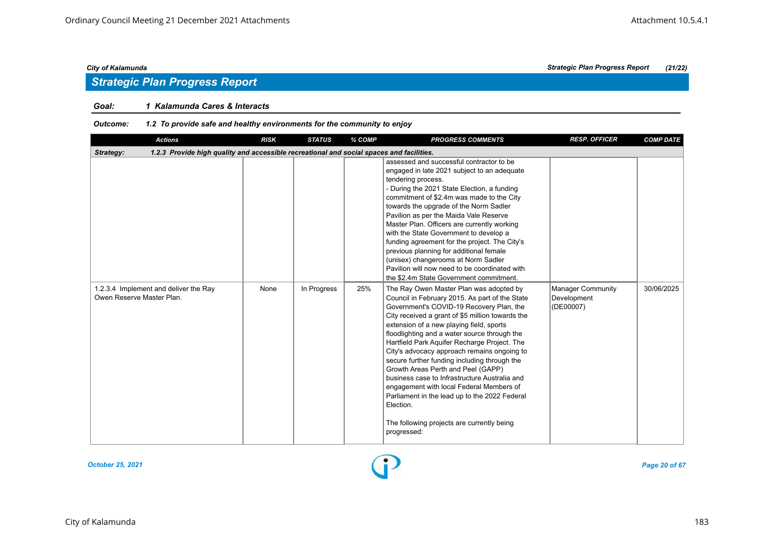## *Strategic Plan Progress Report*

### *Goal: 1 Kalamunda Cares & Interacts*

| <b>Actions</b>                                                                                        | <b>RISK</b> | <b>STATUS</b> | % COMP | <b>PROGRESS COMMENTS</b>                                                                                                                                                                                                                                                                                                                                                                                                                                                                                                                                                                                                                                                                           | <b>RESP. OFFICER</b>                                 | <b>COMP DATE</b> |  |  |  |  |
|-------------------------------------------------------------------------------------------------------|-------------|---------------|--------|----------------------------------------------------------------------------------------------------------------------------------------------------------------------------------------------------------------------------------------------------------------------------------------------------------------------------------------------------------------------------------------------------------------------------------------------------------------------------------------------------------------------------------------------------------------------------------------------------------------------------------------------------------------------------------------------------|------------------------------------------------------|------------------|--|--|--|--|
| 1.2.3 Provide high quality and accessible recreational and social spaces and facilities.<br>Strategy: |             |               |        |                                                                                                                                                                                                                                                                                                                                                                                                                                                                                                                                                                                                                                                                                                    |                                                      |                  |  |  |  |  |
|                                                                                                       |             |               |        | assessed and successful contractor to be<br>engaged in late 2021 subject to an adequate<br>tendering process.<br>- During the 2021 State Election, a funding<br>commitment of \$2.4m was made to the City<br>towards the upgrade of the Norm Sadler<br>Pavilion as per the Maida Vale Reserve<br>Master Plan. Officers are currently working<br>with the State Government to develop a<br>funding agreement for the project. The City's<br>previous planning for additional female<br>(unisex) changerooms at Norm Sadler<br>Pavilion will now need to be coordinated with<br>the \$2.4m State Government commitment.                                                                              |                                                      |                  |  |  |  |  |
| 1.2.3.4 Implement and deliver the Ray<br>Owen Reserve Master Plan.                                    | None        | In Progress   | 25%    | The Ray Owen Master Plan was adopted by<br>Council in February 2015. As part of the State<br>Government's COVID-19 Recovery Plan, the<br>City received a grant of \$5 million towards the<br>extension of a new playing field, sports<br>floodlighting and a water source through the<br>Hartfield Park Aquifer Recharge Project. The<br>City's advocacy approach remains ongoing to<br>secure further funding including through the<br>Growth Areas Perth and Peel (GAPP)<br>business case to Infrastructure Australia and<br>engagement with local Federal Members of<br>Parliament in the lead up to the 2022 Federal<br>Election.<br>The following projects are currently being<br>progressed: | <b>Manager Community</b><br>Development<br>(DE00007) | 30/06/2025       |  |  |  |  |

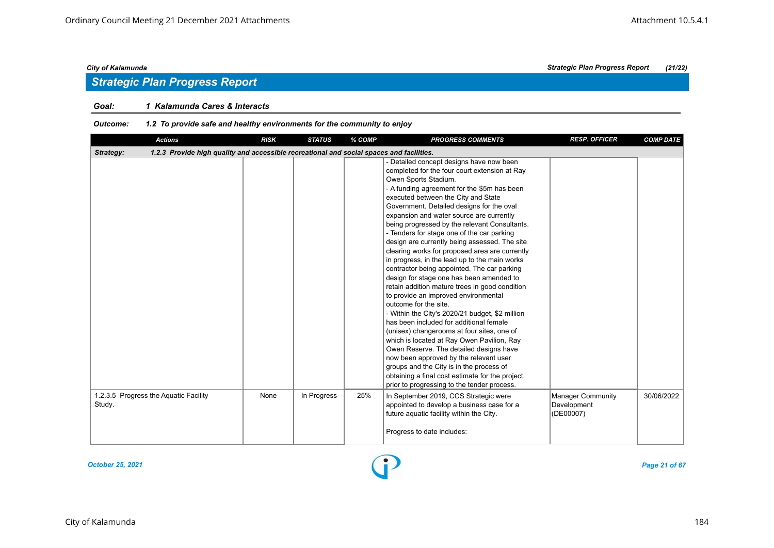## *Strategic Plan Progress Report*

### *Goal: 1 Kalamunda Cares & Interacts*

### *Outcome: 1.2 To provide safe and healthy environments for the community to enjoy*

| <b>Actions</b>                                                                                        | <b>RISK</b> | <b>STATUS</b> | % COMP | <b>PROGRESS COMMENTS</b>                                                                                                                                                                                                                                                                                                                                                                                                                                                                                                                                                                                                                                                                                                                                                                                                                                                                                                                                                                                                                                                                                                                                                                        | <b>RESP. OFFICER</b>                                 | <b>COMP DATE</b> |  |  |  |  |
|-------------------------------------------------------------------------------------------------------|-------------|---------------|--------|-------------------------------------------------------------------------------------------------------------------------------------------------------------------------------------------------------------------------------------------------------------------------------------------------------------------------------------------------------------------------------------------------------------------------------------------------------------------------------------------------------------------------------------------------------------------------------------------------------------------------------------------------------------------------------------------------------------------------------------------------------------------------------------------------------------------------------------------------------------------------------------------------------------------------------------------------------------------------------------------------------------------------------------------------------------------------------------------------------------------------------------------------------------------------------------------------|------------------------------------------------------|------------------|--|--|--|--|
| 1.2.3 Provide high quality and accessible recreational and social spaces and facilities.<br>Strategy: |             |               |        |                                                                                                                                                                                                                                                                                                                                                                                                                                                                                                                                                                                                                                                                                                                                                                                                                                                                                                                                                                                                                                                                                                                                                                                                 |                                                      |                  |  |  |  |  |
|                                                                                                       |             |               |        | - Detailed concept designs have now been<br>completed for the four court extension at Ray<br>Owen Sports Stadium.<br>- A funding agreement for the \$5m has been<br>executed between the City and State<br>Government. Detailed designs for the oval<br>expansion and water source are currently<br>being progressed by the relevant Consultants.<br>- Tenders for stage one of the car parking<br>design are currently being assessed. The site<br>clearing works for proposed area are currently<br>in progress, in the lead up to the main works<br>contractor being appointed. The car parking<br>design for stage one has been amended to<br>retain addition mature trees in good condition<br>to provide an improved environmental<br>outcome for the site.<br>- Within the City's 2020/21 budget, \$2 million<br>has been included for additional female<br>(unisex) changerooms at four sites, one of<br>which is located at Ray Owen Pavilion, Ray<br>Owen Reserve. The detailed designs have<br>now been approved by the relevant user<br>groups and the City is in the process of<br>obtaining a final cost estimate for the project,<br>prior to progressing to the tender process. |                                                      |                  |  |  |  |  |
| 1.2.3.5 Progress the Aquatic Facility<br>Study.                                                       | None        | In Progress   | 25%    | In September 2019, CCS Strategic were<br>appointed to develop a business case for a<br>future aquatic facility within the City.<br>Progress to date includes:                                                                                                                                                                                                                                                                                                                                                                                                                                                                                                                                                                                                                                                                                                                                                                                                                                                                                                                                                                                                                                   | <b>Manager Community</b><br>Development<br>(DE00007) | 30/06/2022       |  |  |  |  |

#### *October 25, 2021 Page 21 of 67*

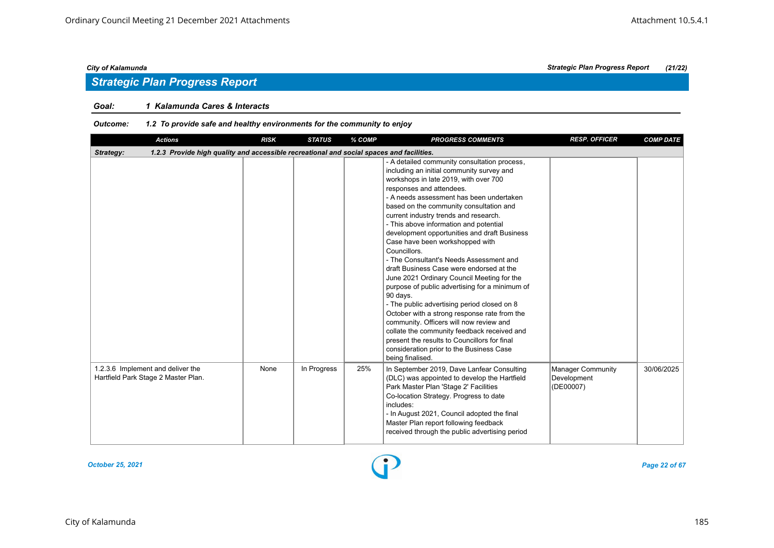## *Strategic Plan Progress Report*

### *Goal: 1 Kalamunda Cares & Interacts*

| <b>Actions</b>                                                                                        | <b>RISK</b> | <b>STATUS</b> | % COMP | <b>PROGRESS COMMENTS</b>                                                                                                                                                                                                                                                                                                                                                                                                                                                                                                                                                                                                                                                                                                                                                                                                                                                                                                                                | <b>RESP. OFFICER</b>                          | <b>COMP DATE</b> |  |  |  |  |
|-------------------------------------------------------------------------------------------------------|-------------|---------------|--------|---------------------------------------------------------------------------------------------------------------------------------------------------------------------------------------------------------------------------------------------------------------------------------------------------------------------------------------------------------------------------------------------------------------------------------------------------------------------------------------------------------------------------------------------------------------------------------------------------------------------------------------------------------------------------------------------------------------------------------------------------------------------------------------------------------------------------------------------------------------------------------------------------------------------------------------------------------|-----------------------------------------------|------------------|--|--|--|--|
| 1.2.3 Provide high quality and accessible recreational and social spaces and facilities.<br>Strategy: |             |               |        |                                                                                                                                                                                                                                                                                                                                                                                                                                                                                                                                                                                                                                                                                                                                                                                                                                                                                                                                                         |                                               |                  |  |  |  |  |
|                                                                                                       |             |               |        | - A detailed community consultation process,<br>including an initial community survey and<br>workshops in late 2019, with over 700<br>responses and attendees.<br>- A needs assessment has been undertaken<br>based on the community consultation and<br>current industry trends and research.<br>- This above information and potential<br>development opportunities and draft Business<br>Case have been workshopped with<br>Councillors.<br>- The Consultant's Needs Assessment and<br>draft Business Case were endorsed at the<br>June 2021 Ordinary Council Meeting for the<br>purpose of public advertising for a minimum of<br>90 days.<br>- The public advertising period closed on 8<br>October with a strong response rate from the<br>community. Officers will now review and<br>collate the community feedback received and<br>present the results to Councillors for final<br>consideration prior to the Business Case<br>being finalised. |                                               |                  |  |  |  |  |
| 1.2.3.6 Implement and deliver the<br>Hartfield Park Stage 2 Master Plan.                              | None        | In Progress   | 25%    | In September 2019, Dave Lanfear Consulting<br>(DLC) was appointed to develop the Hartfield<br>Park Master Plan 'Stage 2' Facilities<br>Co-location Strategy. Progress to date<br>includes:<br>- In August 2021, Council adopted the final<br>Master Plan report following feedback<br>received through the public advertising period                                                                                                                                                                                                                                                                                                                                                                                                                                                                                                                                                                                                                    | Manager Community<br>Development<br>(DE00007) | 30/06/2025       |  |  |  |  |

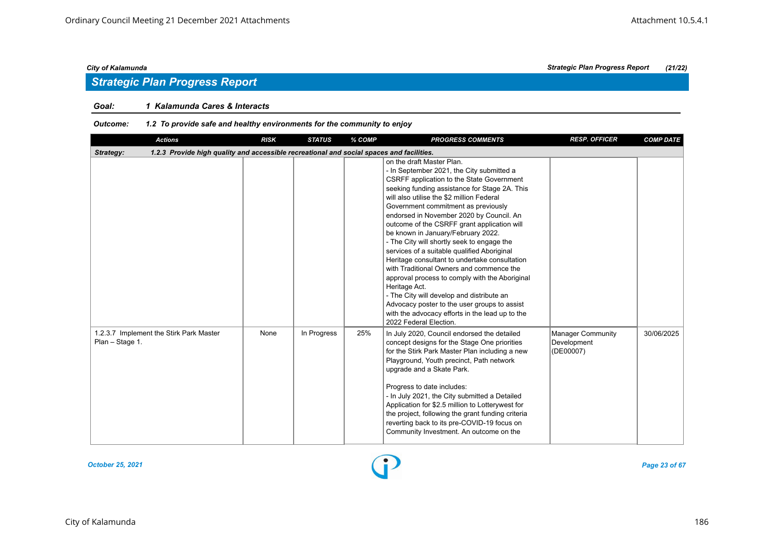## *Strategic Plan Progress Report*

### *Goal: 1 Kalamunda Cares & Interacts*

| <b>Actions</b>                                                                                        | <b>RISK</b> | <b>STATUS</b> | % COMP | <b>PROGRESS COMMENTS</b>                                                                                                                                                                                                                                                                                                                                                                                                                                                                                                                                                                                                                                                                                                                                                                                                         | <b>RESP. OFFICER</b>                                 | <b>COMP DATE</b> |  |  |  |  |
|-------------------------------------------------------------------------------------------------------|-------------|---------------|--------|----------------------------------------------------------------------------------------------------------------------------------------------------------------------------------------------------------------------------------------------------------------------------------------------------------------------------------------------------------------------------------------------------------------------------------------------------------------------------------------------------------------------------------------------------------------------------------------------------------------------------------------------------------------------------------------------------------------------------------------------------------------------------------------------------------------------------------|------------------------------------------------------|------------------|--|--|--|--|
| 1.2.3 Provide high quality and accessible recreational and social spaces and facilities.<br>Strategy: |             |               |        |                                                                                                                                                                                                                                                                                                                                                                                                                                                                                                                                                                                                                                                                                                                                                                                                                                  |                                                      |                  |  |  |  |  |
|                                                                                                       |             |               |        | on the draft Master Plan.<br>- In September 2021, the City submitted a<br>CSRFF application to the State Government<br>seeking funding assistance for Stage 2A. This<br>will also utilise the \$2 million Federal<br>Government commitment as previously<br>endorsed in November 2020 by Council. An<br>outcome of the CSRFF grant application will<br>be known in January/February 2022.<br>- The City will shortly seek to engage the<br>services of a suitable qualified Aboriginal<br>Heritage consultant to undertake consultation<br>with Traditional Owners and commence the<br>approval process to comply with the Aboriginal<br>Heritage Act.<br>- The City will develop and distribute an<br>Advocacy poster to the user groups to assist<br>with the advocacy efforts in the lead up to the<br>2022 Federal Election. |                                                      |                  |  |  |  |  |
| 1.2.3.7 Implement the Stirk Park Master<br>Plan - Stage 1.                                            | None        | In Progress   | 25%    | In July 2020, Council endorsed the detailed<br>concept designs for the Stage One priorities<br>for the Stirk Park Master Plan including a new<br>Playground, Youth precinct, Path network<br>upgrade and a Skate Park.<br>Progress to date includes:<br>- In July 2021, the City submitted a Detailed<br>Application for \$2.5 million to Lotterywest for<br>the project, following the grant funding criteria<br>reverting back to its pre-COVID-19 focus on<br>Community Investment. An outcome on the                                                                                                                                                                                                                                                                                                                         | <b>Manager Community</b><br>Development<br>(DE00007) | 30/06/2025       |  |  |  |  |

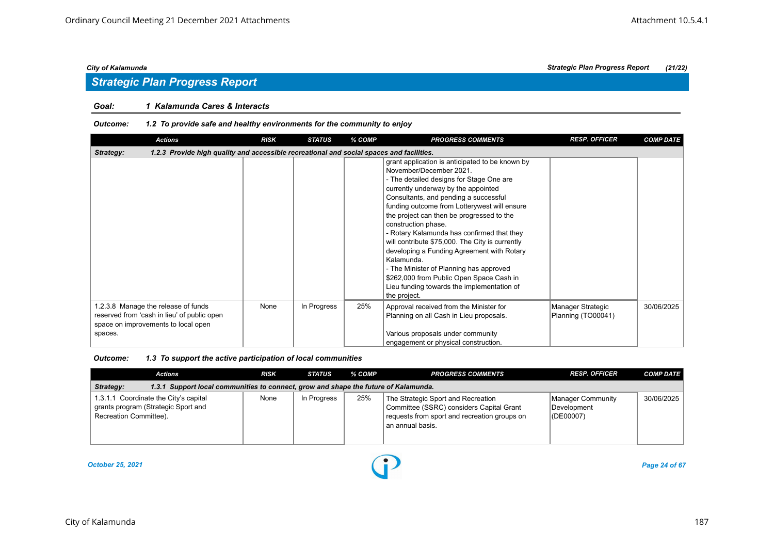### *Goal: 1 Kalamunda Cares & Interacts*

#### *Outcome: 1.2 To provide safe and healthy environments for the community to enjoy*

| <b>Actions</b>                                                                                                                       | <b>RISK</b> | <b>STATUS</b> | % COMP | <b>PROGRESS COMMENTS</b>                                                                                                                                                                                                                                                                                                                                                                                                                                                                                                                                                                                                                    | <b>RESP. OFFICER</b>                    | <b>COMP DATE</b> |  |  |  |  |
|--------------------------------------------------------------------------------------------------------------------------------------|-------------|---------------|--------|---------------------------------------------------------------------------------------------------------------------------------------------------------------------------------------------------------------------------------------------------------------------------------------------------------------------------------------------------------------------------------------------------------------------------------------------------------------------------------------------------------------------------------------------------------------------------------------------------------------------------------------------|-----------------------------------------|------------------|--|--|--|--|
| 1.2.3 Provide high quality and accessible recreational and social spaces and facilities.<br>Strategy:                                |             |               |        |                                                                                                                                                                                                                                                                                                                                                                                                                                                                                                                                                                                                                                             |                                         |                  |  |  |  |  |
|                                                                                                                                      |             |               |        | grant application is anticipated to be known by<br>November/December 2021.<br>- The detailed designs for Stage One are<br>currently underway by the appointed<br>Consultants, and pending a successful<br>funding outcome from Lotterywest will ensure<br>the project can then be progressed to the<br>construction phase.<br>- Rotary Kalamunda has confirmed that they<br>will contribute \$75,000. The City is currently<br>developing a Funding Agreement with Rotary<br>Kalamunda<br>- The Minister of Planning has approved<br>\$262,000 from Public Open Space Cash in<br>Lieu funding towards the implementation of<br>the project. |                                         |                  |  |  |  |  |
| 1.2.3.8 Manage the release of funds<br>reserved from 'cash in lieu' of public open<br>space on improvements to local open<br>spaces. | None        | In Progress   | 25%    | Approval received from the Minister for<br>Planning on all Cash in Lieu proposals.<br>Various proposals under community<br>engagement or physical construction.                                                                                                                                                                                                                                                                                                                                                                                                                                                                             | Manager Strategic<br>Planning (TO00041) | 30/06/2025       |  |  |  |  |

#### *Outcome: 1.3 To support the active participation of local communities*

| <b>Actions</b>                                                                                         | <b>RISK</b> | <b>STATUS</b> | % COMP | <b>PROGRESS COMMENTS</b>                                                                                                                             | <b>RESP. OFFICER</b>                              | <b>COMP DATE</b> |  |  |  |
|--------------------------------------------------------------------------------------------------------|-------------|---------------|--------|------------------------------------------------------------------------------------------------------------------------------------------------------|---------------------------------------------------|------------------|--|--|--|
| 1.3.1 Support local communities to connect, grow and shape the future of Kalamunda.<br>Strategy:       |             |               |        |                                                                                                                                                      |                                                   |                  |  |  |  |
| 1.3.1.1 Coordinate the City's capital<br>grants program (Strategic Sport and<br>Recreation Committee). | None        | In Progress   | 25%    | The Strategic Sport and Recreation<br>Committee (SSRC) considers Capital Grant<br>requests from sport and recreation groups on<br>l an annual basis. | Manager Community<br>Development<br>$ $ (DE00007) | 30/06/2025       |  |  |  |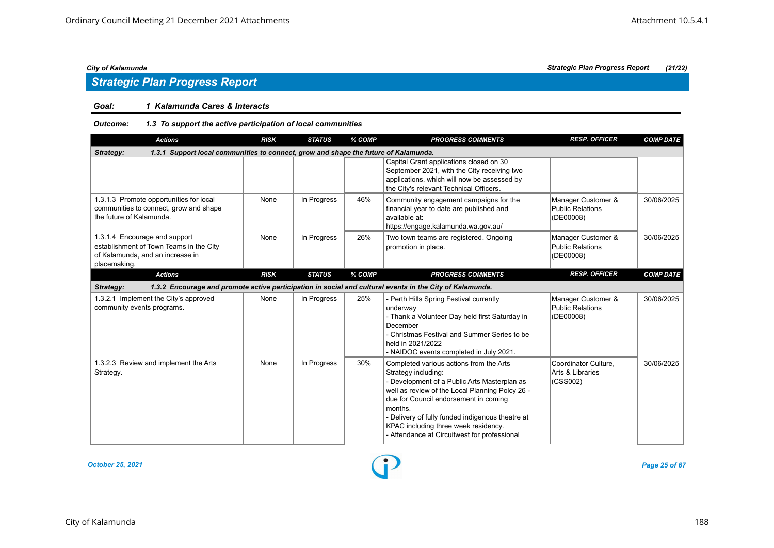## *Strategic Plan Progress Report*

### *Goal: 1 Kalamunda Cares & Interacts*

### *Outcome: 1.3 To support the active participation of local communities*

| <b>Actions</b>                                                                                                               | <b>RISK</b> | <b>STATUS</b> | % COMP | <b>PROGRESS COMMENTS</b>                                                                                                                                                                                                                                                                                                                                          | <b>RESP. OFFICER</b>                                       | <b>COMP DATE</b> |  |  |  |
|------------------------------------------------------------------------------------------------------------------------------|-------------|---------------|--------|-------------------------------------------------------------------------------------------------------------------------------------------------------------------------------------------------------------------------------------------------------------------------------------------------------------------------------------------------------------------|------------------------------------------------------------|------------------|--|--|--|
| 1.3.1 Support local communities to connect, grow and shape the future of Kalamunda.<br>Strategy:                             |             |               |        |                                                                                                                                                                                                                                                                                                                                                                   |                                                            |                  |  |  |  |
|                                                                                                                              |             |               |        | Capital Grant applications closed on 30<br>September 2021, with the City receiving two<br>applications, which will now be assessed by<br>the City's relevant Technical Officers.                                                                                                                                                                                  |                                                            |                  |  |  |  |
| 1.3.1.3 Promote opportunities for local<br>communities to connect, grow and shape<br>the future of Kalamunda.                | None        | In Progress   | 46%    | Community engagement campaigns for the<br>financial year to date are published and<br>available at:<br>https://engage.kalamunda.wa.gov.au/                                                                                                                                                                                                                        | Manager Customer &<br>Public Relations<br>(DE00008)        | 30/06/2025       |  |  |  |
| 1.3.1.4 Encourage and support<br>establishment of Town Teams in the City<br>of Kalamunda, and an increase in<br>placemaking. | None        | In Progress   | 26%    | Two town teams are registered. Ongoing<br>promotion in place.                                                                                                                                                                                                                                                                                                     | Manager Customer &<br><b>Public Relations</b><br>(DE00008) | 30/06/2025       |  |  |  |
| <b>Actions</b>                                                                                                               | <b>RISK</b> | <b>STATUS</b> | % COMP | <b>PROGRESS COMMENTS</b>                                                                                                                                                                                                                                                                                                                                          | <b>RESP. OFFICER</b>                                       | <b>COMP DATE</b> |  |  |  |
| Strategy:                                                                                                                    |             |               |        | 1.3.2 Encourage and promote active participation in social and cultural events in the City of Kalamunda.                                                                                                                                                                                                                                                          |                                                            |                  |  |  |  |
| 1.3.2.1 Implement the City's approved<br>community events programs.                                                          | None        | In Progress   | 25%    | - Perth Hills Spring Festival currently<br>underway<br>- Thank a Volunteer Day held first Saturday in<br>December<br>- Christmas Festival and Summer Series to be<br>held in 2021/2022<br>- NAIDOC events completed in July 2021.                                                                                                                                 | Manager Customer &<br>Public Relations<br>(DE00008)        | 30/06/2025       |  |  |  |
| 1.3.2.3 Review and implement the Arts<br>Strategy.                                                                           | None        | In Progress   | 30%    | Completed various actions from the Arts<br>Strategy including:<br>- Development of a Public Arts Masterplan as<br>well as review of the Local Planning Polcy 26 -<br>due for Council endorsement in coming<br>months.<br>- Delivery of fully funded indigenous theatre at<br>KPAC including three week residency.<br>- Attendance at Circuitwest for professional | Coordinator Culture.<br>Arts & Libraries<br>(CSS002)       | 30/06/2025       |  |  |  |

*October 25, 2021 Page 25 of 67*

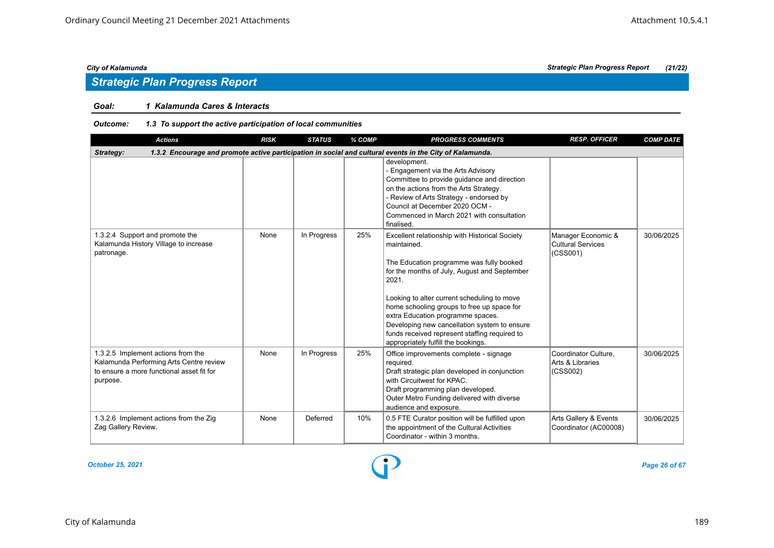## *Strategic Plan Progress Report*

### *Goal: 1 Kalamunda Cares & Interacts*

### *Outcome: 1.3 To support the active participation of local communities*

| <b>Actions</b>                                                                                                                         | <b>RISK</b> | <b>STATUS</b> | % COMP | <b>PROGRESS COMMENTS</b>                                                                                                                                                                                                                                                                                                                                                                                                                     | <b>RESP. OFFICER</b>                                       | <b>COMP DATE</b> |  |  |  |
|----------------------------------------------------------------------------------------------------------------------------------------|-------------|---------------|--------|----------------------------------------------------------------------------------------------------------------------------------------------------------------------------------------------------------------------------------------------------------------------------------------------------------------------------------------------------------------------------------------------------------------------------------------------|------------------------------------------------------------|------------------|--|--|--|
| 1.3.2 Encourage and promote active participation in social and cultural events in the City of Kalamunda.<br>Strategy:                  |             |               |        |                                                                                                                                                                                                                                                                                                                                                                                                                                              |                                                            |                  |  |  |  |
|                                                                                                                                        |             |               |        | development.<br>- Engagement via the Arts Advisory<br>Committee to provide guidance and direction<br>on the actions from the Arts Strategy.<br>- Review of Arts Strategy - endorsed by<br>Council at December 2020 OCM -<br>Commenced in March 2021 with consultation<br>finalised.                                                                                                                                                          |                                                            |                  |  |  |  |
| 1.3.2.4 Support and promote the<br>Kalamunda History Village to increase<br>patronage.                                                 | None        | In Progress   | 25%    | Excellent relationship with Historical Society<br>maintained.<br>The Education programme was fully booked<br>for the months of July, August and September<br>2021.<br>Looking to alter current scheduling to move<br>home schooling groups to free up space for<br>extra Education programme spaces.<br>Developing new cancellation system to ensure<br>funds received represent staffing required to<br>appropriately fulfill the bookings. | Manager Economic &<br><b>Cultural Services</b><br>(CSS001) | 30/06/2025       |  |  |  |
| 1.3.2.5 Implement actions from the<br>Kalamunda Performing Arts Centre review<br>to ensure a more functional asset fit for<br>purpose. | None        | In Progress   | 25%    | Office improvements complete - signage<br>required.<br>Draft strategic plan developed in conjunction<br>with Circuitwest for KPAC.<br>Draft programming plan developed.<br>Outer Metro Funding delivered with diverse<br>audience and exposure.                                                                                                                                                                                              | Coordinator Culture,<br>Arts & Libraries<br>(CSS002)       | 30/06/2025       |  |  |  |
| 1.3.2.6 Implement actions from the Zig<br>Zag Gallery Review.                                                                          | None        | Deferred      | 10%    | 0.5 FTE Curator position will be fulfilled upon<br>the appointment of the Cultural Activities<br>Coordinator - within 3 months.                                                                                                                                                                                                                                                                                                              | Arts Gallery & Events<br>Coordinator (AC00008)             | 30/06/2025       |  |  |  |

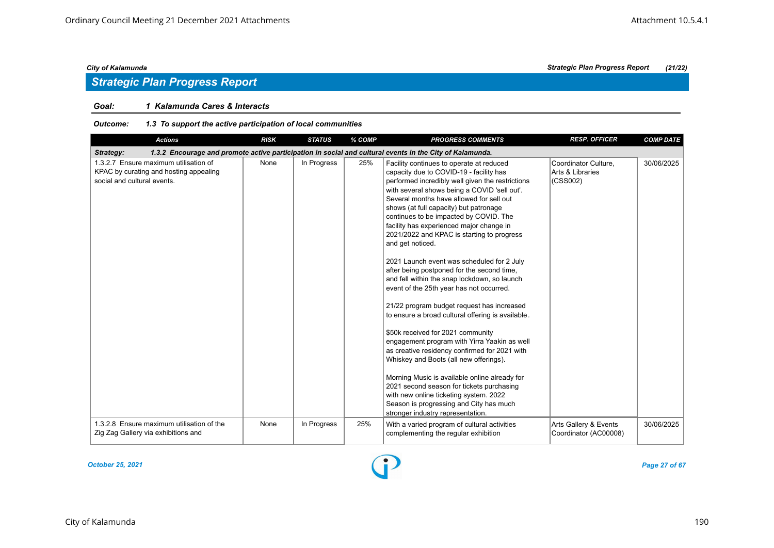## *Strategic Plan Progress Report*

### *Goal: 1 Kalamunda Cares & Interacts*

### *Outcome: 1.3 To support the active participation of local communities*

| <b>Actions</b>                                                                                                        | <b>RISK</b> | <b>STATUS</b> | % COMP | <b>PROGRESS COMMENTS</b>                                                                                                                                                                                                                                                                                                                                                                                                                                                                                                                                                                                                                                                                                                                                                                                                                                                                                                                                                                                                                                                                                                                 | <b>RESP. OFFICER</b>                                 | <b>COMP DATE</b> |  |  |  |  |
|-----------------------------------------------------------------------------------------------------------------------|-------------|---------------|--------|------------------------------------------------------------------------------------------------------------------------------------------------------------------------------------------------------------------------------------------------------------------------------------------------------------------------------------------------------------------------------------------------------------------------------------------------------------------------------------------------------------------------------------------------------------------------------------------------------------------------------------------------------------------------------------------------------------------------------------------------------------------------------------------------------------------------------------------------------------------------------------------------------------------------------------------------------------------------------------------------------------------------------------------------------------------------------------------------------------------------------------------|------------------------------------------------------|------------------|--|--|--|--|
| 1.3.2 Encourage and promote active participation in social and cultural events in the City of Kalamunda.<br>Strategy: |             |               |        |                                                                                                                                                                                                                                                                                                                                                                                                                                                                                                                                                                                                                                                                                                                                                                                                                                                                                                                                                                                                                                                                                                                                          |                                                      |                  |  |  |  |  |
| 1.3.2.7 Ensure maximum utilisation of<br>KPAC by curating and hosting appealing<br>social and cultural events.        | None        | In Progress   | 25%    | Facility continues to operate at reduced<br>capacity due to COVID-19 - facility has<br>performed incredibly well given the restrictions<br>with several shows being a COVID 'sell out'.<br>Several months have allowed for sell out<br>shows (at full capacity) but patronage<br>continues to be impacted by COVID. The<br>facility has experienced major change in<br>2021/2022 and KPAC is starting to progress<br>and get noticed.<br>2021 Launch event was scheduled for 2 July<br>after being postponed for the second time,<br>and fell within the snap lockdown, so launch<br>event of the 25th year has not occurred.<br>21/22 program budget request has increased<br>to ensure a broad cultural offering is available.<br>\$50k received for 2021 community<br>engagement program with Yirra Yaakin as well<br>as creative residency confirmed for 2021 with<br>Whiskey and Boots (all new offerings).<br>Morning Music is available online already for<br>2021 second season for tickets purchasing<br>with new online ticketing system. 2022<br>Season is progressing and City has much<br>stronger industry representation. | Coordinator Culture.<br>Arts & Libraries<br>(CSS002) | 30/06/2025       |  |  |  |  |
| 1.3.2.8 Ensure maximum utilisation of the<br>Zig Zag Gallery via exhibitions and                                      | None        | In Progress   | 25%    | With a varied program of cultural activities<br>complementing the regular exhibition                                                                                                                                                                                                                                                                                                                                                                                                                                                                                                                                                                                                                                                                                                                                                                                                                                                                                                                                                                                                                                                     | Arts Gallery & Events<br>Coordinator (AC00008)       | 30/06/2025       |  |  |  |  |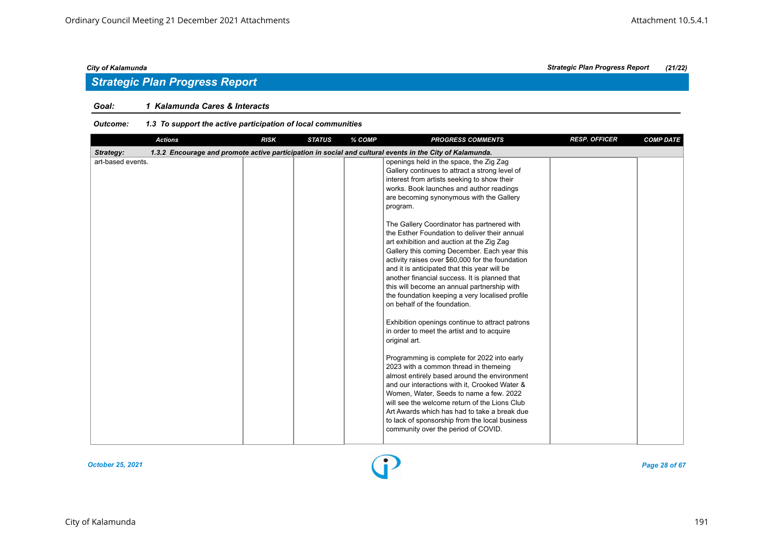## *Strategic Plan Progress Report*

### *Goal: 1 Kalamunda Cares & Interacts*

### *Outcome: 1.3 To support the active participation of local communities*

| <b>Actions</b>    | <b>RISK</b> | <b>STATUS</b> | % COMP | <b>PROGRESS COMMENTS</b>                                                                                                                                                                                                                                                                                                                                                                                                                                                                                                                                                                                                                                                                                                                                                                                                                                                                                                                                                                                                                                                                                                                                                                                                                                                        | <b>RESP. OFFICER</b> | <b>COMP DATE</b> |
|-------------------|-------------|---------------|--------|---------------------------------------------------------------------------------------------------------------------------------------------------------------------------------------------------------------------------------------------------------------------------------------------------------------------------------------------------------------------------------------------------------------------------------------------------------------------------------------------------------------------------------------------------------------------------------------------------------------------------------------------------------------------------------------------------------------------------------------------------------------------------------------------------------------------------------------------------------------------------------------------------------------------------------------------------------------------------------------------------------------------------------------------------------------------------------------------------------------------------------------------------------------------------------------------------------------------------------------------------------------------------------|----------------------|------------------|
| Strategy:         |             |               |        | 1.3.2 Encourage and promote active participation in social and cultural events in the City of Kalamunda.                                                                                                                                                                                                                                                                                                                                                                                                                                                                                                                                                                                                                                                                                                                                                                                                                                                                                                                                                                                                                                                                                                                                                                        |                      |                  |
| art-based events. |             |               |        | openings held in the space, the Zig Zag<br>Gallery continues to attract a strong level of<br>interest from artists seeking to show their<br>works. Book launches and author readings<br>are becoming synonymous with the Gallery<br>program.<br>The Gallery Coordinator has partnered with<br>the Esther Foundation to deliver their annual<br>art exhibition and auction at the Zig Zag<br>Gallery this coming December. Each year this<br>activity raises over \$60,000 for the foundation<br>and it is anticipated that this year will be<br>another financial success. It is planned that<br>this will become an annual partnership with<br>the foundation keeping a very localised profile<br>on behalf of the foundation.<br>Exhibition openings continue to attract patrons<br>in order to meet the artist and to acquire<br>original art.<br>Programming is complete for 2022 into early<br>2023 with a common thread in themeing<br>almost entirely based around the environment<br>and our interactions with it, Crooked Water &<br>Women, Water, Seeds to name a few. 2022<br>will see the welcome return of the Lions Club<br>Art Awards which has had to take a break due<br>to lack of sponsorship from the local business<br>community over the period of COVID. |                      |                  |
|                   |             |               |        |                                                                                                                                                                                                                                                                                                                                                                                                                                                                                                                                                                                                                                                                                                                                                                                                                                                                                                                                                                                                                                                                                                                                                                                                                                                                                 |                      |                  |

#### *October 25, 2021 Page 28 of 67*

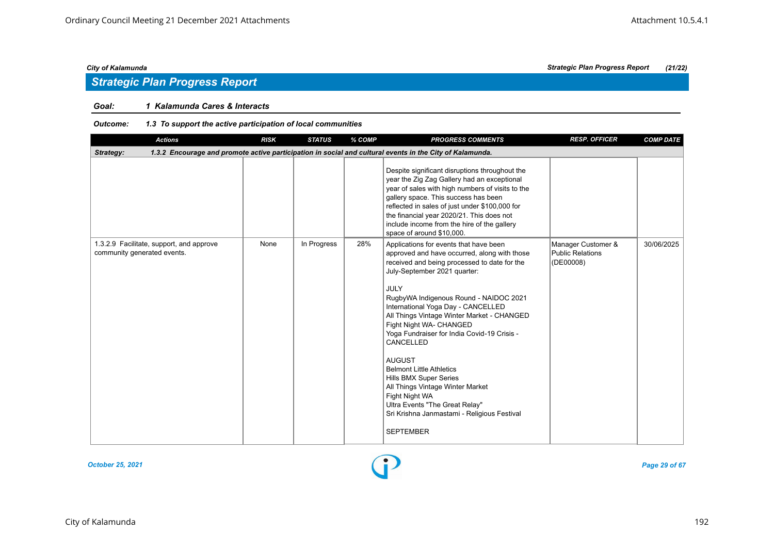### *Goal: 1 Kalamunda Cares & Interacts*

### *Outcome: 1.3 To support the active participation of local communities*

| <b>Actions</b>                                                                                                        | <b>RISK</b> | <b>STATUS</b> | % COMP | <b>PROGRESS COMMENTS</b>                                                                                                                                                                                                                                                                                                                                                                                                                                                                                                                                                                                                                            | <b>RESP. OFFICER</b>                                       | <b>COMP DATE</b> |  |  |  |
|-----------------------------------------------------------------------------------------------------------------------|-------------|---------------|--------|-----------------------------------------------------------------------------------------------------------------------------------------------------------------------------------------------------------------------------------------------------------------------------------------------------------------------------------------------------------------------------------------------------------------------------------------------------------------------------------------------------------------------------------------------------------------------------------------------------------------------------------------------------|------------------------------------------------------------|------------------|--|--|--|
| 1.3.2 Encourage and promote active participation in social and cultural events in the City of Kalamunda.<br>Strategy: |             |               |        |                                                                                                                                                                                                                                                                                                                                                                                                                                                                                                                                                                                                                                                     |                                                            |                  |  |  |  |
|                                                                                                                       |             |               |        | Despite significant disruptions throughout the<br>year the Zig Zag Gallery had an exceptional<br>year of sales with high numbers of visits to the<br>gallery space. This success has been<br>reflected in sales of just under \$100,000 for<br>the financial year 2020/21. This does not<br>include income from the hire of the gallery<br>space of around \$10,000.                                                                                                                                                                                                                                                                                |                                                            |                  |  |  |  |
| 1.3.2.9 Facilitate, support, and approve<br>community generated events.                                               | None        | In Progress   | 28%    | Applications for events that have been<br>approved and have occurred, along with those<br>received and being processed to date for the<br>July-September 2021 quarter:<br><b>JULY</b><br>RugbyWA Indigenous Round - NAIDOC 2021<br>International Yoga Day - CANCELLED<br>All Things Vintage Winter Market - CHANGED<br>Fight Night WA- CHANGED<br>Yoga Fundraiser for India Covid-19 Crisis -<br>CANCELLED<br><b>AUGUST</b><br><b>Belmont Little Athletics</b><br>Hills BMX Super Series<br>All Things Vintage Winter Market<br>Fight Night WA<br>Ultra Events "The Great Relay"<br>Sri Krishna Janmastami - Religious Festival<br><b>SEPTEMBER</b> | Manager Customer &<br><b>Public Relations</b><br>(DE00008) | 30/06/2025       |  |  |  |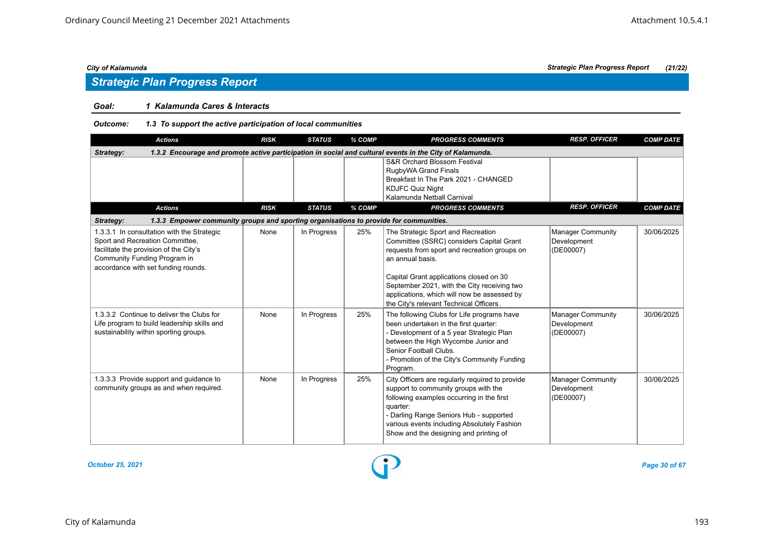## *Strategic Plan Progress Report*

### *Goal: 1 Kalamunda Cares & Interacts*

### *Outcome: 1.3 To support the active participation of local communities*

| <b>Actions</b>                                                                                                                                                                                 | <b>RISK</b> | <b>STATUS</b> | % COMP | <b>PROGRESS COMMENTS</b>                                                                                                                                                                                                                                                             | <b>RESP. OFFICER</b>                                 | <b>COMP DATE</b> |
|------------------------------------------------------------------------------------------------------------------------------------------------------------------------------------------------|-------------|---------------|--------|--------------------------------------------------------------------------------------------------------------------------------------------------------------------------------------------------------------------------------------------------------------------------------------|------------------------------------------------------|------------------|
| Strategy:                                                                                                                                                                                      |             |               |        | 1.3.2 Encourage and promote active participation in social and cultural events in the City of Kalamunda.                                                                                                                                                                             |                                                      |                  |
|                                                                                                                                                                                                |             |               |        | S&R Orchard Blossom Festival<br>RugbyWA Grand Finals<br>Breakfast In The Park 2021 - CHANGED<br><b>KDJFC Quiz Night</b><br>Kalamunda Netball Carnival                                                                                                                                |                                                      |                  |
| <b>Actions</b>                                                                                                                                                                                 | <b>RISK</b> | <b>STATUS</b> | % COMP | <b>PROGRESS COMMENTS</b>                                                                                                                                                                                                                                                             | <b>RESP. OFFICER</b>                                 | <b>COMP DATE</b> |
| 1.3.3 Empower community groups and sporting organisations to provide for communities.<br>Strategy:                                                                                             |             |               |        |                                                                                                                                                                                                                                                                                      |                                                      |                  |
| 1.3.3.1 In consultation with the Strategic<br>Sport and Recreation Committee,<br>facilitate the provision of the City's<br>Community Funding Program in<br>accordance with set funding rounds. | None        | In Progress   | 25%    | The Strategic Sport and Recreation<br>Committee (SSRC) considers Capital Grant<br>requests from sport and recreation groups on<br>an annual basis.<br>Capital Grant applications closed on 30                                                                                        | Manager Community<br>Development<br>(DE00007)        | 30/06/2025       |
|                                                                                                                                                                                                |             |               |        | September 2021, with the City receiving two<br>applications, which will now be assessed by<br>the City's relevant Technical Officers.                                                                                                                                                |                                                      |                  |
| 1.3.3.2 Continue to deliver the Clubs for<br>Life program to build leadership skills and<br>sustainability within sporting groups.                                                             | None        | In Progress   | 25%    | The following Clubs for Life programs have<br>been undertaken in the first quarter:<br>- Development of a 5 year Strategic Plan<br>between the High Wycombe Junior and<br>Senior Football Clubs.<br>- Promotion of the City's Community Funding<br>Program.                          | <b>Manager Community</b><br>Development<br>(DE00007) | 30/06/2025       |
| 1.3.3.3 Provide support and guidance to<br>community groups as and when required.                                                                                                              | None        | In Progress   | 25%    | City Officers are regularly required to provide<br>support to community groups with the<br>following examples occurring in the first<br>quarter:<br>- Darling Range Seniors Hub - supported<br>various events including Absolutely Fashion<br>Show and the designing and printing of | <b>Manager Community</b><br>Development<br>(DE00007) | 30/06/2025       |

*October 25, 2021 Page 30 of 67*

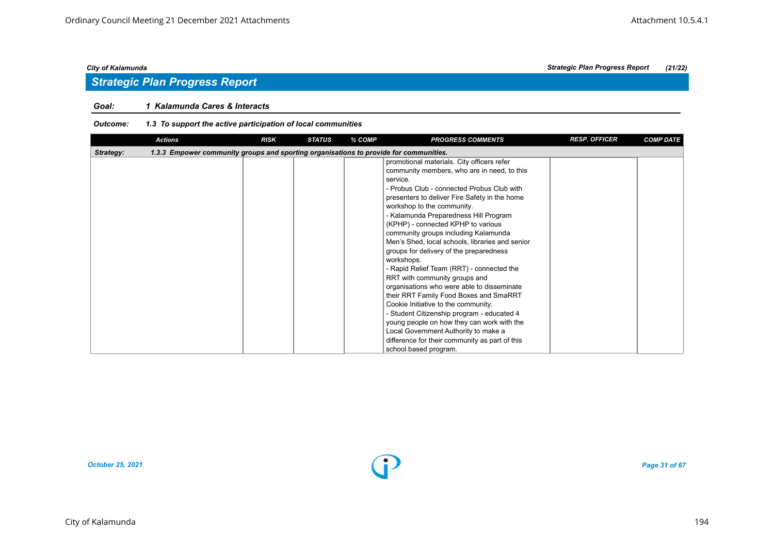### *Goal: 1 Kalamunda Cares & Interacts*

### *Outcome: 1.3 To support the active participation of local communities*

|           | <b>Actions</b>                                                                        | <b>RISK</b> | <b>STATUS</b> | % COMP | <b>PROGRESS COMMENTS</b>                        | <b>RESP. OFFICER</b> | <b>COMP DATE</b> |  |  |  |  |
|-----------|---------------------------------------------------------------------------------------|-------------|---------------|--------|-------------------------------------------------|----------------------|------------------|--|--|--|--|
| Strategy: | 1.3.3 Empower community groups and sporting organisations to provide for communities. |             |               |        |                                                 |                      |                  |  |  |  |  |
|           |                                                                                       |             |               |        | promotional materials. City officers refer      |                      |                  |  |  |  |  |
|           |                                                                                       |             |               |        | community members, who are in need, to this     |                      |                  |  |  |  |  |
|           |                                                                                       |             |               |        | service.                                        |                      |                  |  |  |  |  |
|           |                                                                                       |             |               |        | - Probus Club - connected Probus Club with      |                      |                  |  |  |  |  |
|           |                                                                                       |             |               |        | presenters to deliver Fire Safety in the home   |                      |                  |  |  |  |  |
|           |                                                                                       |             |               |        | workshop to the community.                      |                      |                  |  |  |  |  |
|           |                                                                                       |             |               |        | - Kalamunda Preparedness Hill Program           |                      |                  |  |  |  |  |
|           |                                                                                       |             |               |        | (KPHP) - connected KPHP to various              |                      |                  |  |  |  |  |
|           |                                                                                       |             |               |        | community groups including Kalamunda            |                      |                  |  |  |  |  |
|           |                                                                                       |             |               |        | Men's Shed, local schools, libraries and senior |                      |                  |  |  |  |  |
|           |                                                                                       |             |               |        | groups for delivery of the preparedness         |                      |                  |  |  |  |  |
|           |                                                                                       |             |               |        | workshops.                                      |                      |                  |  |  |  |  |
|           |                                                                                       |             |               |        | - Rapid Relief Team (RRT) - connected the       |                      |                  |  |  |  |  |
|           |                                                                                       |             |               |        | RRT with community groups and                   |                      |                  |  |  |  |  |
|           |                                                                                       |             |               |        | organisations who were able to disseminate      |                      |                  |  |  |  |  |
|           |                                                                                       |             |               |        | their RRT Family Food Boxes and SmaRRT          |                      |                  |  |  |  |  |
|           |                                                                                       |             |               |        | Cookie Initiative to the community.             |                      |                  |  |  |  |  |
|           |                                                                                       |             |               |        | - Student Citizenship program - educated 4      |                      |                  |  |  |  |  |
|           |                                                                                       |             |               |        | young people on how they can work with the      |                      |                  |  |  |  |  |
|           |                                                                                       |             |               |        | Local Government Authority to make a            |                      |                  |  |  |  |  |
|           |                                                                                       |             |               |        | difference for their community as part of this  |                      |                  |  |  |  |  |
|           |                                                                                       |             |               |        | school based program.                           |                      |                  |  |  |  |  |

*October 25, 2021 Page 31 of 67*

*City of Kalamunda Strategic Plan Progress Report (21/22)*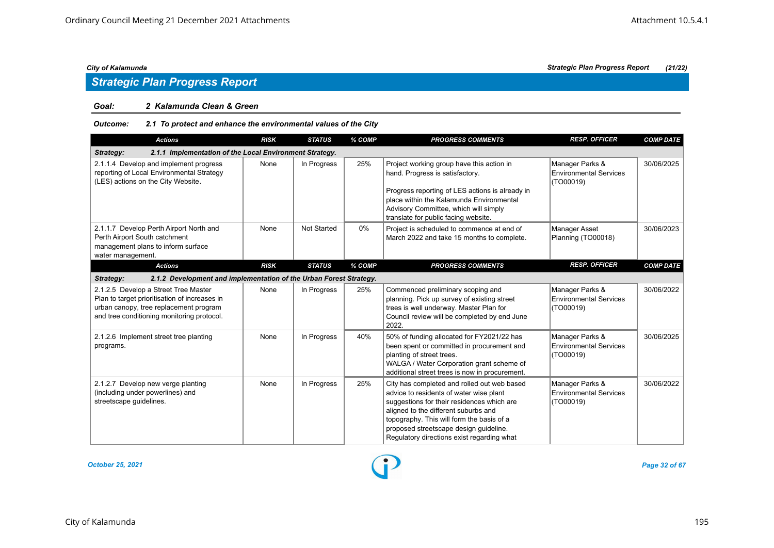## *Strategic Plan Progress Report*

#### *Goal: 2 Kalamunda Clean & Green*

#### *Outcome: 2.1 To protect and enhance the environmental values of the City*

| <b>Actions</b>                                                                                                                                                                | <b>RISK</b> | <b>STATUS</b>      | % COMP | <b>PROGRESS COMMENTS</b>                                                                                                                                                                                                                                                                                          | <b>RESP. OFFICER</b>                                          | <b>COMP DATE</b> |  |  |  |  |
|-------------------------------------------------------------------------------------------------------------------------------------------------------------------------------|-------------|--------------------|--------|-------------------------------------------------------------------------------------------------------------------------------------------------------------------------------------------------------------------------------------------------------------------------------------------------------------------|---------------------------------------------------------------|------------------|--|--|--|--|
| 2.1.1 Implementation of the Local Environment Strategy.<br>Strategy:                                                                                                          |             |                    |        |                                                                                                                                                                                                                                                                                                                   |                                                               |                  |  |  |  |  |
| 2.1.1.4 Develop and implement progress<br>reporting of Local Environmental Strategy<br>(LES) actions on the City Website.                                                     | None        | In Progress        | 25%    | Project working group have this action in<br>hand. Progress is satisfactory.<br>Progress reporting of LES actions is already in<br>place within the Kalamunda Environmental<br>Advisory Committee, which will simply<br>translate for public facing website.                                                      | Manager Parks &<br><b>Environmental Services</b><br>(TO00019) | 30/06/2025       |  |  |  |  |
| 2.1.1.7 Develop Perth Airport North and<br>Perth Airport South catchment<br>management plans to inform surface<br>water management.                                           | None        | <b>Not Started</b> | $0\%$  | Project is scheduled to commence at end of<br>March 2022 and take 15 months to complete.                                                                                                                                                                                                                          | Manager Asset<br>Planning (TO00018)                           | 30/06/2023       |  |  |  |  |
| <b>Actions</b>                                                                                                                                                                | <b>RISK</b> | <b>STATUS</b>      | % COMP | <b>PROGRESS COMMENTS</b>                                                                                                                                                                                                                                                                                          | <b>RESP. OFFICER</b>                                          | <b>COMP DATE</b> |  |  |  |  |
| 2.1.2 Development and implementation of the Urban Forest Strategy.<br>Strategy:                                                                                               |             |                    |        |                                                                                                                                                                                                                                                                                                                   |                                                               |                  |  |  |  |  |
| 2.1.2.5 Develop a Street Tree Master<br>Plan to target prioritisation of increases in<br>urban canopy, tree replacement program<br>and tree conditioning monitoring protocol. | None        | In Progress        | 25%    | Commenced preliminary scoping and<br>planning. Pick up survey of existing street<br>trees is well underway. Master Plan for<br>Council review will be completed by end June<br>2022.                                                                                                                              | Manager Parks &<br><b>Environmental Services</b><br>(TO00019) | 30/06/2022       |  |  |  |  |
| 2.1.2.6 Implement street tree planting<br>programs.                                                                                                                           | None        | In Progress        | 40%    | 50% of funding allocated for FY2021/22 has<br>been spent or committed in procurement and<br>planting of street trees.<br>WALGA / Water Corporation grant scheme of<br>additional street trees is now in procurement.                                                                                              | Manager Parks &<br><b>Environmental Services</b><br>(TO00019) | 30/06/2025       |  |  |  |  |
| 2.1.2.7 Develop new verge planting<br>(including under powerlines) and<br>streetscape guidelines.                                                                             | None        | In Progress        | 25%    | City has completed and rolled out web based<br>advice to residents of water wise plant<br>suggestions for their residences which are<br>aligned to the different suburbs and<br>topography. This will form the basis of a<br>proposed streetscape design quideline.<br>Regulatory directions exist regarding what | Manager Parks &<br>Environmental Services<br>(TO00019)        | 30/06/2022       |  |  |  |  |

*October 25, 2021 Page 32 of 67*

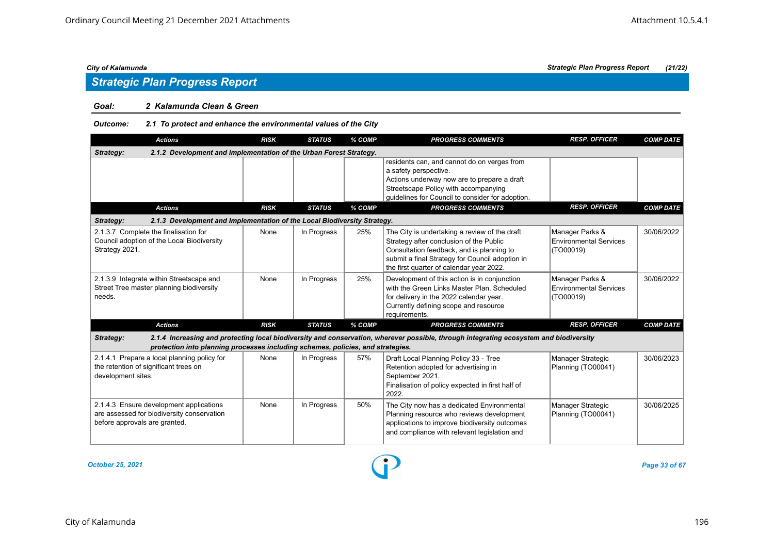### *Goal: 2 Kalamunda Clean & Green*

### *Outcome: 2.1 To protect and enhance the environmental values of the City*

| <b>Actions</b>                                                                                                         | <b>RISK</b> | <b>STATUS</b> | % COMP | <b>PROGRESS COMMENTS</b>                                                                                                                                                                                                             | <b>RESP. OFFICER</b>                                          | <b>COMP DATE</b> |  |  |  |  |
|------------------------------------------------------------------------------------------------------------------------|-------------|---------------|--------|--------------------------------------------------------------------------------------------------------------------------------------------------------------------------------------------------------------------------------------|---------------------------------------------------------------|------------------|--|--|--|--|
| 2.1.2 Development and implementation of the Urban Forest Strategy.<br>Strategy:                                        |             |               |        |                                                                                                                                                                                                                                      |                                                               |                  |  |  |  |  |
|                                                                                                                        |             |               |        | residents can, and cannot do on verges from<br>a safety perspective.<br>Actions underway now are to prepare a draft<br>Streetscape Policy with accompanying<br>guidelines for Council to consider for adoption.                      |                                                               |                  |  |  |  |  |
| <b>Actions</b>                                                                                                         | <b>RISK</b> | <b>STATUS</b> | % COMP | <b>PROGRESS COMMENTS</b>                                                                                                                                                                                                             | <b>RESP. OFFICER</b>                                          | <b>COMP DATE</b> |  |  |  |  |
| 2.1.3 Development and Implementation of the Local Biodiversity Strategy.<br>Strategy:                                  |             |               |        |                                                                                                                                                                                                                                      |                                                               |                  |  |  |  |  |
| 2.1.3.7 Complete the finalisation for<br>Council adoption of the Local Biodiversity<br>Strategy 2021.                  | None        | In Progress   | 25%    | The City is undertaking a review of the draft<br>Strategy after conclusion of the Public<br>Consultation feedback, and is planning to<br>submit a final Strategy for Council adoption in<br>the first quarter of calendar year 2022. | Manager Parks &<br><b>Environmental Services</b><br>(TO00019) | 30/06/2022       |  |  |  |  |
| 2.1.3.9 Integrate within Streetscape and<br>Street Tree master planning biodiversity<br>needs.                         | None        | In Progress   | 25%    | Development of this action is in conjunction<br>with the Green Links Master Plan, Scheduled<br>for delivery in the 2022 calendar year.<br>Currently defining scope and resource<br>requirements.                                     | Manager Parks &<br>Environmental Services<br>(TO00019)        | 30/06/2022       |  |  |  |  |
| <b>Actions</b>                                                                                                         | <b>RISK</b> | <b>STATUS</b> | % COMP | <b>PROGRESS COMMENTS</b>                                                                                                                                                                                                             | <b>RESP. OFFICER</b>                                          | <b>COMP DATE</b> |  |  |  |  |
| Strategy:<br>protection into planning processes including schemes, policies, and strategies.                           |             |               |        | 2.1.4 Increasing and protecting local biodiversity and conservation, wherever possible, through integrating ecosystem and biodiversity                                                                                               |                                                               |                  |  |  |  |  |
| 2.1.4.1 Prepare a local planning policy for<br>the retention of significant trees on<br>development sites.             | None        | In Progress   | 57%    | Draft Local Planning Policy 33 - Tree<br>Retention adopted for advertising in<br>September 2021.<br>Finalisation of policy expected in first half of<br>2022.                                                                        | Manager Strategic<br>Planning (TO00041)                       | 30/06/2023       |  |  |  |  |
| 2.1.4.3 Ensure development applications<br>are assessed for biodiversity conservation<br>before approvals are granted. | None        | In Progress   | 50%    | The City now has a dedicated Environmental<br>Planning resource who reviews development<br>applications to improve biodiversity outcomes<br>and compliance with relevant legislation and                                             | Manager Strategic<br>Planning (TO00041)                       | 30/06/2025       |  |  |  |  |

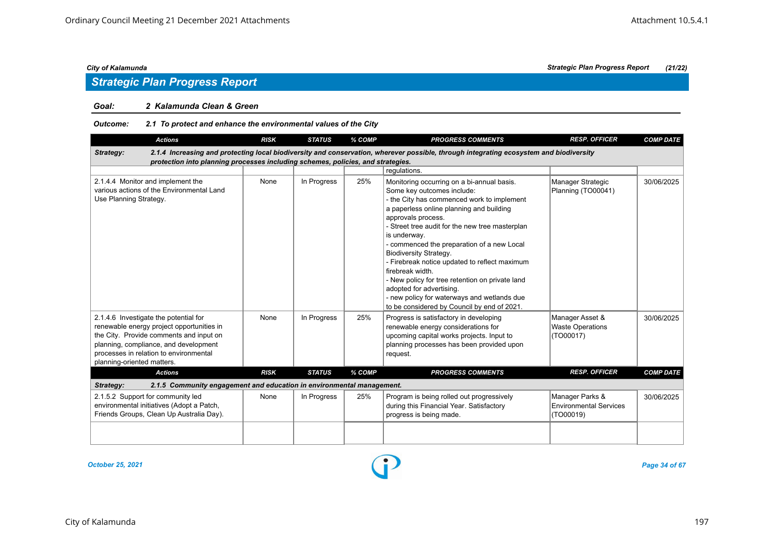## *Strategic Plan Progress Report*

### *Goal: 2 Kalamunda Clean & Green*

### *Outcome: 2.1 To protect and enhance the environmental values of the City*

| <b>Actions</b>                                                                                                                                                                                                                                 | <b>RISK</b> | <b>STATUS</b> | % COMP | <b>PROGRESS COMMENTS</b>                                                                                                                                                                                                                                                                                                                                                                                                                                                                                                                                                                     | <b>RESP. OFFICER</b>                                          | <b>COMP DATE</b> |  |  |  |  |
|------------------------------------------------------------------------------------------------------------------------------------------------------------------------------------------------------------------------------------------------|-------------|---------------|--------|----------------------------------------------------------------------------------------------------------------------------------------------------------------------------------------------------------------------------------------------------------------------------------------------------------------------------------------------------------------------------------------------------------------------------------------------------------------------------------------------------------------------------------------------------------------------------------------------|---------------------------------------------------------------|------------------|--|--|--|--|
| Strategy:<br>2.1.4 Increasing and protecting local biodiversity and conservation, wherever possible, through integrating ecosystem and biodiversity                                                                                            |             |               |        |                                                                                                                                                                                                                                                                                                                                                                                                                                                                                                                                                                                              |                                                               |                  |  |  |  |  |
| protection into planning processes including schemes, policies, and strategies.                                                                                                                                                                |             |               |        |                                                                                                                                                                                                                                                                                                                                                                                                                                                                                                                                                                                              |                                                               |                  |  |  |  |  |
|                                                                                                                                                                                                                                                |             |               |        | regulations.                                                                                                                                                                                                                                                                                                                                                                                                                                                                                                                                                                                 |                                                               |                  |  |  |  |  |
| 2.1.4.4 Monitor and implement the<br>various actions of the Environmental Land<br>Use Planning Strategy.                                                                                                                                       | None        | In Progress   | 25%    | Monitoring occurring on a bi-annual basis.<br>Some key outcomes include:<br>- the City has commenced work to implement<br>a paperless online planning and building<br>approvals process.<br>- Street tree audit for the new tree masterplan<br>is underway.<br>- commenced the preparation of a new Local<br><b>Biodiversity Strategy.</b><br>- Firebreak notice updated to reflect maximum<br>firebreak width.<br>- New policy for tree retention on private land<br>adopted for advertising.<br>- new policy for waterways and wetlands due<br>to be considered by Council by end of 2021. | Manager Strategic<br>Planning (TO00041)                       | 30/06/2025       |  |  |  |  |
| 2.1.4.6 Investigate the potential for<br>renewable energy project opportunities in<br>the City. Provide comments and input on<br>planning, compliance, and development<br>processes in relation to environmental<br>planning-oriented matters. | None        | In Progress   | 25%    | Progress is satisfactory in developing<br>renewable energy considerations for<br>upcoming capital works projects. Input to<br>planning processes has been provided upon<br>request.                                                                                                                                                                                                                                                                                                                                                                                                          | Manager Asset &<br><b>Waste Operations</b><br>(TO00017)       | 30/06/2025       |  |  |  |  |
| <b>Actions</b>                                                                                                                                                                                                                                 | <b>RISK</b> | <b>STATUS</b> | % COMP | <b>PROGRESS COMMENTS</b>                                                                                                                                                                                                                                                                                                                                                                                                                                                                                                                                                                     | <b>RESP. OFFICER</b>                                          | <b>COMP DATE</b> |  |  |  |  |
| Strategy:<br>2.1.5 Community engagement and education in environmental management.                                                                                                                                                             |             |               |        |                                                                                                                                                                                                                                                                                                                                                                                                                                                                                                                                                                                              |                                                               |                  |  |  |  |  |
| 2.1.5.2 Support for community led<br>environmental initiatives (Adopt a Patch,<br>Friends Groups, Clean Up Australia Day).                                                                                                                     | None        | In Progress   | 25%    | Program is being rolled out progressively<br>during this Financial Year. Satisfactory<br>progress is being made.                                                                                                                                                                                                                                                                                                                                                                                                                                                                             | Manager Parks &<br><b>Environmental Services</b><br>(TO00019) | 30/06/2025       |  |  |  |  |
|                                                                                                                                                                                                                                                |             |               |        |                                                                                                                                                                                                                                                                                                                                                                                                                                                                                                                                                                                              |                                                               |                  |  |  |  |  |

*October 25, 2021 Page 34 of 67*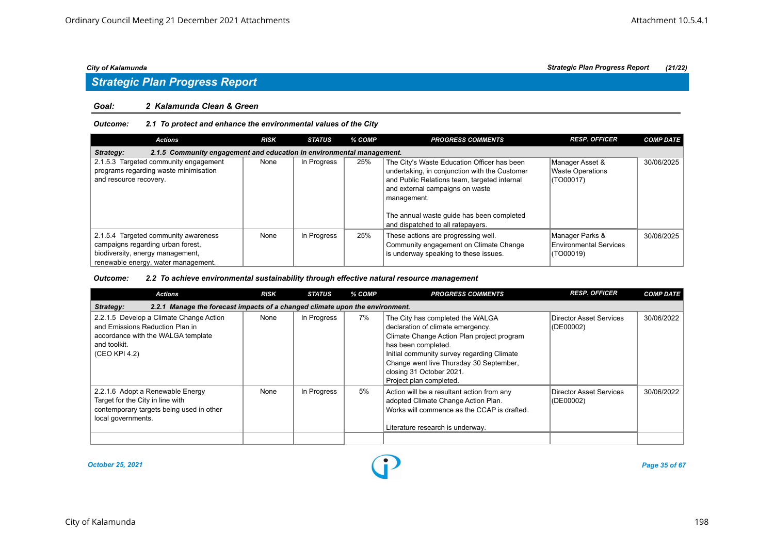## *Strategic Plan Progress Report*

#### *Goal: 2 Kalamunda Clean & Green*

#### *Outcome: 2.1 To protect and enhance the environmental values of the City*

| <b>Actions</b>                                                                                                                                       | <b>RISK</b> | <b>STATUS</b> | % COMP | <b>PROGRESS COMMENTS</b>                                                                                                                                                                                                                                                         | <b>RESP. OFFICER</b>                                          | <b>COMP DATE</b> |  |  |  |
|------------------------------------------------------------------------------------------------------------------------------------------------------|-------------|---------------|--------|----------------------------------------------------------------------------------------------------------------------------------------------------------------------------------------------------------------------------------------------------------------------------------|---------------------------------------------------------------|------------------|--|--|--|
| 2.1.5 Community engagement and education in environmental management.<br>Strategy:                                                                   |             |               |        |                                                                                                                                                                                                                                                                                  |                                                               |                  |  |  |  |
| 2.1.5.3 Targeted community engagement<br>programs regarding waste minimisation<br>and resource recovery.                                             | None        | In Progress   | 25%    | The City's Waste Education Officer has been<br>undertaking, in conjunction with the Customer<br>and Public Relations team, targeted internal<br>and external campaigns on waste<br>management.<br>The annual waste guide has been completed<br>and dispatched to all ratepayers. | Manager Asset &<br>Waste Operations<br>(TO00017)              | 30/06/2025       |  |  |  |
| 2.1.5.4 Targeted community awareness<br>campaigns regarding urban forest,<br>biodiversity, energy management,<br>renewable energy, water management. | None        | In Progress   | 25%    | These actions are progressing well.<br>Community engagement on Climate Change<br>is underway speaking to these issues.                                                                                                                                                           | Manager Parks &<br><b>Environmental Services</b><br>(TO00019) | 30/06/2025       |  |  |  |

#### *Outcome: 2.2 To achieve environmental sustainability through effective natural resource management*

| <b>Actions</b>                                                                                                                                    | <b>RISK</b> | <b>STATUS</b> | % COMP | <b>PROGRESS COMMENTS</b>                                                                                                                                                                                                                                                                   | <b>RESP. OFFICER</b>                 | <b>COMP DATE</b> |  |  |  |  |
|---------------------------------------------------------------------------------------------------------------------------------------------------|-------------|---------------|--------|--------------------------------------------------------------------------------------------------------------------------------------------------------------------------------------------------------------------------------------------------------------------------------------------|--------------------------------------|------------------|--|--|--|--|
| 2.2.1 Manage the forecast impacts of a changed climate upon the environment.<br>Strategy:                                                         |             |               |        |                                                                                                                                                                                                                                                                                            |                                      |                  |  |  |  |  |
| 2.2.1.5 Develop a Climate Change Action<br>and Emissions Reduction Plan in<br>accordance with the WALGA template<br>and toolkit.<br>(CEO KPI 4.2) | None        | In Progress   | 7%     | The City has completed the WALGA<br>declaration of climate emergency.<br>Climate Change Action Plan project program<br>has been completed.<br>Initial community survey regarding Climate<br>Change went live Thursday 30 September,<br>closing 31 October 2021.<br>Project plan completed. | Director Asset Services<br>(DE00002) | 30/06/2022       |  |  |  |  |
| 2.2.1.6 Adopt a Renewable Energy<br>Target for the City in line with<br>contemporary targets being used in other<br>local governments.            | None        | In Progress   | 5%     | Action will be a resultant action from any<br>adopted Climate Change Action Plan.<br>Works will commence as the CCAP is drafted.<br>Literature research is underway.                                                                                                                       | Director Asset Services<br>(DE00002) | 30/06/2022       |  |  |  |  |

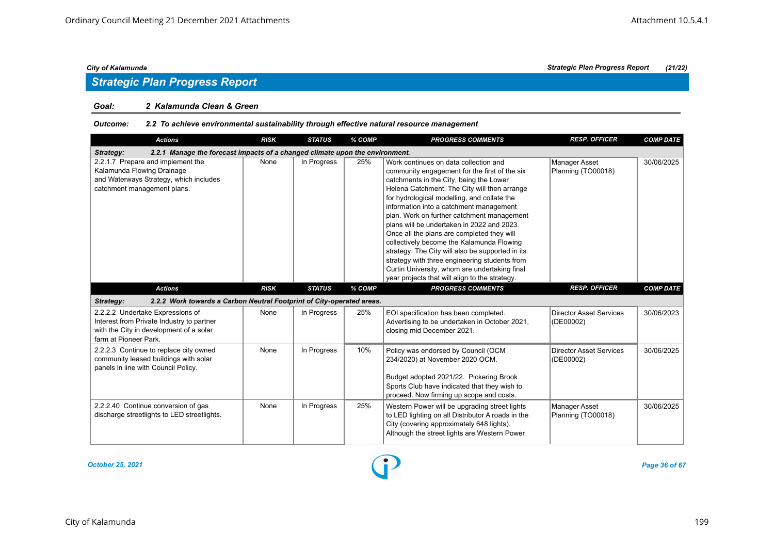## *Strategic Plan Progress Report*

#### *Goal: 2 Kalamunda Clean & Green*

### *Outcome: 2.2 To achieve environmental sustainability through effective natural resource management*

| <b>Actions</b>                                                                                                                                    | <b>RISK</b> | <b>STATUS</b> | % COMP | <b>PROGRESS COMMENTS</b>                                                                                                                                                                                                                                                                                                                                                                                                                                                                                                                                                                                                                                                   | <b>RESP. OFFICER</b>                        | <b>COMP DATE</b> |  |  |  |  |
|---------------------------------------------------------------------------------------------------------------------------------------------------|-------------|---------------|--------|----------------------------------------------------------------------------------------------------------------------------------------------------------------------------------------------------------------------------------------------------------------------------------------------------------------------------------------------------------------------------------------------------------------------------------------------------------------------------------------------------------------------------------------------------------------------------------------------------------------------------------------------------------------------------|---------------------------------------------|------------------|--|--|--|--|
| 2.2.1 Manage the forecast impacts of a changed climate upon the environment.<br>Strategy:                                                         |             |               |        |                                                                                                                                                                                                                                                                                                                                                                                                                                                                                                                                                                                                                                                                            |                                             |                  |  |  |  |  |
| 2.2.1.7 Prepare and implement the<br>Kalamunda Flowing Drainage<br>and Waterways Strategy, which includes<br>catchment management plans.          | None        | In Progress   | 25%    | Work continues on data collection and<br>community engagement for the first of the six<br>catchments in the City, being the Lower<br>Helena Catchment. The City will then arrange<br>for hydrological modelling, and collate the<br>information into a catchment management<br>plan. Work on further catchment management<br>plans will be undertaken in 2022 and 2023.<br>Once all the plans are completed they will<br>collectively become the Kalamunda Flowing<br>strategy. The City will also be supported in its<br>strategy with three engineering students from<br>Curtin University, whom are undertaking final<br>year projects that will align to the strategy. | Manager Asset<br>Planning (TO00018)         | 30/06/2025       |  |  |  |  |
| <b>Actions</b>                                                                                                                                    | <b>RISK</b> | <b>STATUS</b> | % COMP | <b>PROGRESS COMMENTS</b>                                                                                                                                                                                                                                                                                                                                                                                                                                                                                                                                                                                                                                                   | <b>RESP. OFFICER</b>                        | <b>COMP DATE</b> |  |  |  |  |
| 2.2.2 Work towards a Carbon Neutral Footprint of City-operated areas.<br>Strategy:                                                                |             |               |        |                                                                                                                                                                                                                                                                                                                                                                                                                                                                                                                                                                                                                                                                            |                                             |                  |  |  |  |  |
| 2.2.2.2 Undertake Expressions of<br>Interest from Private Industry to partner<br>with the City in development of a solar<br>farm at Pioneer Park. | None        | In Progress   | 25%    | EOI specification has been completed.<br>Advertising to be undertaken in October 2021,<br>closing mid December 2021.                                                                                                                                                                                                                                                                                                                                                                                                                                                                                                                                                       | <b>Director Asset Services</b><br>(DE00002) | 30/06/2023       |  |  |  |  |
| 2.2.2.3 Continue to replace city owned<br>community leased buildings with solar<br>panels in line with Council Policy.                            | None        | In Progress   | 10%    | Policy was endorsed by Council (OCM<br>234/2020) at November 2020 OCM.<br>Budget adopted 2021/22. Pickering Brook<br>Sports Club have indicated that they wish to<br>proceed. Now firming up scope and costs.                                                                                                                                                                                                                                                                                                                                                                                                                                                              | <b>Director Asset Services</b><br>(DE00002) | 30/06/2025       |  |  |  |  |
| 2.2.2.40 Continue conversion of gas<br>discharge streetlights to LED streetlights.                                                                | None        | In Progress   | 25%    | Western Power will be upgrading street lights<br>to LED lighting on all Distributor A roads in the<br>City (covering approximately 648 lights).<br>Although the street lights are Western Power                                                                                                                                                                                                                                                                                                                                                                                                                                                                            | <b>Manager Asset</b><br>Planning (TO00018)  | 30/06/2025       |  |  |  |  |

*October 25, 2021 Page 36 of 67*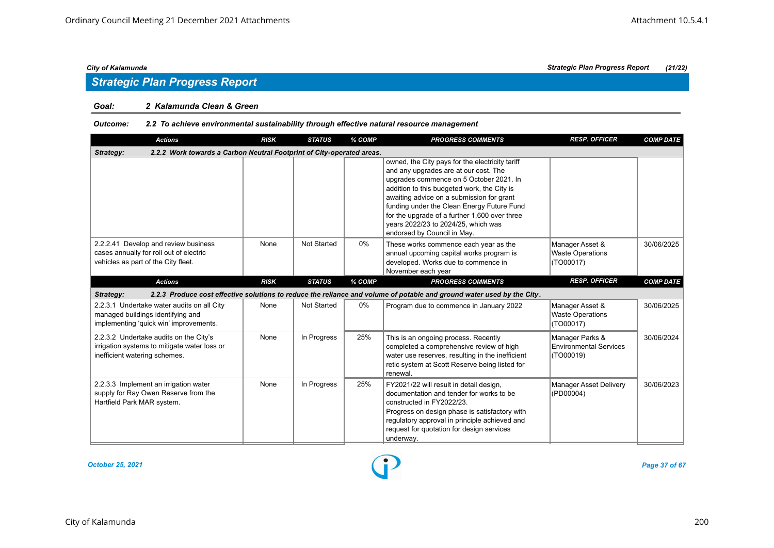## *Strategic Plan Progress Report*

### *Goal: 2 Kalamunda Clean & Green*

#### *Outcome: 2.2 To achieve environmental sustainability through effective natural resource management*

| <b>Actions</b>                                                                                                            | <b>RISK</b> | <b>STATUS</b>      | % COMP | <b>PROGRESS COMMENTS</b>                                                                                                                                                                                                                                                                                                                                                                             | <b>RESP. OFFICER</b>                                    | <b>COMP DATE</b> |  |  |  |  |
|---------------------------------------------------------------------------------------------------------------------------|-------------|--------------------|--------|------------------------------------------------------------------------------------------------------------------------------------------------------------------------------------------------------------------------------------------------------------------------------------------------------------------------------------------------------------------------------------------------------|---------------------------------------------------------|------------------|--|--|--|--|
| 2.2.2 Work towards a Carbon Neutral Footprint of City-operated areas.<br>Strategy:                                        |             |                    |        |                                                                                                                                                                                                                                                                                                                                                                                                      |                                                         |                  |  |  |  |  |
|                                                                                                                           |             |                    |        | owned, the City pays for the electricity tariff<br>and any upgrades are at our cost. The<br>upgrades commence on 5 October 2021. In<br>addition to this budgeted work, the City is<br>awaiting advice on a submission for grant<br>funding under the Clean Energy Future Fund<br>for the upgrade of a further 1,600 over three<br>years 2022/23 to 2024/25, which was<br>endorsed by Council in May. |                                                         |                  |  |  |  |  |
| 2.2.2.41 Develop and review business<br>cases annually for roll out of electric<br>vehicles as part of the City fleet.    | None        | <b>Not Started</b> | 0%     | These works commence each year as the<br>annual upcoming capital works program is<br>developed. Works due to commence in<br>November each year                                                                                                                                                                                                                                                       | Manager Asset &<br><b>Waste Operations</b><br>(TO00017) | 30/06/2025       |  |  |  |  |
| <b>Actions</b>                                                                                                            | <b>RISK</b> | <b>STATUS</b>      | % COMP | <b>PROGRESS COMMENTS</b>                                                                                                                                                                                                                                                                                                                                                                             | <b>RESP. OFFICER</b>                                    | <b>COMP DATE</b> |  |  |  |  |
| <b>Strategy:</b>                                                                                                          |             |                    |        | 2.2.3 Produce cost effective solutions to reduce the reliance and volume of potable and ground water used by the City.                                                                                                                                                                                                                                                                               |                                                         |                  |  |  |  |  |
| 2.2.3.1 Undertake water audits on all City<br>managed buildings identifying and<br>implementing 'quick win' improvements. | None        | <b>Not Started</b> | 0%     | Program due to commence in January 2022                                                                                                                                                                                                                                                                                                                                                              | Manager Asset &<br><b>Waste Operations</b><br>(TO00017) | 30/06/2025       |  |  |  |  |
| 2.2.3.2 Undertake audits on the City's<br>irrigation systems to mitigate water loss or<br>inefficient watering schemes.   | None        | In Progress        | 25%    | This is an ongoing process. Recently<br>completed a comprehensive review of high<br>water use reserves, resulting in the inefficient<br>retic system at Scott Reserve being listed for<br>renewal.                                                                                                                                                                                                   | Manager Parks &<br>Environmental Services<br>(TO00019)  | 30/06/2024       |  |  |  |  |
| 2.2.3.3 Implement an irrigation water<br>supply for Ray Owen Reserve from the<br>Hartfield Park MAR system.               | None        | In Progress        | 25%    | FY2021/22 will result in detail design,<br>documentation and tender for works to be<br>constructed in FY2022/23.<br>Progress on design phase is satisfactory with<br>regulatory approval in principle achieved and<br>request for quotation for design services<br>underway.                                                                                                                         | <b>Manager Asset Delivery</b><br>(PD00004)              | 30/06/2023       |  |  |  |  |

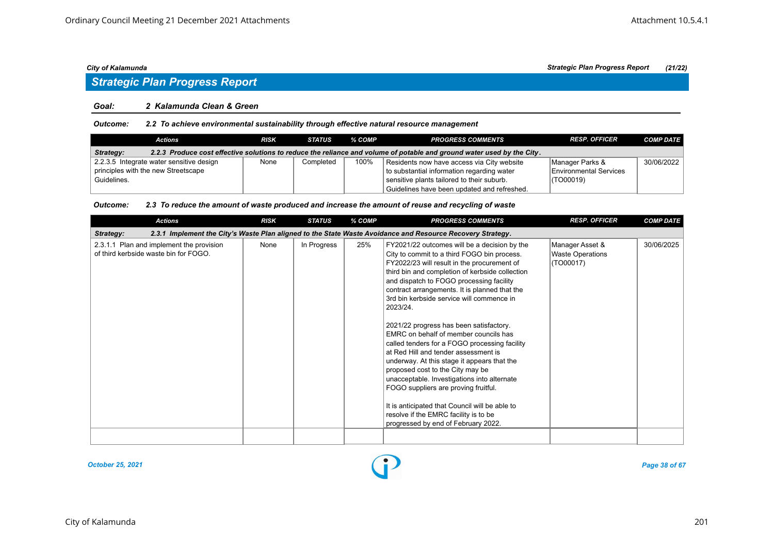### *Strategic Plan Progress Report*

#### *Goal: 2 Kalamunda Clean & Green*

### *Outcome: 2.2 To achieve environmental sustainability through effective natural resource management*

| Actions                                  | <b>RISK</b> | <b>STATUS</b> | % COMP | <b>PROGRESS COMMENTS</b>                                                                                               | <b>RESP. OFFICER</b>          | <b>COMP DATE</b> |
|------------------------------------------|-------------|---------------|--------|------------------------------------------------------------------------------------------------------------------------|-------------------------------|------------------|
| Strategy:                                |             |               |        | 2.2.3 Produce cost effective solutions to reduce the reliance and volume of potable and ground water used by the City. |                               |                  |
| 2.2.3.5 Integrate water sensitive design | None        | Completed     | 100%   | Residents now have access via City website                                                                             | Manager Parks &               | 30/06/2022       |
| principles with the new Streetscape      |             |               |        | to substantial information regarding water                                                                             | <b>Environmental Services</b> |                  |
| Guidelines.                              |             |               |        | sensitive plants tailored to their suburb.                                                                             | I(TO00019)                    |                  |
|                                          |             |               |        | Guidelines have been updated and refreshed.                                                                            |                               |                  |

#### *Outcome: 2.3 To reduce the amount of waste produced and increase the amount of reuse and recycling of waste*

| <b>Actions</b>                                                                                                          | <b>RISK</b> | <b>STATUS</b> | % COMP | <b>PROGRESS COMMENTS</b>                                                                                                                                                                                                                                                                                                                                                                                                                                                                                                                                                                                                                                                                                                                                                                                                                     | <b>RESP. OFFICER</b>                                    | <b>COMP DATE</b> |  |  |  |  |
|-------------------------------------------------------------------------------------------------------------------------|-------------|---------------|--------|----------------------------------------------------------------------------------------------------------------------------------------------------------------------------------------------------------------------------------------------------------------------------------------------------------------------------------------------------------------------------------------------------------------------------------------------------------------------------------------------------------------------------------------------------------------------------------------------------------------------------------------------------------------------------------------------------------------------------------------------------------------------------------------------------------------------------------------------|---------------------------------------------------------|------------------|--|--|--|--|
| 2.3.1 Implement the City's Waste Plan aligned to the State Waste Avoidance and Resource Recovery Strategy.<br>Strategy: |             |               |        |                                                                                                                                                                                                                                                                                                                                                                                                                                                                                                                                                                                                                                                                                                                                                                                                                                              |                                                         |                  |  |  |  |  |
| 2.3.1.1 Plan and implement the provision<br>of third kerbside waste bin for FOGO.                                       | None        | In Progress   | 25%    | FY2021/22 outcomes will be a decision by the<br>City to commit to a third FOGO bin process.<br>FY2022/23 will result in the procurement of<br>third bin and completion of kerbside collection<br>and dispatch to FOGO processing facility<br>contract arrangements. It is planned that the<br>3rd bin kerbside service will commence in<br>2023/24.<br>2021/22 progress has been satisfactory.<br>EMRC on behalf of member councils has<br>called tenders for a FOGO processing facility<br>at Red Hill and tender assessment is<br>underway. At this stage it appears that the<br>proposed cost to the City may be<br>unacceptable. Investigations into alternate<br>FOGO suppliers are proving fruitful.<br>It is anticipated that Council will be able to<br>resolve if the EMRC facility is to be<br>progressed by end of February 2022. | Manager Asset &<br><b>Waste Operations</b><br>(TO00017) | 30/06/2025       |  |  |  |  |
|                                                                                                                         |             |               |        |                                                                                                                                                                                                                                                                                                                                                                                                                                                                                                                                                                                                                                                                                                                                                                                                                                              |                                                         |                  |  |  |  |  |

*October 25, 2021 Page 38 of 67*

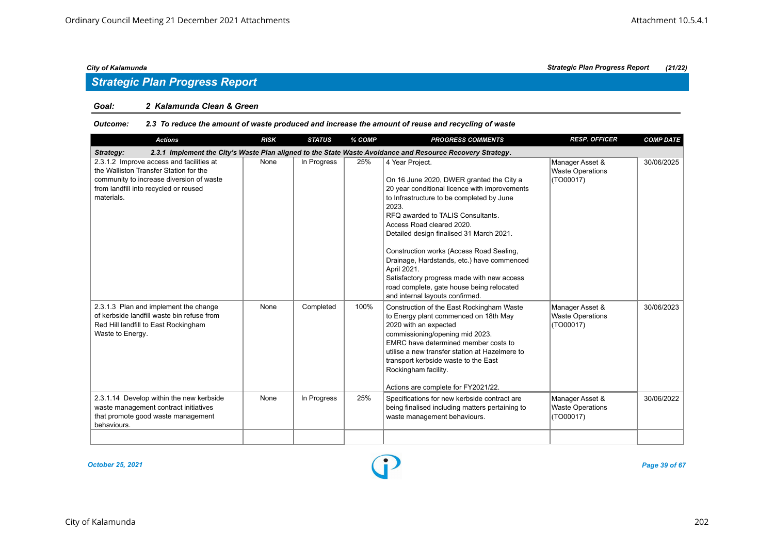## *Strategic Plan Progress Report*

#### *Goal: 2 Kalamunda Clean & Green*

#### *Outcome: 2.3 To reduce the amount of waste produced and increase the amount of reuse and recycling of waste*

| <b>Actions</b>                                                                                                                                                                        | <b>RISK</b> | <b>STATUS</b> | % COMP | <b>PROGRESS COMMENTS</b>                                                                                                                                                                                                                                                                                                                                                                                                                                                                                                | <b>RESP. OFFICER</b>                                    | <b>COMP DATE</b> |
|---------------------------------------------------------------------------------------------------------------------------------------------------------------------------------------|-------------|---------------|--------|-------------------------------------------------------------------------------------------------------------------------------------------------------------------------------------------------------------------------------------------------------------------------------------------------------------------------------------------------------------------------------------------------------------------------------------------------------------------------------------------------------------------------|---------------------------------------------------------|------------------|
| Strategy:                                                                                                                                                                             |             |               |        | 2.3.1 Implement the City's Waste Plan aligned to the State Waste Avoidance and Resource Recovery Strategy.                                                                                                                                                                                                                                                                                                                                                                                                              |                                                         |                  |
| 2.3.1.2 Improve access and facilities at<br>the Walliston Transfer Station for the<br>community to increase diversion of waste<br>from landfill into recycled or reused<br>materials. | None        | In Progress   | 25%    | 4 Year Proiect.<br>On 16 June 2020, DWER granted the City a<br>20 year conditional licence with improvements<br>to Infrastructure to be completed by June<br>2023.<br>RFQ awarded to TALIS Consultants.<br>Access Road cleared 2020.<br>Detailed design finalised 31 March 2021.<br>Construction works (Access Road Sealing,<br>Drainage, Hardstands, etc.) have commenced<br>April 2021.<br>Satisfactory progress made with new access<br>road complete, gate house being relocated<br>and internal layouts confirmed. | Manager Asset &<br><b>Waste Operations</b><br>(TO00017) | 30/06/2025       |
| 2.3.1.3 Plan and implement the change<br>of kerbside landfill waste bin refuse from<br>Red Hill landfill to East Rockingham<br>Waste to Energy.                                       | None        | Completed     | 100%   | Construction of the East Rockingham Waste<br>to Energy plant commenced on 18th May<br>2020 with an expected<br>commissioning/opening mid 2023.<br>EMRC have determined member costs to<br>utilise a new transfer station at Hazelmere to<br>transport kerbside waste to the East<br>Rockingham facility.<br>Actions are complete for FY2021/22.                                                                                                                                                                         | Manager Asset &<br><b>Waste Operations</b><br>(TO00017) | 30/06/2023       |
| 2.3.1.14 Develop within the new kerbside<br>waste management contract initiatives<br>that promote good waste management<br>behaviours.                                                | None        | In Progress   | 25%    | Specifications for new kerbside contract are<br>being finalised including matters pertaining to<br>waste management behaviours.                                                                                                                                                                                                                                                                                                                                                                                         | Manager Asset &<br><b>Waste Operations</b><br>(TO00017) | 30/06/2022       |
|                                                                                                                                                                                       |             |               |        |                                                                                                                                                                                                                                                                                                                                                                                                                                                                                                                         |                                                         |                  |

*October 25, 2021 Page 39 of 67*

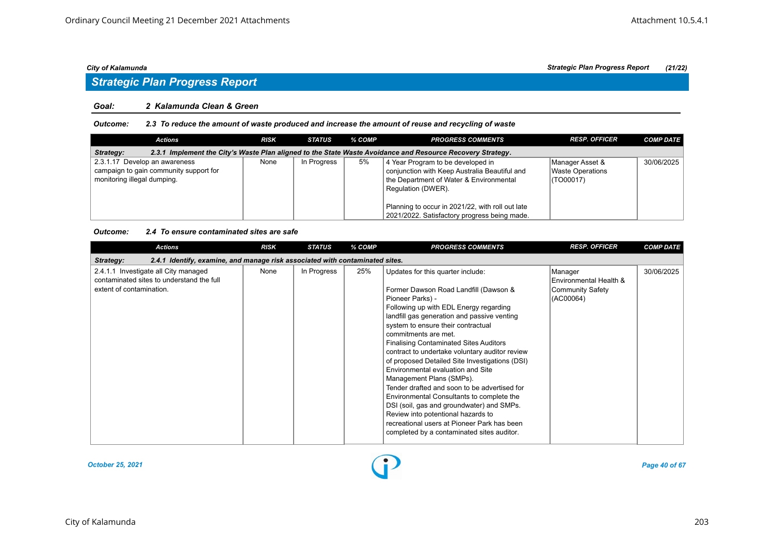### *Goal: 2 Kalamunda Clean & Green*

#### *Outcome: 2.3 To reduce the amount of waste produced and increase the amount of reuse and recycling of waste*

| Actions                                                                                                                 | <b>RISK</b> | STATUS      | % COMP | <b>PROGRESS COMMENTS</b>                                                                                                                            | <b>RESP. OFFICER</b>                             | <b>COMP DATE</b> |  |  |  |  |
|-------------------------------------------------------------------------------------------------------------------------|-------------|-------------|--------|-----------------------------------------------------------------------------------------------------------------------------------------------------|--------------------------------------------------|------------------|--|--|--|--|
| 2.3.1 Implement the City's Waste Plan aligned to the State Waste Avoidance and Resource Recovery Strategy.<br>Strategy: |             |             |        |                                                                                                                                                     |                                                  |                  |  |  |  |  |
| 2.3.1.17 Develop an awareness<br>campaign to gain community support for<br>monitoring illegal dumping.                  | None        | In Progress | 5%     | 4 Year Program to be developed in<br>conjunction with Keep Australia Beautiful and<br>the Department of Water & Environmental<br>Regulation (DWER). | Manager Asset &<br>Waste Operations<br>(TO00017) | 30/06/2025       |  |  |  |  |
|                                                                                                                         |             |             |        | Planning to occur in 2021/22, with roll out late<br>2021/2022. Satisfactory progress being made.                                                    |                                                  |                  |  |  |  |  |

#### *Outcome: 2.4 To ensure contaminated sites are safe*

| <b>Actions</b>                                                                                                | <b>RISK</b> | <b>STATUS</b> | % COMP | <b>PROGRESS COMMENTS</b>                                                                                                                                                                                                                                                                                                                                                                                                                                                                                                                                                                                                                                                                                                                                 | <b>RESP. OFFICER</b>                                                | <b>COMP DATE</b> |  |  |  |  |
|---------------------------------------------------------------------------------------------------------------|-------------|---------------|--------|----------------------------------------------------------------------------------------------------------------------------------------------------------------------------------------------------------------------------------------------------------------------------------------------------------------------------------------------------------------------------------------------------------------------------------------------------------------------------------------------------------------------------------------------------------------------------------------------------------------------------------------------------------------------------------------------------------------------------------------------------------|---------------------------------------------------------------------|------------------|--|--|--|--|
| 2.4.1 Identify, examine, and manage risk associated with contaminated sites.<br>Strategy:                     |             |               |        |                                                                                                                                                                                                                                                                                                                                                                                                                                                                                                                                                                                                                                                                                                                                                          |                                                                     |                  |  |  |  |  |
| 2.4.1.1 Investigate all City managed<br>contaminated sites to understand the full<br>extent of contamination. | None        | In Progress   | 25%    | Updates for this quarter include:<br>Former Dawson Road Landfill (Dawson &<br>Pioneer Parks) -<br>Following up with EDL Energy regarding<br>landfill gas generation and passive venting<br>system to ensure their contractual<br>commitments are met.<br><b>Finalising Contaminated Sites Auditors</b><br>contract to undertake voluntary auditor review<br>of proposed Detailed Site Investigations (DSI)<br>Environmental evaluation and Site<br>Management Plans (SMPs).<br>Tender drafted and soon to be advertised for<br>Environmental Consultants to complete the<br>DSI (soil, gas and groundwater) and SMPs.<br>Review into potentional hazards to<br>recreational users at Pioneer Park has been<br>completed by a contaminated sites auditor. | Manager<br>lEnvironmental Health &<br>Community Safety<br>(AC00064) | 30/06/2025       |  |  |  |  |

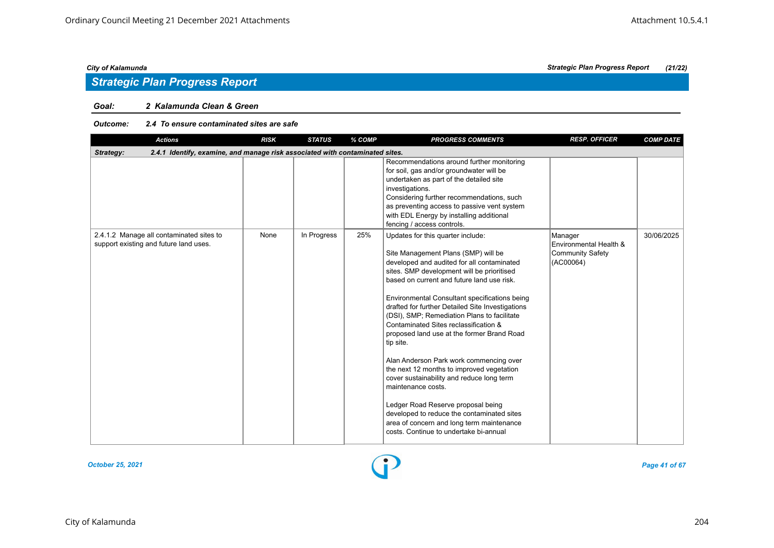## *Strategic Plan Progress Report*

### *Goal: 2 Kalamunda Clean & Green*

#### *Outcome: 2.4 To ensure contaminated sites are safe*

| <b>Actions</b>                                                                            | <b>RISK</b> | <b>STATUS</b> | % COMP | <b>PROGRESS COMMENTS</b>                                                                                                                                                                                                                                                                                                                                                                                                                                                                                                                                                                                                                                                                                                                                                                                         | <b>RESP. OFFICER</b>                                               | <b>COMP DATE</b> |
|-------------------------------------------------------------------------------------------|-------------|---------------|--------|------------------------------------------------------------------------------------------------------------------------------------------------------------------------------------------------------------------------------------------------------------------------------------------------------------------------------------------------------------------------------------------------------------------------------------------------------------------------------------------------------------------------------------------------------------------------------------------------------------------------------------------------------------------------------------------------------------------------------------------------------------------------------------------------------------------|--------------------------------------------------------------------|------------------|
| 2.4.1 Identify, examine, and manage risk associated with contaminated sites.<br>Strategy: |             |               |        |                                                                                                                                                                                                                                                                                                                                                                                                                                                                                                                                                                                                                                                                                                                                                                                                                  |                                                                    |                  |
|                                                                                           |             |               |        | Recommendations around further monitoring<br>for soil, gas and/or groundwater will be<br>undertaken as part of the detailed site<br>investigations.<br>Considering further recommendations, such<br>as preventing access to passive vent system<br>with EDL Energy by installing additional<br>fencing / access controls.                                                                                                                                                                                                                                                                                                                                                                                                                                                                                        |                                                                    |                  |
| 2.4.1.2 Manage all contaminated sites to<br>support existing and future land uses.        | None        | In Progress   | 25%    | Updates for this quarter include:<br>Site Management Plans (SMP) will be<br>developed and audited for all contaminated<br>sites. SMP development will be prioritised<br>based on current and future land use risk.<br>Environmental Consultant specifications being<br>drafted for further Detailed Site Investigations<br>(DSI), SMP; Remediation Plans to facilitate<br>Contaminated Sites reclassification &<br>proposed land use at the former Brand Road<br>tip site.<br>Alan Anderson Park work commencing over<br>the next 12 months to improved vegetation<br>cover sustainability and reduce long term<br>maintenance costs.<br>Ledger Road Reserve proposal being<br>developed to reduce the contaminated sites<br>area of concern and long term maintenance<br>costs. Continue to undertake bi-annual | Manager<br>Environmental Health &<br>Community Safety<br>(AC00064) | 30/06/2025       |

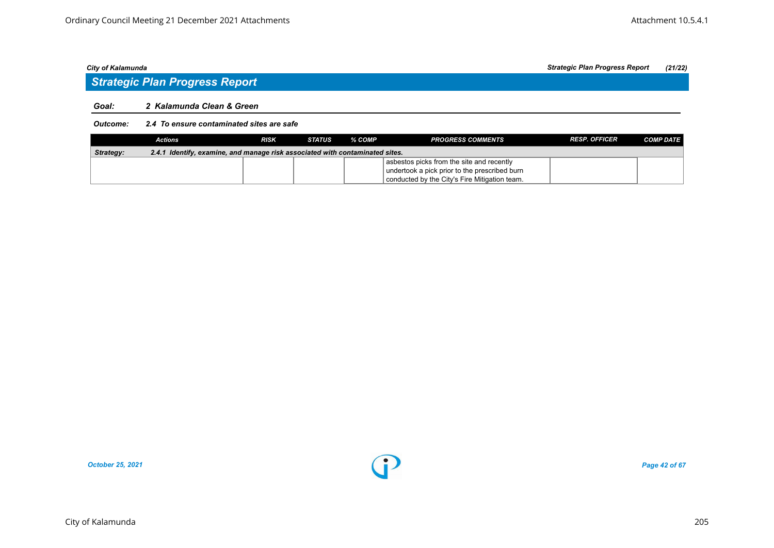## *Strategic Plan Progress Report*

### *Goal: 2 Kalamunda Clean & Green*

#### *Outcome: 2.4 To ensure contaminated sites are safe*

|                                                                                           | Actions | <b>RISK</b> | STATUS | % COMP | <b>PROGRESS COMMENTS</b>                      | <b>RESP. OFFICER</b> | <b>COMP DATE</b> |  |
|-------------------------------------------------------------------------------------------|---------|-------------|--------|--------|-----------------------------------------------|----------------------|------------------|--|
| 2.4.1 Identify, examine, and manage risk associated with contaminated sites.<br>Strategy: |         |             |        |        |                                               |                      |                  |  |
|                                                                                           |         |             |        |        | asbestos picks from the site and recently     |                      |                  |  |
|                                                                                           |         |             |        |        | undertook a pick prior to the prescribed burn |                      |                  |  |
|                                                                                           |         |             |        |        | conducted by the City's Fire Mitigation team. |                      |                  |  |

*October 25, 2021 Page 42 of 67*

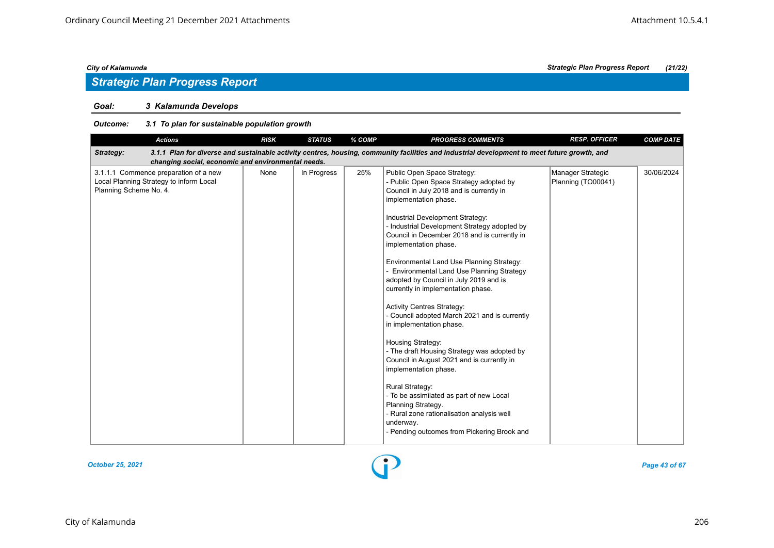## *Strategic Plan Progress Report*

### *Goal: 3 Kalamunda Develops*

| <b>Actions</b>                                                                                                                                                                                                  | <b>RISK</b> | <b>STATUS</b> | % COMP | <b>PROGRESS COMMENTS</b>                                                                                                                                                                                                                                                                                                                                                                                                                                                                                                                                                                                                                                                                                                                                                                                                                                                                                                                             | <b>RESP. OFFICER</b>                    | <b>COMP DATE</b> |  |  |  |  |
|-----------------------------------------------------------------------------------------------------------------------------------------------------------------------------------------------------------------|-------------|---------------|--------|------------------------------------------------------------------------------------------------------------------------------------------------------------------------------------------------------------------------------------------------------------------------------------------------------------------------------------------------------------------------------------------------------------------------------------------------------------------------------------------------------------------------------------------------------------------------------------------------------------------------------------------------------------------------------------------------------------------------------------------------------------------------------------------------------------------------------------------------------------------------------------------------------------------------------------------------------|-----------------------------------------|------------------|--|--|--|--|
| 3.1.1 Plan for diverse and sustainable activity centres, housing, community facilities and industrial development to meet future growth, and<br>Strategy:<br>changing social, economic and environmental needs. |             |               |        |                                                                                                                                                                                                                                                                                                                                                                                                                                                                                                                                                                                                                                                                                                                                                                                                                                                                                                                                                      |                                         |                  |  |  |  |  |
| 3.1.1.1 Commence preparation of a new<br>Local Planning Strategy to inform Local<br>Planning Scheme No. 4.                                                                                                      | None        | In Progress   | 25%    | Public Open Space Strategy:<br>- Public Open Space Strategy adopted by<br>Council in July 2018 and is currently in<br>implementation phase.<br>Industrial Development Strategy:<br>- Industrial Development Strategy adopted by<br>Council in December 2018 and is currently in<br>implementation phase.<br>Environmental Land Use Planning Strategy:<br>Environmental Land Use Planning Strategy<br>adopted by Council in July 2019 and is<br>currently in implementation phase.<br><b>Activity Centres Strategy:</b><br>- Council adopted March 2021 and is currently<br>in implementation phase.<br>Housing Strategy:<br>- The draft Housing Strategy was adopted by<br>Council in August 2021 and is currently in<br>implementation phase.<br><b>Rural Strategy:</b><br>- To be assimilated as part of new Local<br>Planning Strategy.<br>- Rural zone rationalisation analysis well<br>underway.<br>- Pending outcomes from Pickering Brook and | Manager Strategic<br>Planning (TO00041) | 30/06/2024       |  |  |  |  |

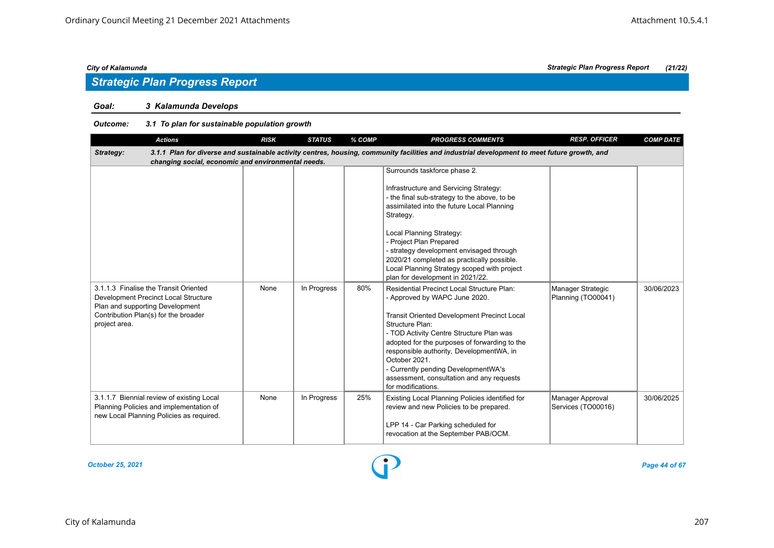### *Goal: 3 Kalamunda Develops*

### *Outcome: 3.1 To plan for sustainable population growth*

| <b>Actions</b>                                                                                                                                                                                                  | <b>RISK</b> | <b>STATUS</b> | % COMP | <b>PROGRESS COMMENTS</b>                                                                                                                                                                                                                                                                                                                                                                                                        | <b>RESP. OFFICER</b>                    | <b>COMP DATE</b> |  |  |  |  |
|-----------------------------------------------------------------------------------------------------------------------------------------------------------------------------------------------------------------|-------------|---------------|--------|---------------------------------------------------------------------------------------------------------------------------------------------------------------------------------------------------------------------------------------------------------------------------------------------------------------------------------------------------------------------------------------------------------------------------------|-----------------------------------------|------------------|--|--|--|--|
| 3.1.1 Plan for diverse and sustainable activity centres, housing, community facilities and industrial development to meet future growth, and<br>Strategy:<br>changing social, economic and environmental needs. |             |               |        |                                                                                                                                                                                                                                                                                                                                                                                                                                 |                                         |                  |  |  |  |  |
|                                                                                                                                                                                                                 |             |               |        | Surrounds taskforce phase 2.<br>Infrastructure and Servicing Strategy:<br>- the final sub-strategy to the above, to be<br>assimilated into the future Local Planning<br>Strategy.<br>Local Planning Strategy:<br>- Project Plan Prepared<br>- strategy development envisaged through<br>2020/21 completed as practically possible.<br>Local Planning Strategy scoped with project<br>plan for development in 2021/22.           |                                         |                  |  |  |  |  |
| 3.1.1.3 Finalise the Transit Oriented<br>Development Precinct Local Structure<br>Plan and supporting Development<br>Contribution Plan(s) for the broader<br>project area.                                       | None        | In Progress   | 80%    | <b>Residential Precinct Local Structure Plan:</b><br>- Approved by WAPC June 2020.<br><b>Transit Oriented Development Precinct Local</b><br>Structure Plan:<br>- TOD Activity Centre Structure Plan was<br>adopted for the purposes of forwarding to the<br>responsible authority, DevelopmentWA, in<br>October 2021.<br>- Currently pending DevelopmentWA's<br>assessment, consultation and any requests<br>for modifications. | Manager Strategic<br>Planning (TO00041) | 30/06/2023       |  |  |  |  |
| 3.1.1.7 Biennial review of existing Local<br>Planning Policies and implementation of<br>new Local Planning Policies as required.                                                                                | None        | In Progress   | 25%    | Existing Local Planning Policies identified for<br>review and new Policies to be prepared.<br>LPP 14 - Car Parking scheduled for<br>revocation at the September PAB/OCM.                                                                                                                                                                                                                                                        | Manager Approval<br>Services (TO00016)  | 30/06/2025       |  |  |  |  |

*October 25, 2021 Page 44 of 67*

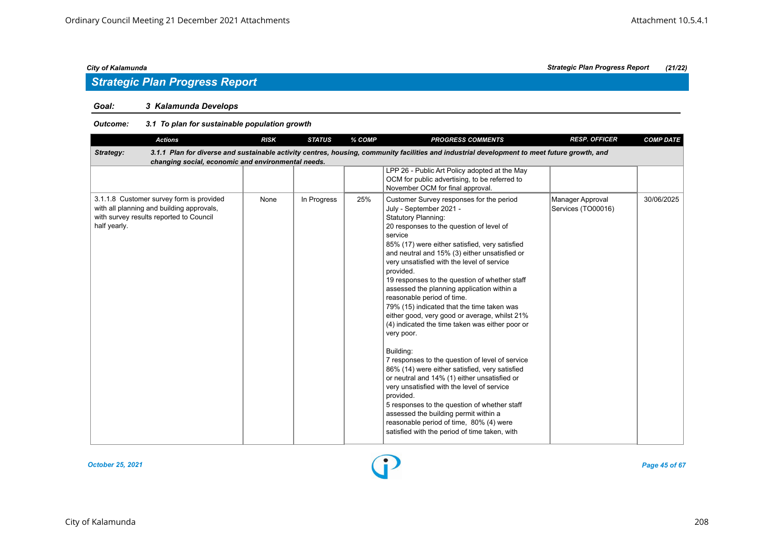## *Strategic Plan Progress Report*

### *Goal: 3 Kalamunda Develops*

| <b>Actions</b>                                                                                                                                                                                                  | <b>RISK</b> | <b>STATUS</b> | % COMP | <b>PROGRESS COMMENTS</b>                                                                                                                                                                                                                                                                                                                                                                                                                                                                                                                                                                                                                                                                                                                                                                                                                                                                                                                                                                                                              | <b>RESP. OFFICER</b>                   | <b>COMP DATE</b> |  |  |  |  |  |
|-----------------------------------------------------------------------------------------------------------------------------------------------------------------------------------------------------------------|-------------|---------------|--------|---------------------------------------------------------------------------------------------------------------------------------------------------------------------------------------------------------------------------------------------------------------------------------------------------------------------------------------------------------------------------------------------------------------------------------------------------------------------------------------------------------------------------------------------------------------------------------------------------------------------------------------------------------------------------------------------------------------------------------------------------------------------------------------------------------------------------------------------------------------------------------------------------------------------------------------------------------------------------------------------------------------------------------------|----------------------------------------|------------------|--|--|--|--|--|
| Strategy:<br>3.1.1 Plan for diverse and sustainable activity centres, housing, community facilities and industrial development to meet future growth, and<br>changing social, economic and environmental needs. |             |               |        |                                                                                                                                                                                                                                                                                                                                                                                                                                                                                                                                                                                                                                                                                                                                                                                                                                                                                                                                                                                                                                       |                                        |                  |  |  |  |  |  |
|                                                                                                                                                                                                                 |             |               |        | LPP 26 - Public Art Policy adopted at the May<br>OCM for public advertising, to be referred to<br>November OCM for final approval.                                                                                                                                                                                                                                                                                                                                                                                                                                                                                                                                                                                                                                                                                                                                                                                                                                                                                                    |                                        |                  |  |  |  |  |  |
| 3.1.1.8 Customer survey form is provided<br>with all planning and building approvals,<br>with survey results reported to Council<br>half yearly.                                                                | None        | In Progress   | 25%    | Customer Survey responses for the period<br>July - September 2021 -<br><b>Statutory Planning:</b><br>20 responses to the question of level of<br>service<br>85% (17) were either satisfied, very satisfied<br>and neutral and 15% (3) either unsatisfied or<br>very unsatisfied with the level of service<br>provided.<br>19 responses to the question of whether staff<br>assessed the planning application within a<br>reasonable period of time.<br>79% (15) indicated that the time taken was<br>either good, very good or average, whilst 21%<br>(4) indicated the time taken was either poor or<br>very poor.<br>Building:<br>7 responses to the question of level of service<br>86% (14) were either satisfied, very satisfied<br>or neutral and 14% (1) either unsatisfied or<br>very unsatisfied with the level of service<br>provided.<br>5 responses to the question of whether staff<br>assessed the building permit within a<br>reasonable period of time, 80% (4) were<br>satisfied with the period of time taken, with | Manager Approval<br>Services (TO00016) | 30/06/2025       |  |  |  |  |  |

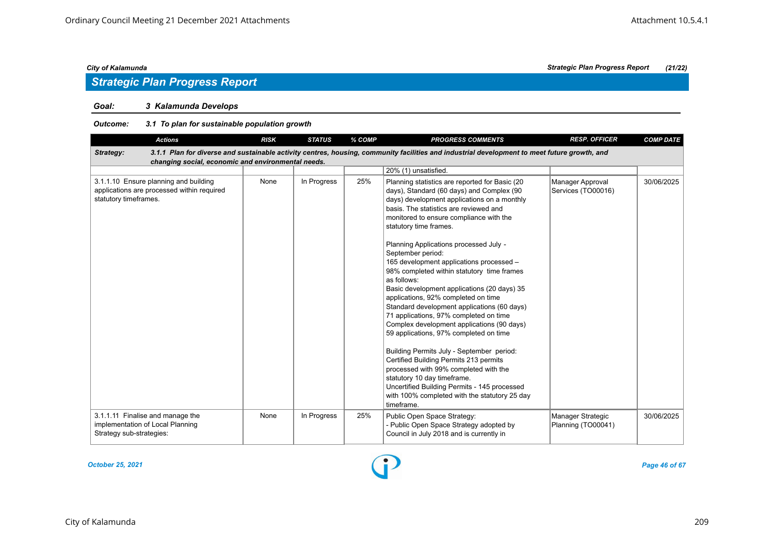### *Goal: 3 Kalamunda Develops*

### *Outcome: 3.1 To plan for sustainable population growth*

| <b>Actions</b>                                                                                               | <b>RISK</b> | <b>STATUS</b> | % COMP | <b>PROGRESS COMMENTS</b>                                                                                                                                                                                                                                                                                                                                                                                                                                                                                                                                                                                                                                                                                                                                                                                                                                                                                                                                                               | <b>RESP. OFFICER</b>                    | <b>COMP DATE</b> |  |  |  |  |
|--------------------------------------------------------------------------------------------------------------|-------------|---------------|--------|----------------------------------------------------------------------------------------------------------------------------------------------------------------------------------------------------------------------------------------------------------------------------------------------------------------------------------------------------------------------------------------------------------------------------------------------------------------------------------------------------------------------------------------------------------------------------------------------------------------------------------------------------------------------------------------------------------------------------------------------------------------------------------------------------------------------------------------------------------------------------------------------------------------------------------------------------------------------------------------|-----------------------------------------|------------------|--|--|--|--|
| Strategy:                                                                                                    |             |               |        | 3.1.1 Plan for diverse and sustainable activity centres, housing, community facilities and industrial development to meet future growth, and                                                                                                                                                                                                                                                                                                                                                                                                                                                                                                                                                                                                                                                                                                                                                                                                                                           |                                         |                  |  |  |  |  |
| changing social, economic and environmental needs.                                                           |             |               |        |                                                                                                                                                                                                                                                                                                                                                                                                                                                                                                                                                                                                                                                                                                                                                                                                                                                                                                                                                                                        |                                         |                  |  |  |  |  |
|                                                                                                              |             |               |        | 20% (1) unsatisfied.                                                                                                                                                                                                                                                                                                                                                                                                                                                                                                                                                                                                                                                                                                                                                                                                                                                                                                                                                                   |                                         |                  |  |  |  |  |
| 3.1.1.10 Ensure planning and building<br>applications are processed within required<br>statutory timeframes. | None        | In Progress   | 25%    | Planning statistics are reported for Basic (20<br>days), Standard (60 days) and Complex (90<br>days) development applications on a monthly<br>basis. The statistics are reviewed and<br>monitored to ensure compliance with the<br>statutory time frames.<br>Planning Applications processed July -<br>September period:<br>165 development applications processed -<br>98% completed within statutory time frames<br>as follows:<br>Basic development applications (20 days) 35<br>applications, 92% completed on time<br>Standard development applications (60 days)<br>71 applications, 97% completed on time<br>Complex development applications (90 days)<br>59 applications, 97% completed on time<br>Building Permits July - September period:<br>Certified Building Permits 213 permits<br>processed with 99% completed with the<br>statutory 10 day timeframe.<br>Uncertified Building Permits - 145 processed<br>with 100% completed with the statutory 25 day<br>timeframe. | Manager Approval<br>Services (TO00016)  | 30/06/2025       |  |  |  |  |
| 3.1.1.11 Finalise and manage the<br>implementation of Local Planning<br>Strategy sub-strategies:             | None        | In Progress   | 25%    | Public Open Space Strategy:<br>- Public Open Space Strategy adopted by<br>Council in July 2018 and is currently in                                                                                                                                                                                                                                                                                                                                                                                                                                                                                                                                                                                                                                                                                                                                                                                                                                                                     | Manager Strategic<br>Planning (TO00041) | 30/06/2025       |  |  |  |  |

*October 25, 2021 Page 46 of 67*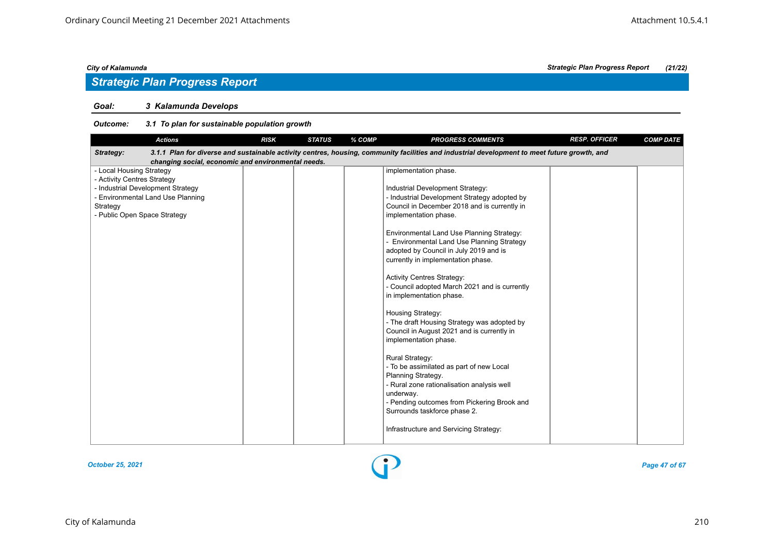### *Goal: 3 Kalamunda Develops*

| <b>Actions</b>                                     | <b>RISK</b> | <b>STATUS</b> | % COMP | <b>PROGRESS COMMENTS</b>                                                                                                                     | <b>RESP. OFFICER</b> | <b>COMP DATE</b> |
|----------------------------------------------------|-------------|---------------|--------|----------------------------------------------------------------------------------------------------------------------------------------------|----------------------|------------------|
| Strategy:                                          |             |               |        | 3.1.1 Plan for diverse and sustainable activity centres, housing, community facilities and industrial development to meet future growth, and |                      |                  |
| changing social, economic and environmental needs. |             |               |        |                                                                                                                                              |                      |                  |
| - Local Housing Strategy                           |             |               |        | implementation phase.                                                                                                                        |                      |                  |
| - Activity Centres Strategy                        |             |               |        |                                                                                                                                              |                      |                  |
| - Industrial Development Strategy                  |             |               |        | Industrial Development Strategy:                                                                                                             |                      |                  |
| - Environmental Land Use Planning                  |             |               |        | - Industrial Development Strategy adopted by                                                                                                 |                      |                  |
| Strategy                                           |             |               |        | Council in December 2018 and is currently in                                                                                                 |                      |                  |
| - Public Open Space Strategy                       |             |               |        | implementation phase.                                                                                                                        |                      |                  |
|                                                    |             |               |        |                                                                                                                                              |                      |                  |
|                                                    |             |               |        | Environmental Land Use Planning Strategy:                                                                                                    |                      |                  |
|                                                    |             |               |        | <b>Environmental Land Use Planning Strategy</b><br>adopted by Council in July 2019 and is                                                    |                      |                  |
|                                                    |             |               |        | currently in implementation phase.                                                                                                           |                      |                  |
|                                                    |             |               |        |                                                                                                                                              |                      |                  |
|                                                    |             |               |        | <b>Activity Centres Strategy:</b>                                                                                                            |                      |                  |
|                                                    |             |               |        | - Council adopted March 2021 and is currently                                                                                                |                      |                  |
|                                                    |             |               |        | in implementation phase.                                                                                                                     |                      |                  |
|                                                    |             |               |        |                                                                                                                                              |                      |                  |
|                                                    |             |               |        | Housing Strategy:                                                                                                                            |                      |                  |
|                                                    |             |               |        | - The draft Housing Strategy was adopted by                                                                                                  |                      |                  |
|                                                    |             |               |        | Council in August 2021 and is currently in                                                                                                   |                      |                  |
|                                                    |             |               |        | implementation phase.                                                                                                                        |                      |                  |
|                                                    |             |               |        |                                                                                                                                              |                      |                  |
|                                                    |             |               |        | Rural Strategy:                                                                                                                              |                      |                  |
|                                                    |             |               |        | - To be assimilated as part of new Local                                                                                                     |                      |                  |
|                                                    |             |               |        | Planning Strategy.                                                                                                                           |                      |                  |
|                                                    |             |               |        | - Rural zone rationalisation analysis well                                                                                                   |                      |                  |
|                                                    |             |               |        | underway.                                                                                                                                    |                      |                  |
|                                                    |             |               |        | - Pending outcomes from Pickering Brook and                                                                                                  |                      |                  |
|                                                    |             |               |        | Surrounds taskforce phase 2.                                                                                                                 |                      |                  |
|                                                    |             |               |        |                                                                                                                                              |                      |                  |
|                                                    |             |               |        | Infrastructure and Servicing Strategy:                                                                                                       |                      |                  |
|                                                    |             |               |        |                                                                                                                                              |                      |                  |

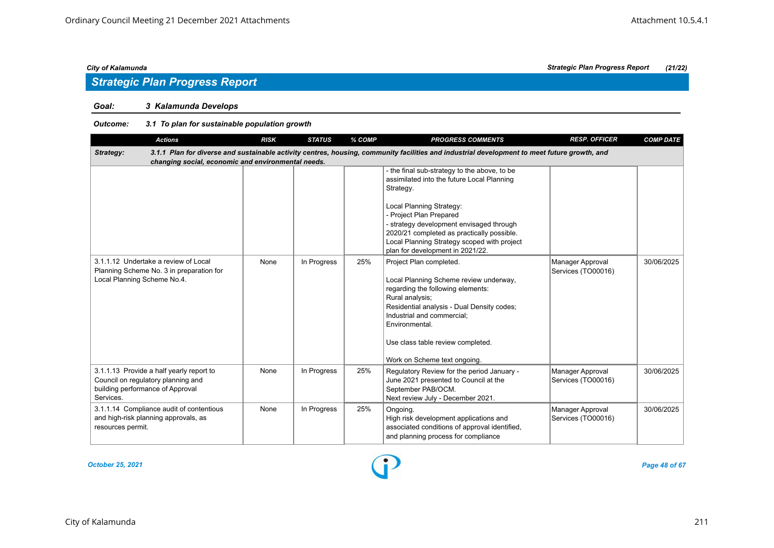### *Goal: 3 Kalamunda Develops*

| <b>Actions</b>                                                                                                                  | <b>RISK</b> | <b>STATUS</b> | % COMP | <b>PROGRESS COMMENTS</b>                                                                                                                                                                                                                                                                                                         | <b>RESP. OFFICER</b>                   | <b>COMP DATE</b> |
|---------------------------------------------------------------------------------------------------------------------------------|-------------|---------------|--------|----------------------------------------------------------------------------------------------------------------------------------------------------------------------------------------------------------------------------------------------------------------------------------------------------------------------------------|----------------------------------------|------------------|
| Strategy:<br>changing social, economic and environmental needs.                                                                 |             |               |        | 3.1.1 Plan for diverse and sustainable activity centres, housing, community facilities and industrial development to meet future growth, and                                                                                                                                                                                     |                                        |                  |
|                                                                                                                                 |             |               |        | - the final sub-strategy to the above, to be<br>assimilated into the future Local Planning<br>Strategy.<br>Local Planning Strategy:<br>- Project Plan Prepared<br>- strategy development envisaged through<br>2020/21 completed as practically possible.<br>Local Planning Strategy scoped with project                          |                                        |                  |
| 3.1.1.12 Undertake a review of Local<br>Planning Scheme No. 3 in preparation for<br>Local Planning Scheme No.4.                 | None        | In Progress   | 25%    | plan for development in 2021/22.<br>Project Plan completed.<br>Local Planning Scheme review underway,<br>regarding the following elements:<br>Rural analysis;<br>Residential analysis - Dual Density codes;<br>Industrial and commercial:<br>Environmental.<br>Use class table review completed.<br>Work on Scheme text ongoing. | Manager Approval<br>Services (TO00016) | 30/06/2025       |
| 3.1.1.13 Provide a half yearly report to<br>Council on regulatory planning and<br>building performance of Approval<br>Services. | None        | In Progress   | 25%    | Regulatory Review for the period January -<br>June 2021 presented to Council at the<br>September PAB/OCM.<br>Next review July - December 2021.                                                                                                                                                                                   | Manager Approval<br>Services (TO00016) | 30/06/2025       |
| 3.1.1.14 Compliance audit of contentious<br>and high-risk planning approvals, as<br>resources permit.                           | None        | In Progress   | 25%    | Ongoing.<br>High risk development applications and<br>associated conditions of approval identified,<br>and planning process for compliance                                                                                                                                                                                       | Manager Approval<br>Services (TO00016) | 30/06/2025       |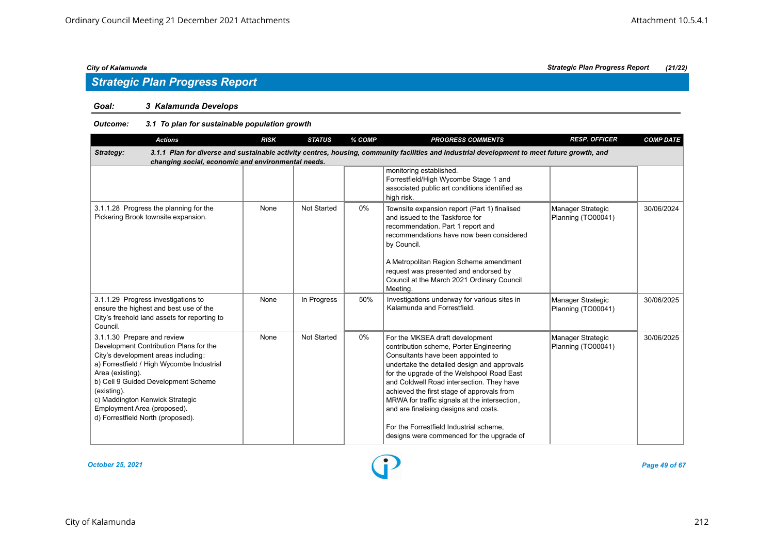## *Strategic Plan Progress Report*

### *Goal: 3 Kalamunda Develops*

| <b>Actions</b>                                                                                                                                                                                                                                                                                                                             | <b>RISK</b> | <b>STATUS</b>      | % COMP | <b>PROGRESS COMMENTS</b>                                                                                                                                                                                                                                                                                                                                                                                                                                                                   | <b>RESP. OFFICER</b>                    | <b>COMP DATE</b> |
|--------------------------------------------------------------------------------------------------------------------------------------------------------------------------------------------------------------------------------------------------------------------------------------------------------------------------------------------|-------------|--------------------|--------|--------------------------------------------------------------------------------------------------------------------------------------------------------------------------------------------------------------------------------------------------------------------------------------------------------------------------------------------------------------------------------------------------------------------------------------------------------------------------------------------|-----------------------------------------|------------------|
| Strategy:<br>changing social, economic and environmental needs.                                                                                                                                                                                                                                                                            |             |                    |        | 3.1.1 Plan for diverse and sustainable activity centres, housing, community facilities and industrial development to meet future growth, and                                                                                                                                                                                                                                                                                                                                               |                                         |                  |
|                                                                                                                                                                                                                                                                                                                                            |             |                    |        | monitoring established.<br>Forrestfield/High Wycombe Stage 1 and<br>associated public art conditions identified as<br>high risk.                                                                                                                                                                                                                                                                                                                                                           |                                         |                  |
| 3.1.1.28 Progress the planning for the<br>Pickering Brook townsite expansion.                                                                                                                                                                                                                                                              | None        | <b>Not Started</b> | $0\%$  | Townsite expansion report (Part 1) finalised<br>and issued to the Taskforce for<br>recommendation. Part 1 report and<br>recommendations have now been considered<br>by Council.<br>A Metropolitan Region Scheme amendment<br>request was presented and endorsed by<br>Council at the March 2021 Ordinary Council<br>Meeting.                                                                                                                                                               | Manager Strategic<br>Planning (TO00041) | 30/06/2024       |
| 3.1.1.29 Progress investigations to<br>ensure the highest and best use of the<br>City's freehold land assets for reporting to<br>Council.                                                                                                                                                                                                  | None        | In Progress        | 50%    | Investigations underway for various sites in<br>Kalamunda and Forrestfield.                                                                                                                                                                                                                                                                                                                                                                                                                | Manager Strategic<br>Planning (TO00041) | 30/06/2025       |
| 3.1.1.30 Prepare and review<br>Development Contribution Plans for the<br>City's development areas including:<br>a) Forrestfield / High Wycombe Industrial<br>Area (existing).<br>b) Cell 9 Guided Development Scheme<br>(existing).<br>c) Maddington Kenwick Strategic<br>Employment Area (proposed).<br>d) Forrestfield North (proposed). | None        | <b>Not Started</b> | 0%     | For the MKSEA draft development<br>contribution scheme, Porter Engineering<br>Consultants have been appointed to<br>undertake the detailed design and approvals<br>for the upgrade of the Welshpool Road East<br>and Coldwell Road intersection. They have<br>achieved the first stage of approvals from<br>MRWA for traffic signals at the intersection,<br>and are finalising designs and costs.<br>For the Forrestfield Industrial scheme.<br>designs were commenced for the upgrade of | Manager Strategic<br>Planning (TO00041) | 30/06/2025       |

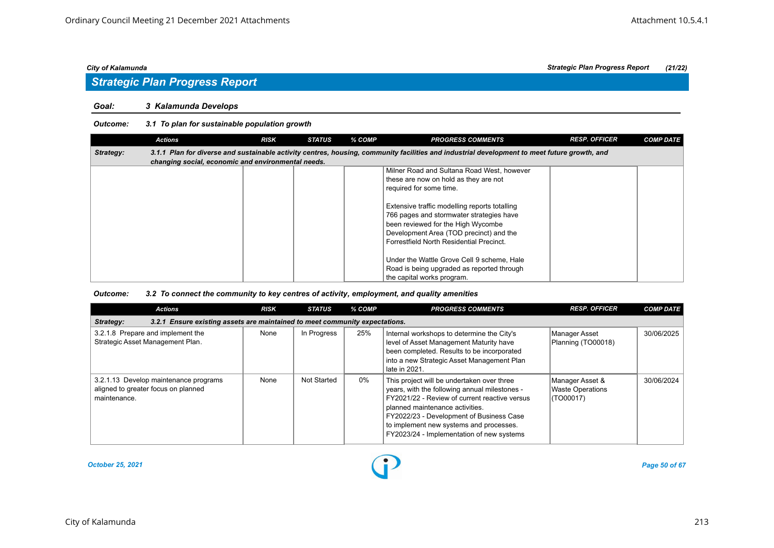## *Strategic Plan Progress Report*

### *Goal: 3 Kalamunda Develops*

### *Outcome: 3.1 To plan for sustainable population growth*

|           | <b>Actions</b>                                     | <b>RISK</b> | <b>STATUS</b> | % COMP | <b>PROGRESS COMMENTS</b>                                                                                                                                                                                               | <b>RESP. OFFICER</b> | <b>COMP DATE</b> |  |  |  |  |
|-----------|----------------------------------------------------|-------------|---------------|--------|------------------------------------------------------------------------------------------------------------------------------------------------------------------------------------------------------------------------|----------------------|------------------|--|--|--|--|
| Strategy: |                                                    |             |               |        | 3.1.1 Plan for diverse and sustainable activity centres, housing, community facilities and industrial development to meet future growth, and                                                                           |                      |                  |  |  |  |  |
|           | changing social, economic and environmental needs. |             |               |        |                                                                                                                                                                                                                        |                      |                  |  |  |  |  |
|           |                                                    |             |               |        | Milner Road and Sultana Road West, however                                                                                                                                                                             |                      |                  |  |  |  |  |
|           |                                                    |             |               |        | these are now on hold as they are not                                                                                                                                                                                  |                      |                  |  |  |  |  |
|           |                                                    |             |               |        | required for some time.                                                                                                                                                                                                |                      |                  |  |  |  |  |
|           |                                                    |             |               |        | Extensive traffic modelling reports totalling<br>766 pages and stormwater strategies have<br>been reviewed for the High Wycombe<br>Development Area (TOD precinct) and the<br>Forrestfield North Residential Precinct. |                      |                  |  |  |  |  |
|           |                                                    |             |               |        | Under the Wattle Grove Cell 9 scheme, Hale<br>Road is being upgraded as reported through<br>the capital works program.                                                                                                 |                      |                  |  |  |  |  |

#### *Outcome: 3.2 To connect the community to key centres of activity, employment, and quality amenities*

| <b>Actions</b>                                                                               | <b>RISK</b> | <b>STATUS</b> | % COMP | <b>PROGRESS COMMENTS</b>                                                                                                                                                                                                                                                                                            | <b>RESP. OFFICER</b>                                    | <b>COMP DATE</b> |  |  |  |  |
|----------------------------------------------------------------------------------------------|-------------|---------------|--------|---------------------------------------------------------------------------------------------------------------------------------------------------------------------------------------------------------------------------------------------------------------------------------------------------------------------|---------------------------------------------------------|------------------|--|--|--|--|
| 3.2.1 Ensure existing assets are maintained to meet community expectations.<br>Strategy:     |             |               |        |                                                                                                                                                                                                                                                                                                                     |                                                         |                  |  |  |  |  |
| 3.2.1.8 Prepare and implement the<br>Strategic Asset Management Plan.                        | None        | In Progress   | 25%    | Internal workshops to determine the City's<br>level of Asset Management Maturity have<br>been completed. Results to be incorporated<br>into a new Strategic Asset Management Plan<br>late in 2021.                                                                                                                  | Manager Asset<br>Planning (TO00018)                     | 30/06/2025       |  |  |  |  |
| 3.2.1.13 Develop maintenance programs<br>aligned to greater focus on planned<br>maintenance. | None        | Not Started   | 0%     | This project will be undertaken over three<br>years, with the following annual milestones -<br>FY2021/22 - Review of current reactive versus<br>planned maintenance activities.<br>FY2022/23 - Development of Business Case<br>to implement new systems and processes.<br>FY2023/24 - Implementation of new systems | Manager Asset &<br><b>Waste Operations</b><br>(TO00017) | 30/06/2024       |  |  |  |  |

*October 25, 2021 Page 50 of 67*

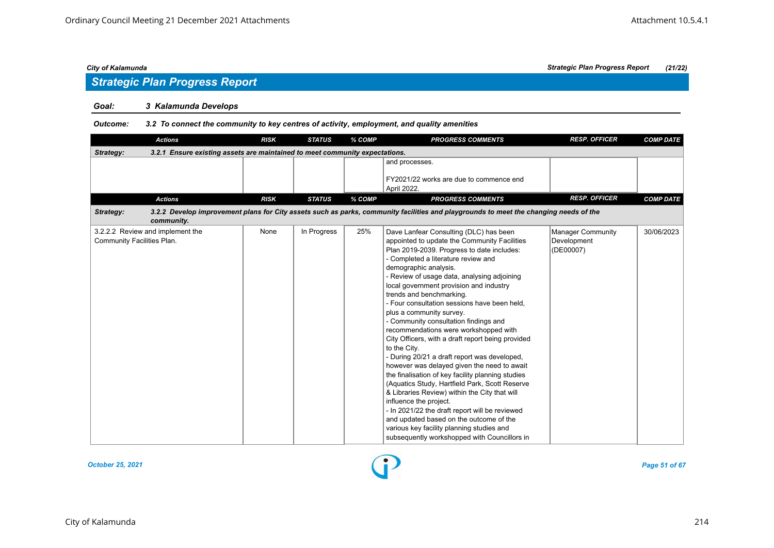## *Strategic Plan Progress Report*

### *Goal: 3 Kalamunda Develops*

#### *Outcome: 3.2 To connect the community to key centres of activity, employment, and quality amenities*

| <b>Actions</b>                                                                           | <b>RISK</b> | <b>STATUS</b> | % COMP | <b>PROGRESS COMMENTS</b>                                                                                                                                                                                                                                                                                                                                                                                                                                                                                                                                                                                                                                                                                                                                                                                                                                                                                                                                                                                                                 | <b>RESP. OFFICER</b>                          | <b>COMP DATE</b> |
|------------------------------------------------------------------------------------------|-------------|---------------|--------|------------------------------------------------------------------------------------------------------------------------------------------------------------------------------------------------------------------------------------------------------------------------------------------------------------------------------------------------------------------------------------------------------------------------------------------------------------------------------------------------------------------------------------------------------------------------------------------------------------------------------------------------------------------------------------------------------------------------------------------------------------------------------------------------------------------------------------------------------------------------------------------------------------------------------------------------------------------------------------------------------------------------------------------|-----------------------------------------------|------------------|
| 3.2.1 Ensure existing assets are maintained to meet community expectations.<br>Strategy: |             |               |        |                                                                                                                                                                                                                                                                                                                                                                                                                                                                                                                                                                                                                                                                                                                                                                                                                                                                                                                                                                                                                                          |                                               |                  |
|                                                                                          |             |               |        | and processes.<br>FY2021/22 works are due to commence end<br>April 2022.                                                                                                                                                                                                                                                                                                                                                                                                                                                                                                                                                                                                                                                                                                                                                                                                                                                                                                                                                                 |                                               |                  |
| <b>Actions</b>                                                                           | <b>RISK</b> | <b>STATUS</b> | % COMP | <b>PROGRESS COMMENTS</b>                                                                                                                                                                                                                                                                                                                                                                                                                                                                                                                                                                                                                                                                                                                                                                                                                                                                                                                                                                                                                 | <b>RESP. OFFICER</b>                          | <b>COMP DATE</b> |
| Strategy:<br>community.                                                                  |             |               |        | 3.2.2 Develop improvement plans for City assets such as parks, community facilities and playgrounds to meet the changing needs of the                                                                                                                                                                                                                                                                                                                                                                                                                                                                                                                                                                                                                                                                                                                                                                                                                                                                                                    |                                               |                  |
| 3.2.2.2 Review and implement the<br>Community Facilities Plan.                           | None        | In Progress   | 25%    | Dave Lanfear Consulting (DLC) has been<br>appointed to update the Community Facilities<br>Plan 2019-2039. Progress to date includes:<br>- Completed a literature review and<br>demographic analysis.<br>- Review of usage data, analysing adjoining<br>local government provision and industry<br>trends and benchmarking.<br>- Four consultation sessions have been held,<br>plus a community survey.<br>- Community consultation findings and<br>recommendations were workshopped with<br>City Officers, with a draft report being provided<br>to the City.<br>- During 20/21 a draft report was developed,<br>however was delayed given the need to await<br>the finalisation of key facility planning studies<br>(Aquatics Study, Hartfield Park, Scott Reserve<br>& Libraries Review) within the City that will<br>influence the project.<br>- In 2021/22 the draft report will be reviewed<br>and updated based on the outcome of the<br>various key facility planning studies and<br>subsequently workshopped with Councillors in | Manager Community<br>Development<br>(DE00007) | 30/06/2023       |

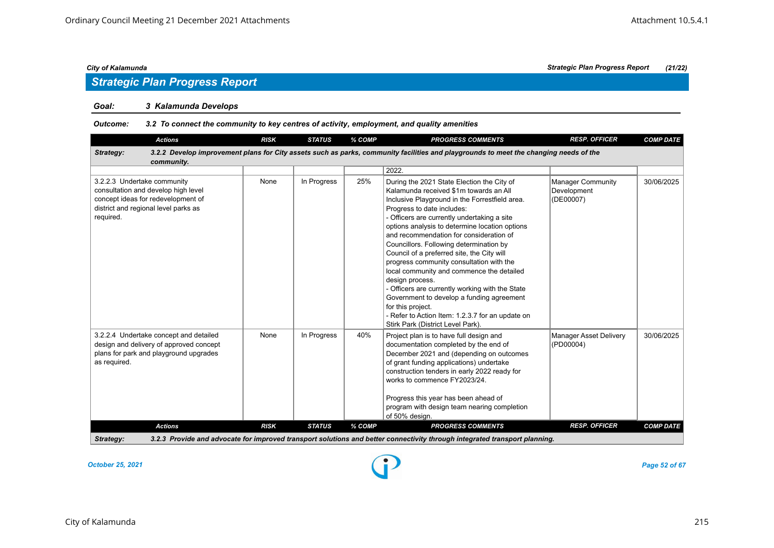## *Strategic Plan Progress Report*

### *Goal: 3 Kalamunda Develops*

#### *Outcome: 3.2 To connect the community to key centres of activity, employment, and quality amenities*

| <b>Actions</b>                                                                                                                                                | <b>RISK</b> | <b>STATUS</b> | % COMP | <b>PROGRESS COMMENTS</b>                                                                                                                                                                                                                                                                                                                                                                                                                                                                                                                                                                                                                                                                                                            | <b>RESP. OFFICER</b>                          | <b>COMP DATE</b> |
|---------------------------------------------------------------------------------------------------------------------------------------------------------------|-------------|---------------|--------|-------------------------------------------------------------------------------------------------------------------------------------------------------------------------------------------------------------------------------------------------------------------------------------------------------------------------------------------------------------------------------------------------------------------------------------------------------------------------------------------------------------------------------------------------------------------------------------------------------------------------------------------------------------------------------------------------------------------------------------|-----------------------------------------------|------------------|
| Strategy:<br>community.                                                                                                                                       |             |               |        | 3.2.2 Develop improvement plans for City assets such as parks, community facilities and playgrounds to meet the changing needs of the                                                                                                                                                                                                                                                                                                                                                                                                                                                                                                                                                                                               |                                               |                  |
|                                                                                                                                                               |             |               |        | 2022.                                                                                                                                                                                                                                                                                                                                                                                                                                                                                                                                                                                                                                                                                                                               |                                               |                  |
| 3.2.2.3 Undertake community<br>consultation and develop high level<br>concept ideas for redevelopment of<br>district and regional level parks as<br>required. | None        | In Progress   | 25%    | During the 2021 State Election the City of<br>Kalamunda received \$1m towards an All<br>Inclusive Playground in the Forrestfield area.<br>Progress to date includes:<br>- Officers are currently undertaking a site<br>options analysis to determine location options<br>and recommendation for consideration of<br>Councillors. Following determination by<br>Council of a preferred site, the City will<br>progress community consultation with the<br>local community and commence the detailed<br>design process.<br>- Officers are currently working with the State<br>Government to develop a funding agreement<br>for this project.<br>- Refer to Action Item: 1.2.3.7 for an update on<br>Stirk Park (District Level Park). | Manager Community<br>Development<br>(DE00007) | 30/06/2025       |
| 3.2.2.4 Undertake concept and detailed<br>design and delivery of approved concept<br>plans for park and playground upgrades<br>as required.                   | None        | In Progress   | 40%    | Project plan is to have full design and<br>documentation completed by the end of<br>December 2021 and (depending on outcomes<br>of grant funding applications) undertake<br>construction tenders in early 2022 ready for<br>works to commence FY2023/24.<br>Progress this year has been ahead of<br>program with design team nearing completion<br>of 50% design.                                                                                                                                                                                                                                                                                                                                                                   | <b>Manager Asset Delivery</b><br>(PD00004)    | 30/06/2025       |
| <b>Actions</b>                                                                                                                                                | <b>RISK</b> | <b>STATUS</b> | % COMP | <b>PROGRESS COMMENTS</b>                                                                                                                                                                                                                                                                                                                                                                                                                                                                                                                                                                                                                                                                                                            | <b>RESP. OFFICER</b>                          | <b>COMP DATE</b> |
| Strategy:                                                                                                                                                     |             |               |        | 3.2.3 Provide and advocate for improved transport solutions and better connectivity through integrated transport planning.                                                                                                                                                                                                                                                                                                                                                                                                                                                                                                                                                                                                          |                                               |                  |

*October 25, 2021 Page 52 of 67*

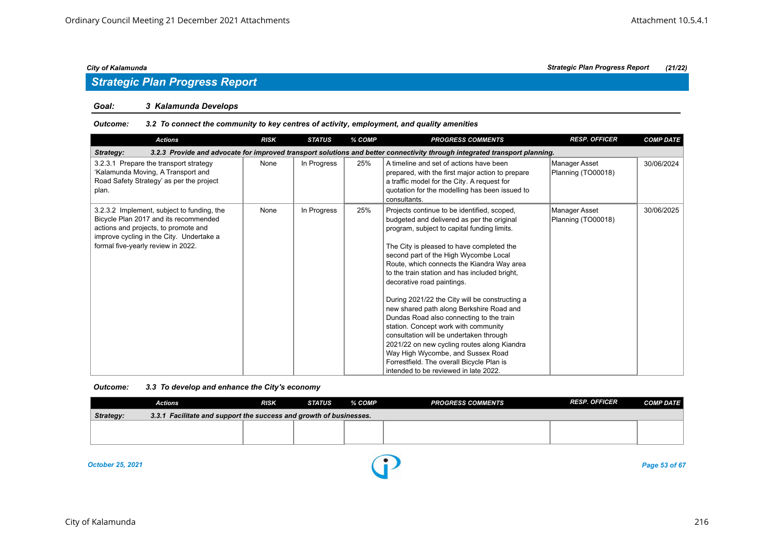## *Strategic Plan Progress Report*

#### *Goal: 3 Kalamunda Develops*

#### *Outcome: 3.2 To connect the community to key centres of activity, employment, and quality amenities*

| <b>Actions</b>                                                                                                                                                                                                | <b>RISK</b> | <b>STATUS</b> | % COMP | <b>PROGRESS COMMENTS</b>                                                                                                                                                                                                                                                                                                                                                                                                                                                                                                                                                                                                                                                                                                                                           | <b>RESP. OFFICER</b>                | <b>COMP DATE</b> |  |  |  |  |  |
|---------------------------------------------------------------------------------------------------------------------------------------------------------------------------------------------------------------|-------------|---------------|--------|--------------------------------------------------------------------------------------------------------------------------------------------------------------------------------------------------------------------------------------------------------------------------------------------------------------------------------------------------------------------------------------------------------------------------------------------------------------------------------------------------------------------------------------------------------------------------------------------------------------------------------------------------------------------------------------------------------------------------------------------------------------------|-------------------------------------|------------------|--|--|--|--|--|
| 3.2.3 Provide and advocate for improved transport solutions and better connectivity through integrated transport planning.<br>Strategy:                                                                       |             |               |        |                                                                                                                                                                                                                                                                                                                                                                                                                                                                                                                                                                                                                                                                                                                                                                    |                                     |                  |  |  |  |  |  |
| 3.2.3.1 Prepare the transport strategy<br>'Kalamunda Moving, A Transport and<br>Road Safety Strategy' as per the project<br>plan.                                                                             | None        | In Progress   | 25%    | A timeline and set of actions have been<br>prepared, with the first major action to prepare<br>a traffic model for the City. A request for<br>quotation for the modelling has been issued to<br>consultants.                                                                                                                                                                                                                                                                                                                                                                                                                                                                                                                                                       | Manager Asset<br>Planning (TO00018) | 30/06/2024       |  |  |  |  |  |
| 3.2.3.2 Implement, subject to funding, the<br>Bicycle Plan 2017 and its recommended<br>actions and projects, to promote and<br>improve cycling in the City. Undertake a<br>formal five-yearly review in 2022. | None        | In Progress   | 25%    | Projects continue to be identified, scoped,<br>budgeted and delivered as per the original<br>program, subject to capital funding limits.<br>The City is pleased to have completed the<br>second part of the High Wycombe Local<br>Route, which connects the Kiandra Way area<br>to the train station and has included bright,<br>decorative road paintings.<br>During 2021/22 the City will be constructing a<br>new shared path along Berkshire Road and<br>Dundas Road also connecting to the train<br>station. Concept work with community<br>consultation will be undertaken through<br>2021/22 on new cycling routes along Kiandra<br>Way High Wycombe, and Sussex Road<br>Forrestfield. The overall Bicycle Plan is<br>intended to be reviewed in late 2022. | Manager Asset<br>Planning (TO00018) | 30/06/2025       |  |  |  |  |  |

#### *Outcome: 3.3 To develop and enhance the City's economy*

|                                                                                 | <b>Actions</b> | <b>RISK</b> | STATUS | % COMP | <b>PROGRESS COMMENTS</b> | <b>RESP. OFFICER</b> | <b>COMP DATE</b> |  |  |  |  |
|---------------------------------------------------------------------------------|----------------|-------------|--------|--------|--------------------------|----------------------|------------------|--|--|--|--|
| 3.3.1 Facilitate and support the success and growth of businesses.<br>Strategy: |                |             |        |        |                          |                      |                  |  |  |  |  |
|                                                                                 |                |             |        |        |                          |                      |                  |  |  |  |  |
|                                                                                 |                |             |        |        |                          |                      |                  |  |  |  |  |
|                                                                                 |                |             |        |        |                          |                      |                  |  |  |  |  |

*October 25, 2021 Page 53 of 67*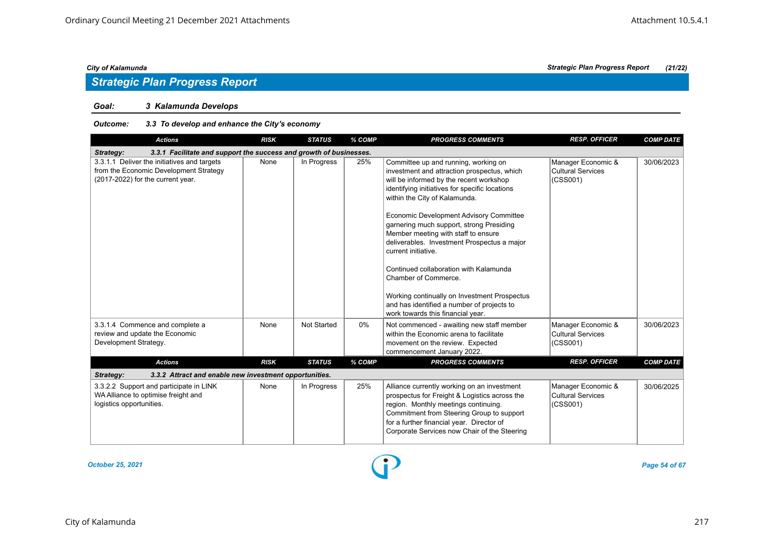## *Strategic Plan Progress Report*

### *Goal: 3 Kalamunda Develops*

### *Outcome: 3.3 To develop and enhance the City's economy*

| <b>Actions</b>                                                                                                             | <b>RISK</b> | <b>STATUS</b>      | % COMP | <b>PROGRESS COMMENTS</b>                                                                                                                                                                                                                                                                                                                                                                                                                                                                                                                                                                                                          | <b>RESP. OFFICER</b>                                       | <b>COMP DATE</b> |
|----------------------------------------------------------------------------------------------------------------------------|-------------|--------------------|--------|-----------------------------------------------------------------------------------------------------------------------------------------------------------------------------------------------------------------------------------------------------------------------------------------------------------------------------------------------------------------------------------------------------------------------------------------------------------------------------------------------------------------------------------------------------------------------------------------------------------------------------------|------------------------------------------------------------|------------------|
| 3.3.1 Facilitate and support the success and growth of businesses.<br>Strategy:                                            |             |                    |        |                                                                                                                                                                                                                                                                                                                                                                                                                                                                                                                                                                                                                                   |                                                            |                  |
| 3.3.1.1 Deliver the initiatives and targets<br>from the Economic Development Strategy<br>(2017-2022) for the current year. | None        | In Progress        | 25%    | Committee up and running, working on<br>investment and attraction prospectus, which<br>will be informed by the recent workshop<br>identifying initiatives for specific locations<br>within the City of Kalamunda.<br><b>Economic Development Advisory Committee</b><br>garnering much support, strong Presiding<br>Member meeting with staff to ensure<br>deliverables. Investment Prospectus a major<br>current initiative.<br>Continued collaboration with Kalamunda<br>Chamber of Commerce.<br>Working continually on Investment Prospectus<br>and has identified a number of projects to<br>work towards this financial year. | Manager Economic &<br>Cultural Services<br>(CSS001)        | 30/06/2023       |
| 3.3.1.4 Commence and complete a<br>review and update the Economic<br>Development Strategy.                                 | None        | <b>Not Started</b> | $0\%$  | Not commenced - awaiting new staff member<br>within the Economic arena to facilitate<br>movement on the review. Expected<br>commencement January 2022.                                                                                                                                                                                                                                                                                                                                                                                                                                                                            | Manager Economic &<br><b>Cultural Services</b><br>(CSS001) | 30/06/2023       |
| <b>Actions</b>                                                                                                             | <b>RISK</b> | <b>STATUS</b>      | % COMP | <b>PROGRESS COMMENTS</b>                                                                                                                                                                                                                                                                                                                                                                                                                                                                                                                                                                                                          | <b>RESP. OFFICER</b>                                       | <b>COMP DATE</b> |
| Strategy:<br>3.3.2 Attract and enable new investment opportunities.                                                        |             |                    |        |                                                                                                                                                                                                                                                                                                                                                                                                                                                                                                                                                                                                                                   |                                                            |                  |
| 3.3.2.2 Support and participate in LINK<br>WA Alliance to optimise freight and<br>logistics opportunities.                 | None        | In Progress        | 25%    | Alliance currently working on an investment<br>prospectus for Freight & Logistics across the<br>region. Monthly meetings continuing.<br>Commitment from Steering Group to support<br>for a further financial year. Director of<br>Corporate Services now Chair of the Steering                                                                                                                                                                                                                                                                                                                                                    | Manager Economic &<br><b>Cultural Services</b><br>(CSS001) | 30/06/2025       |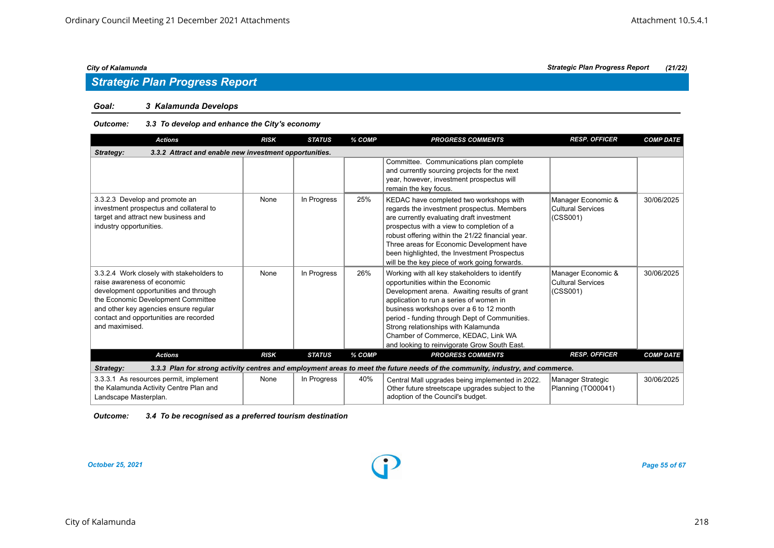## *Strategic Plan Progress Report*

### *Goal: 3 Kalamunda Develops*

### *Outcome: 3.3 To develop and enhance the City's economy*

| <b>Actions</b>                                                                                                                                                                                                                                               | <b>RISK</b> | <b>STATUS</b> | % COMP | <b>PROGRESS COMMENTS</b>                                                                                                                                                                                                                                                                                                                                                                                | <b>RESP. OFFICER</b>                                | <b>COMP DATE</b> |
|--------------------------------------------------------------------------------------------------------------------------------------------------------------------------------------------------------------------------------------------------------------|-------------|---------------|--------|---------------------------------------------------------------------------------------------------------------------------------------------------------------------------------------------------------------------------------------------------------------------------------------------------------------------------------------------------------------------------------------------------------|-----------------------------------------------------|------------------|
| 3.3.2 Attract and enable new investment opportunities.<br>Strategy:                                                                                                                                                                                          |             |               |        |                                                                                                                                                                                                                                                                                                                                                                                                         |                                                     |                  |
|                                                                                                                                                                                                                                                              |             |               |        | Committee. Communications plan complete<br>and currently sourcing projects for the next<br>year, however, investment prospectus will<br>remain the key focus.                                                                                                                                                                                                                                           |                                                     |                  |
| 3.3.2.3 Develop and promote an<br>investment prospectus and collateral to<br>target and attract new business and<br>industry opportunities.                                                                                                                  | None        | In Progress   | 25%    | KEDAC have completed two workshops with<br>regards the investment prospectus. Members<br>are currently evaluating draft investment<br>prospectus with a view to completion of a<br>robust offering within the 21/22 financial year.<br>Three areas for Economic Development have<br>been highlighted, the Investment Prospectus<br>will be the key piece of work going forwards.                        | Manager Economic &<br>Cultural Services<br>(CSS001) | 30/06/2025       |
| 3.3.2.4 Work closely with stakeholders to<br>raise awareness of economic<br>development opportunities and through<br>the Economic Development Committee<br>and other key agencies ensure regular<br>contact and opportunities are recorded<br>and maximised. | None        | In Progress   | 26%    | Working with all key stakeholders to identify<br>opportunities within the Economic<br>Development arena. Awaiting results of grant<br>application to run a series of women in<br>business workshops over a 6 to 12 month<br>period - funding through Dept of Communities.<br>Strong relationships with Kalamunda<br>Chamber of Commerce, KEDAC, Link WA<br>and looking to reinvigorate Grow South East. | Manager Economic &<br>Cultural Services<br>(CSS001) | 30/06/2025       |
| <b>Actions</b>                                                                                                                                                                                                                                               | <b>RISK</b> | <b>STATUS</b> | % COMP | <b>PROGRESS COMMENTS</b>                                                                                                                                                                                                                                                                                                                                                                                | <b>RESP. OFFICER</b>                                | <b>COMP DATE</b> |
| Strategy:                                                                                                                                                                                                                                                    |             |               |        | 3.3.3 Plan for strong activity centres and employment areas to meet the future needs of the community, industry, and commerce.                                                                                                                                                                                                                                                                          |                                                     |                  |
| 3.3.3.1 As resources permit, implement<br>the Kalamunda Activity Centre Plan and<br>Landscape Masterplan.                                                                                                                                                    | None        | In Progress   | 40%    | Central Mall upgrades being implemented in 2022.<br>Other future streetscape upgrades subject to the<br>adoption of the Council's budget.                                                                                                                                                                                                                                                               | Manager Strategic<br>Planning (TO00041)             | 30/06/2025       |

| Outcome: |  |  | 3.4 To be recognised as a preferred tourism destination |
|----------|--|--|---------------------------------------------------------|
|          |  |  |                                                         |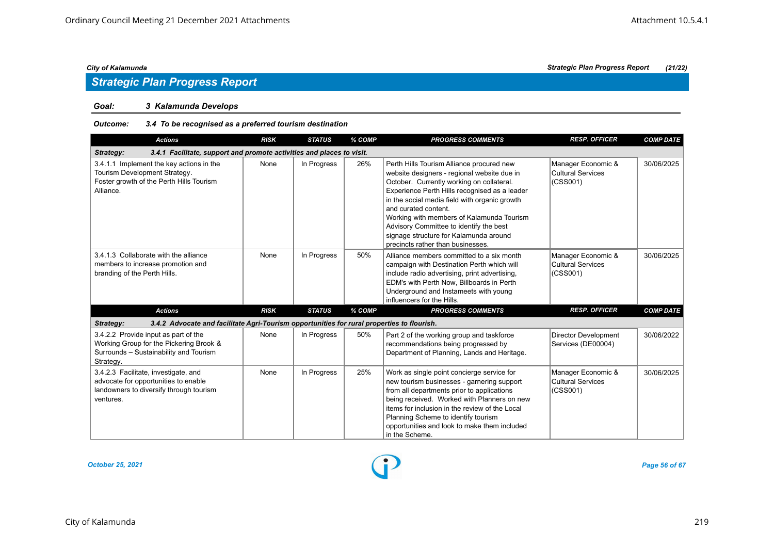## *Strategic Plan Progress Report*

### *Goal: 3 Kalamunda Develops*

### *Outcome: 3.4 To be recognised as a preferred tourism destination*

| <b>Actions</b>                                                                                                                         | <b>RISK</b> | <b>STATUS</b> | % COMP | <b>PROGRESS COMMENTS</b>                                                                                                                                                                                                                                                                                                                                                                                                               | <b>RESP. OFFICER</b>                                       | <b>COMP DATE</b> |  |  |  |  |
|----------------------------------------------------------------------------------------------------------------------------------------|-------------|---------------|--------|----------------------------------------------------------------------------------------------------------------------------------------------------------------------------------------------------------------------------------------------------------------------------------------------------------------------------------------------------------------------------------------------------------------------------------------|------------------------------------------------------------|------------------|--|--|--|--|
| 3.4.1 Facilitate, support and promote activities and places to visit.<br>Strategy:                                                     |             |               |        |                                                                                                                                                                                                                                                                                                                                                                                                                                        |                                                            |                  |  |  |  |  |
| 3.4.1.1 Implement the key actions in the<br>Tourism Development Strategy.<br>Foster growth of the Perth Hills Tourism<br>Alliance.     | None        | In Progress   | 26%    | Perth Hills Tourism Alliance procured new<br>website designers - regional website due in<br>October. Currently working on collateral.<br>Experience Perth Hills recognised as a leader<br>in the social media field with organic growth<br>and curated content.<br>Working with members of Kalamunda Tourism<br>Advisory Committee to identify the best<br>signage structure for Kalamunda around<br>precincts rather than businesses. | Manager Economic &<br><b>Cultural Services</b><br>(CSS001) | 30/06/2025       |  |  |  |  |
| 3.4.1.3 Collaborate with the alliance<br>members to increase promotion and<br>branding of the Perth Hills.                             | None        | In Progress   | 50%    | Alliance members committed to a six month<br>campaign with Destination Perth which will<br>include radio advertising, print advertising,<br>EDM's with Perth Now, Billboards in Perth<br>Underground and Instameets with young<br>influencers for the Hills.                                                                                                                                                                           | Manager Economic &<br>Cultural Services<br>(CSS001)        | 30/06/2025       |  |  |  |  |
| <b>Actions</b>                                                                                                                         | <b>RISK</b> | <b>STATUS</b> | % COMP | <b>PROGRESS COMMENTS</b>                                                                                                                                                                                                                                                                                                                                                                                                               | <b>RESP. OFFICER</b>                                       | <b>COMP DATE</b> |  |  |  |  |
| 3.4.2 Advocate and facilitate Agri-Tourism opportunities for rural properties to flourish.<br>Strategy:                                |             |               |        |                                                                                                                                                                                                                                                                                                                                                                                                                                        |                                                            |                  |  |  |  |  |
| 3.4.2.2 Provide input as part of the<br>Working Group for the Pickering Brook &<br>Surrounds - Sustainability and Tourism<br>Strategy. | None        | In Progress   | 50%    | Part 2 of the working group and taskforce<br>recommendations being progressed by<br>Department of Planning, Lands and Heritage.                                                                                                                                                                                                                                                                                                        | Director Development<br>Services (DE00004)                 | 30/06/2022       |  |  |  |  |
| 3.4.2.3 Facilitate, investigate, and<br>advocate for opportunities to enable<br>landowners to diversify through tourism<br>ventures.   | None        | In Progress   | 25%    | Work as single point concierge service for<br>new tourism businesses - garnering support<br>from all departments prior to applications<br>being received. Worked with Planners on new<br>items for inclusion in the review of the Local<br>Planning Scheme to identify tourism<br>opportunities and look to make them included<br>in the Scheme.                                                                                       | Manager Economic &<br><b>Cultural Services</b><br>(CSS001) | 30/06/2025       |  |  |  |  |

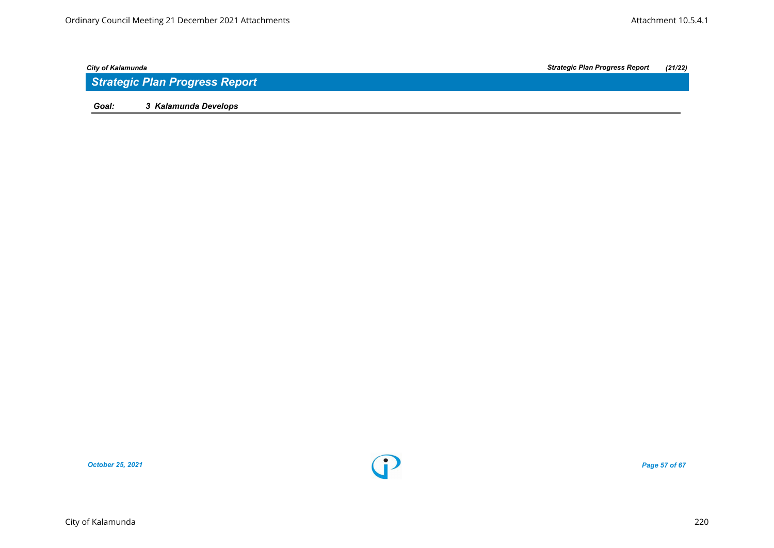| City of Kalamunda |                                | <b>Strategic Plan Progress Report</b> | (21/22) |
|-------------------|--------------------------------|---------------------------------------|---------|
|                   | Strategic Plan Progress Report |                                       |         |
| Goal:             | 3 Kalamunda Develops           |                                       |         |

*October 25, 2021 Page 57 of 67*

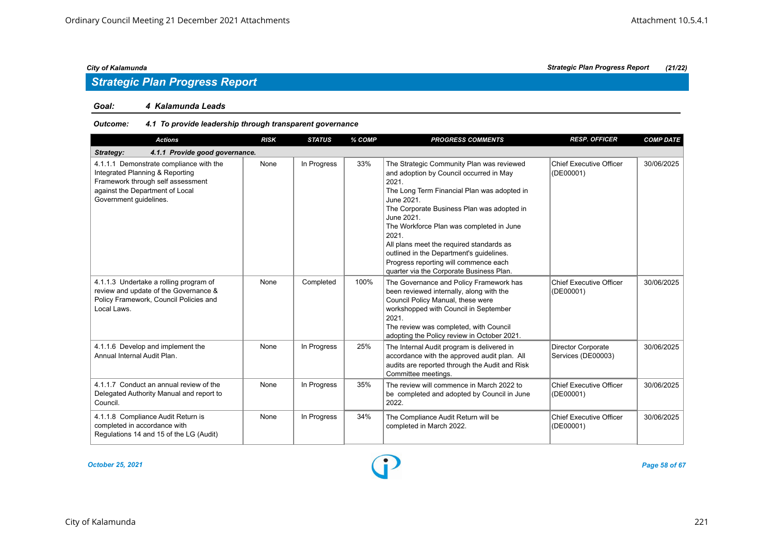### *Goal: 4 Kalamunda Leads*

### *Outcome: 4.1 To provide leadership through transparent governance*

| <b>Actions</b>                                                                                                                                                               | <b>RISK</b> | <b>STATUS</b> | % COMP | <b>PROGRESS COMMENTS</b>                                                                                                                                                                                                                                                                                                                                                                                                                                 | <b>RESP. OFFICER</b>                        | <b>COMP DATE</b> |
|------------------------------------------------------------------------------------------------------------------------------------------------------------------------------|-------------|---------------|--------|----------------------------------------------------------------------------------------------------------------------------------------------------------------------------------------------------------------------------------------------------------------------------------------------------------------------------------------------------------------------------------------------------------------------------------------------------------|---------------------------------------------|------------------|
| 4.1.1 Provide good governance.<br>Strategy:                                                                                                                                  |             |               |        |                                                                                                                                                                                                                                                                                                                                                                                                                                                          |                                             |                  |
| 4.1.1.1 Demonstrate compliance with the<br>Integrated Planning & Reporting<br>Framework through self assessment<br>against the Department of Local<br>Government guidelines. | None        | In Progress   | 33%    | The Strategic Community Plan was reviewed<br>and adoption by Council occurred in May<br>2021.<br>The Long Term Financial Plan was adopted in<br>June 2021.<br>The Corporate Business Plan was adopted in<br>June 2021.<br>The Workforce Plan was completed in June<br>2021.<br>All plans meet the required standards as<br>outlined in the Department's guidelines.<br>Progress reporting will commence each<br>quarter via the Corporate Business Plan. | <b>Chief Executive Officer</b><br>(DE00001) | 30/06/2025       |
| 4.1.1.3 Undertake a rolling program of<br>review and update of the Governance &<br>Policy Framework, Council Policies and<br>Local Laws.                                     | None        | Completed     | 100%   | The Governance and Policy Framework has<br>been reviewed internally, along with the<br>Council Policy Manual, these were<br>workshopped with Council in September<br>2021.<br>The review was completed, with Council<br>adopting the Policy review in October 2021.                                                                                                                                                                                      | <b>Chief Executive Officer</b><br>(DE00001) | 30/06/2025       |
| 4.1.1.6 Develop and implement the<br>Annual Internal Audit Plan.                                                                                                             | None        | In Progress   | 25%    | The Internal Audit program is delivered in<br>accordance with the approved audit plan. All<br>audits are reported through the Audit and Risk<br>Committee meetings.                                                                                                                                                                                                                                                                                      | Director Corporate<br>Services (DE00003)    | 30/06/2025       |
| 4.1.1.7 Conduct an annual review of the<br>Delegated Authority Manual and report to<br>Council.                                                                              | None        | In Progress   | 35%    | The review will commence in March 2022 to<br>be completed and adopted by Council in June<br>2022.                                                                                                                                                                                                                                                                                                                                                        | Chief Executive Officer<br>(DE00001)        | 30/06/2025       |
| 4.1.1.8 Compliance Audit Return is<br>completed in accordance with<br>Regulations 14 and 15 of the LG (Audit)                                                                | None        | In Progress   | 34%    | The Compliance Audit Return will be<br>completed in March 2022.                                                                                                                                                                                                                                                                                                                                                                                          | Chief Executive Officer<br>(DE00001)        | 30/06/2025       |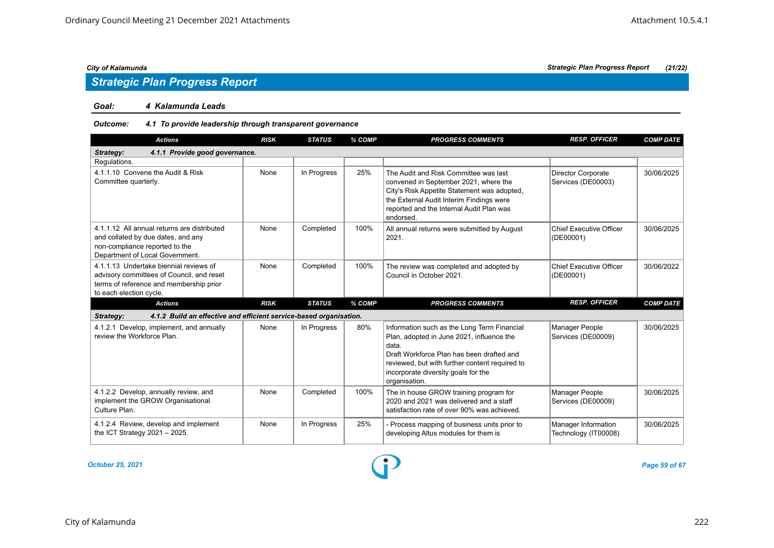### *Goal: 4 Kalamunda Leads*

### *Outcome: 4.1 To provide leadership through transparent governance*

| <b>Actions</b>                                                                                                                                            | <b>RISK</b> | <b>STATUS</b> | % COMP | <b>PROGRESS COMMENTS</b>                                                                                                                                                                                                                                 | <b>RESP. OFFICER</b>                            | <b>COMP DATE</b> |
|-----------------------------------------------------------------------------------------------------------------------------------------------------------|-------------|---------------|--------|----------------------------------------------------------------------------------------------------------------------------------------------------------------------------------------------------------------------------------------------------------|-------------------------------------------------|------------------|
| 4.1.1 Provide good governance.<br>Strategy:                                                                                                               |             |               |        |                                                                                                                                                                                                                                                          |                                                 |                  |
| Regulations.                                                                                                                                              |             |               |        |                                                                                                                                                                                                                                                          |                                                 |                  |
| 4.1.1.10 Convene the Audit & Risk<br>Committee quarterly.                                                                                                 | None        | In Progress   | 25%    | The Audit and Risk Committee was last<br>convened in September 2021, where the<br>City's Risk Appetite Statement was adopted,<br>the External Audit Interim Findings were<br>reported and the Internal Audit Plan was<br>endorsed.                       | <b>Director Corporate</b><br>Services (DE00003) | 30/06/2025       |
| 4.1.1.12 All annual returns are distributed<br>and collated by due dates, and any<br>non-compliance reported to the<br>Department of Local Government.    | None        | Completed     | 100%   | All annual returns were submitted by August<br>2021.                                                                                                                                                                                                     | <b>Chief Executive Officer</b><br>(DE00001)     | 30/06/2025       |
| 4.1.1.13 Undertake biennial reviews of<br>advisory committees of Council, and reset<br>terms of reference and membership prior<br>to each election cycle. | None        | Completed     | 100%   | The review was completed and adopted by<br>Council in October 2021.                                                                                                                                                                                      | <b>Chief Executive Officer</b><br>(DE00001)     | 30/06/2022       |
| <b>Actions</b>                                                                                                                                            | <b>RISK</b> | <b>STATUS</b> | % COMP | <b>PROGRESS COMMENTS</b>                                                                                                                                                                                                                                 | <b>RESP. OFFICER</b>                            | <b>COMP DATE</b> |
| 4.1.2 Build an effective and efficient service-based organisation.<br>Strategy:                                                                           |             |               |        |                                                                                                                                                                                                                                                          |                                                 |                  |
| 4.1.2.1 Develop, implement, and annually<br>review the Workforce Plan.                                                                                    | None        | In Progress   | 80%    | Information such as the Long Term Financial<br>Plan, adopted in June 2021, influence the<br>data.<br>Draft Workforce Plan has been drafted and<br>reviewed, but with further content required to<br>incorporate diversity goals for the<br>organisation. | Manager People<br>Services (DE00009)            | 30/06/2025       |
| 4.1.2.2 Develop, annually review, and<br>implement the GROW Organisational<br>Culture Plan.                                                               | None        | Completed     | 100%   | The in house GROW training program for<br>2020 and 2021 was delivered and a staff<br>satisfaction rate of over 90% was achieved.                                                                                                                         | Manager People<br>Services (DE00009)            | 30/06/2025       |
| 4.1.2.4 Review, develop and implement<br>the ICT Strategy $2021 - 2025$ .                                                                                 | None        | In Progress   | 25%    | - Process mapping of business units prior to<br>developing Altus modules for them is                                                                                                                                                                     | Manager Information<br>Technology (IT00008)     | 30/06/2025       |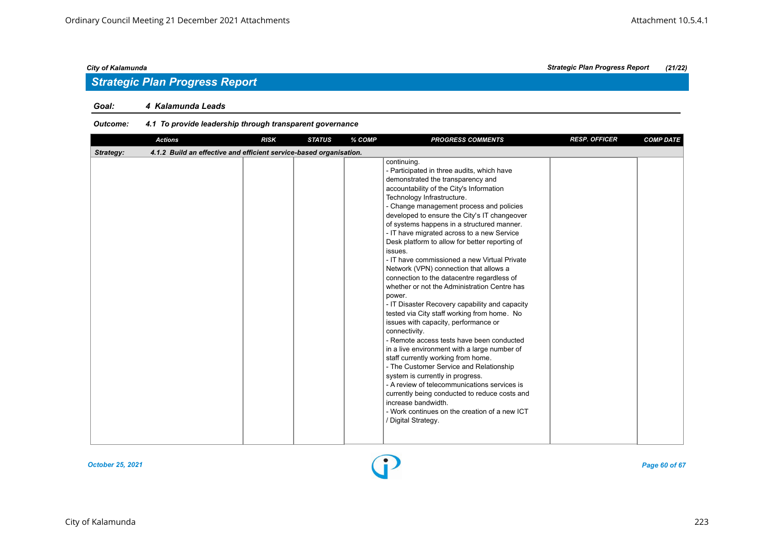## *Strategic Plan Progress Report*

### *Goal: 4 Kalamunda Leads*

### *Outcome: 4.1 To provide leadership through transparent governance*

| <b>Actions</b>                                                                  | <b>RISK</b> | <b>STATUS</b> | % COMP | <b>PROGRESS COMMENTS</b>                                                                                                                                                                                                                                                                                                                                                                                                                                                                                                                                                                                                                                                                                                                                                                                                                                                                                                                                                                                                                                                                                                                                                                                    | <b>RESP. OFFICER</b> | <b>COMP DATE</b> |
|---------------------------------------------------------------------------------|-------------|---------------|--------|-------------------------------------------------------------------------------------------------------------------------------------------------------------------------------------------------------------------------------------------------------------------------------------------------------------------------------------------------------------------------------------------------------------------------------------------------------------------------------------------------------------------------------------------------------------------------------------------------------------------------------------------------------------------------------------------------------------------------------------------------------------------------------------------------------------------------------------------------------------------------------------------------------------------------------------------------------------------------------------------------------------------------------------------------------------------------------------------------------------------------------------------------------------------------------------------------------------|----------------------|------------------|
| 4.1.2 Build an effective and efficient service-based organisation.<br>Strategy: |             |               |        |                                                                                                                                                                                                                                                                                                                                                                                                                                                                                                                                                                                                                                                                                                                                                                                                                                                                                                                                                                                                                                                                                                                                                                                                             |                      |                  |
|                                                                                 |             |               |        | continuing.<br>- Participated in three audits, which have<br>demonstrated the transparency and<br>accountability of the City's Information<br>Technology Infrastructure.<br>- Change management process and policies<br>developed to ensure the City's IT changeover<br>of systems happens in a structured manner.<br>- IT have migrated across to a new Service<br>Desk platform to allow for better reporting of<br>issues.<br>- IT have commissioned a new Virtual Private<br>Network (VPN) connection that allows a<br>connection to the datacentre regardless of<br>whether or not the Administration Centre has<br>power.<br>- IT Disaster Recovery capability and capacity<br>tested via City staff working from home. No<br>issues with capacity, performance or<br>connectivity.<br>- Remote access tests have been conducted<br>in a live environment with a large number of<br>staff currently working from home.<br>- The Customer Service and Relationship<br>system is currently in progress.<br>- A review of telecommunications services is<br>currently being conducted to reduce costs and<br>increase bandwidth.<br>- Work continues on the creation of a new ICT<br>/ Digital Strategy. |                      |                  |

#### *October 25, 2021 Page 60 of 67*

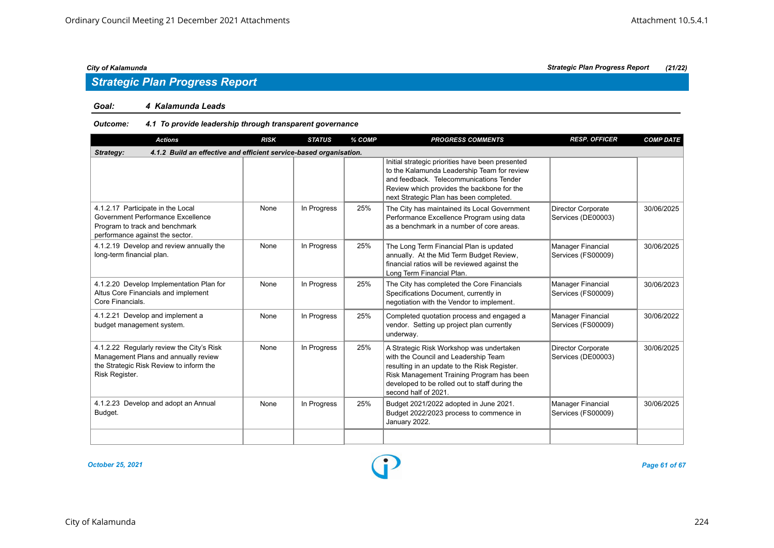## *Strategic Plan Progress Report*

#### *Goal: 4 Kalamunda Leads*

### *Outcome: 4.1 To provide leadership through transparent governance*

| <b>Actions</b>                                                                                                                                 | <b>RISK</b> | <b>STATUS</b> | % COMP | <b>PROGRESS COMMENTS</b>                                                                                                                                                                                                                                | <b>RESP. OFFICER</b>                            | <b>COMP DATE</b> |  |  |  |  |
|------------------------------------------------------------------------------------------------------------------------------------------------|-------------|---------------|--------|---------------------------------------------------------------------------------------------------------------------------------------------------------------------------------------------------------------------------------------------------------|-------------------------------------------------|------------------|--|--|--|--|
| Strategy:<br>4.1.2 Build an effective and efficient service-based organisation.                                                                |             |               |        |                                                                                                                                                                                                                                                         |                                                 |                  |  |  |  |  |
|                                                                                                                                                |             |               |        | Initial strategic priorities have been presented<br>to the Kalamunda Leadership Team for review<br>and feedback. Telecommunications Tender<br>Review which provides the backbone for the<br>next Strategic Plan has been completed.                     |                                                 |                  |  |  |  |  |
| 4.1.2.17 Participate in the Local<br>Government Performance Excellence<br>Program to track and benchmark<br>performance against the sector.    | None        | In Progress   | 25%    | The City has maintained its Local Government<br>Performance Excellence Program using data<br>as a benchmark in a number of core areas.                                                                                                                  | Director Corporate<br>Services (DE00003)        | 30/06/2025       |  |  |  |  |
| 4.1.2.19 Develop and review annually the<br>long-term financial plan.                                                                          | None        | In Progress   | 25%    | The Long Term Financial Plan is updated<br>annually. At the Mid Term Budget Review,<br>financial ratios will be reviewed against the<br>Long Term Financial Plan.                                                                                       | Manager Financial<br>Services (FS00009)         | 30/06/2025       |  |  |  |  |
| 4.1.2.20 Develop Implementation Plan for<br>Altus Core Financials and implement<br>Core Financials.                                            | None        | In Progress   | 25%    | The City has completed the Core Financials<br>Specifications Document, currently in<br>negotiation with the Vendor to implement.                                                                                                                        | Manager Financial<br>Services (FS00009)         | 30/06/2023       |  |  |  |  |
| 4.1.2.21 Develop and implement a<br>budget management system.                                                                                  | None        | In Progress   | 25%    | Completed quotation process and engaged a<br>vendor. Setting up project plan currently<br>underway.                                                                                                                                                     | Manager Financial<br>Services (FS00009)         | 30/06/2022       |  |  |  |  |
| 4.1.2.22 Regularly review the City's Risk<br>Management Plans and annually review<br>the Strategic Risk Review to inform the<br>Risk Register. | None        | In Progress   | 25%    | A Strategic Risk Workshop was undertaken<br>with the Council and Leadership Team<br>resulting in an update to the Risk Register.<br>Risk Management Training Program has been<br>developed to be rolled out to staff during the<br>second half of 2021. | <b>Director Corporate</b><br>Services (DE00003) | 30/06/2025       |  |  |  |  |
| 4.1.2.23 Develop and adopt an Annual<br>Budget.                                                                                                | None        | In Progress   | 25%    | Budget 2021/2022 adopted in June 2021.<br>Budget 2022/2023 process to commence in<br>January 2022.                                                                                                                                                      | Manager Financial<br>Services (FS00009)         | 30/06/2025       |  |  |  |  |
|                                                                                                                                                |             |               |        |                                                                                                                                                                                                                                                         |                                                 |                  |  |  |  |  |

*October 25, 2021 Page 61 of 67*

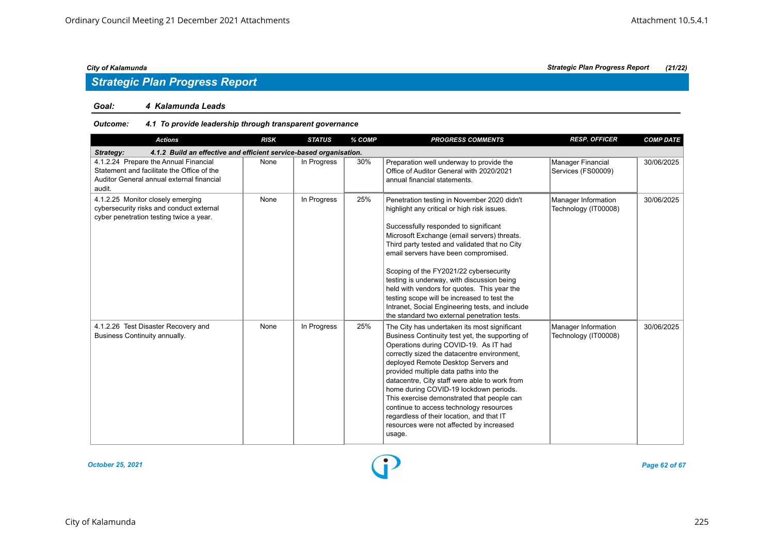### *Goal: 4 Kalamunda Leads*

### *Outcome: 4.1 To provide leadership through transparent governance*

| <b>Actions</b>                                                                                                                             | <b>RISK</b> | <b>STATUS</b> | % COMP | <b>PROGRESS COMMENTS</b>                                                                                                                                                                                                                                                                                                                                                                                                                                                                                                                                             | <b>RESP. OFFICER</b>                        | <b>COMP DATE</b> |
|--------------------------------------------------------------------------------------------------------------------------------------------|-------------|---------------|--------|----------------------------------------------------------------------------------------------------------------------------------------------------------------------------------------------------------------------------------------------------------------------------------------------------------------------------------------------------------------------------------------------------------------------------------------------------------------------------------------------------------------------------------------------------------------------|---------------------------------------------|------------------|
| 4.1.2 Build an effective and efficient service-based organisation.<br>Strategy:                                                            |             |               |        |                                                                                                                                                                                                                                                                                                                                                                                                                                                                                                                                                                      |                                             |                  |
| 4.1.2.24 Prepare the Annual Financial<br>Statement and facilitate the Office of the<br>Auditor General annual external financial<br>audit. | None        | In Progress   | 30%    | Preparation well underway to provide the<br>Office of Auditor General with 2020/2021<br>annual financial statements.                                                                                                                                                                                                                                                                                                                                                                                                                                                 | Manager Financial<br>Services (FS00009)     | 30/06/2025       |
| 4.1.2.25 Monitor closely emerging<br>cybersecurity risks and conduct external<br>cyber penetration testing twice a year.                   | None        | In Progress   | 25%    | Penetration testing in November 2020 didn't<br>highlight any critical or high risk issues.<br>Successfully responded to significant<br>Microsoft Exchange (email servers) threats.<br>Third party tested and validated that no City<br>email servers have been compromised.<br>Scoping of the FY2021/22 cybersecurity<br>testing is underway, with discussion being<br>held with vendors for quotes. This year the<br>testing scope will be increased to test the<br>Intranet, Social Engineering tests, and include<br>the standard two external penetration tests. | Manager Information<br>Technology (IT00008) | 30/06/2025       |
| 4.1.2.26 Test Disaster Recovery and<br>Business Continuity annually.                                                                       | None        | In Progress   | 25%    | The City has undertaken its most significant<br>Business Continuity test yet, the supporting of<br>Operations during COVID-19. As IT had<br>correctly sized the datacentre environment,<br>deployed Remote Desktop Servers and<br>provided multiple data paths into the<br>datacentre, City staff were able to work from<br>home during COVID-19 lockdown periods.<br>This exercise demonstrated that people can<br>continue to access technology resources<br>regardless of their location, and that IT<br>resources were not affected by increased<br>usage.       | Manager Information<br>Technology (IT00008) | 30/06/2025       |

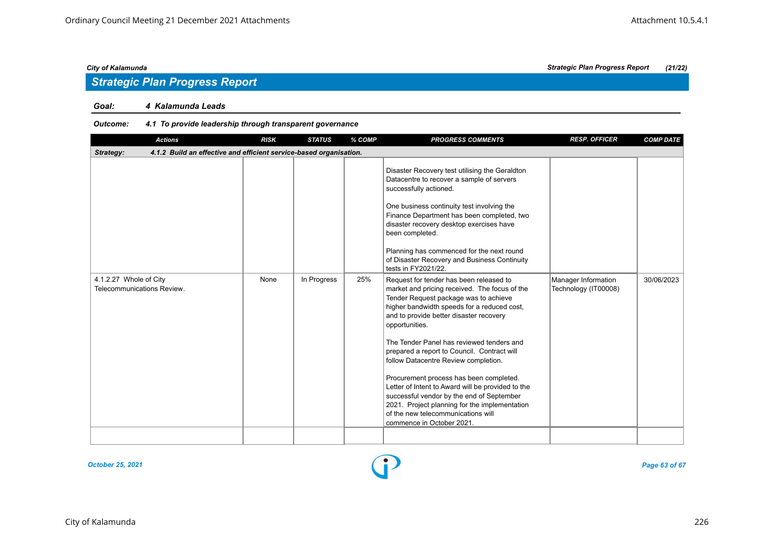## *Strategic Plan Progress Report*

### *Goal: 4 Kalamunda Leads*

### *Outcome: 4.1 To provide leadership through transparent governance*

| <b>Actions</b>                                                                  | <b>RISK</b> | <b>STATUS</b> | % COMP | <b>PROGRESS COMMENTS</b>                                                                                                                                                                                                                                                                                                                                                                                                                                                                                                                                                                                                                           | <b>RESP. OFFICER</b>                        | <b>COMP DATE</b> |
|---------------------------------------------------------------------------------|-------------|---------------|--------|----------------------------------------------------------------------------------------------------------------------------------------------------------------------------------------------------------------------------------------------------------------------------------------------------------------------------------------------------------------------------------------------------------------------------------------------------------------------------------------------------------------------------------------------------------------------------------------------------------------------------------------------------|---------------------------------------------|------------------|
| 4.1.2 Build an effective and efficient service-based organisation.<br>Strategy: |             |               |        |                                                                                                                                                                                                                                                                                                                                                                                                                                                                                                                                                                                                                                                    |                                             |                  |
|                                                                                 |             |               |        | Disaster Recovery test utilising the Geraldton<br>Datacentre to recover a sample of servers<br>successfully actioned.<br>One business continuity test involving the<br>Finance Department has been completed, two<br>disaster recovery desktop exercises have<br>been completed.<br>Planning has commenced for the next round<br>of Disaster Recovery and Business Continuity<br>tests in FY2021/22.                                                                                                                                                                                                                                               |                                             |                  |
| 4.1.2.27 Whole of City<br>Telecommunications Review.                            | None        | In Progress   | 25%    | Request for tender has been released to<br>market and pricing received. The focus of the<br>Tender Request package was to achieve<br>higher bandwidth speeds for a reduced cost,<br>and to provide better disaster recovery<br>opportunities.<br>The Tender Panel has reviewed tenders and<br>prepared a report to Council. Contract will<br>follow Datacentre Review completion.<br>Procurement process has been completed.<br>Letter of Intent to Award will be provided to the<br>successful vendor by the end of September<br>2021. Project planning for the implementation<br>of the new telecommunications will<br>commence in October 2021. | Manager Information<br>Technology (IT00008) | 30/06/2023       |
|                                                                                 |             |               |        |                                                                                                                                                                                                                                                                                                                                                                                                                                                                                                                                                                                                                                                    |                                             |                  |

*October 25, 2021 Page 63 of 67*

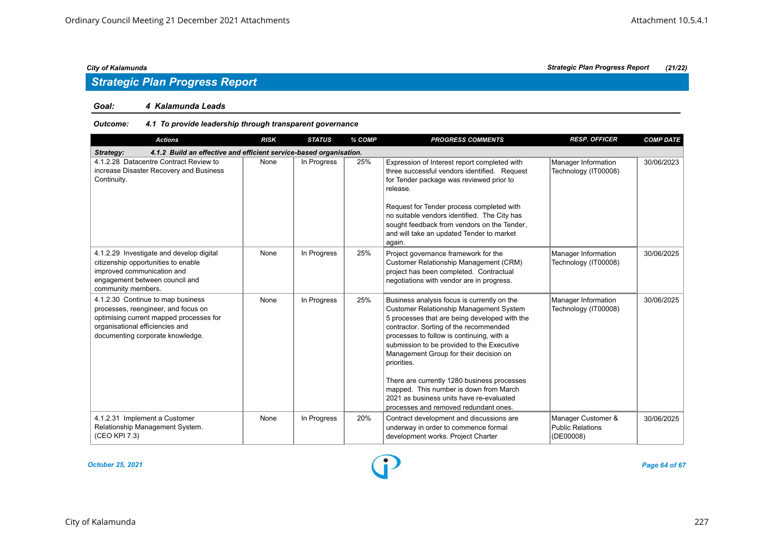#### *Goal: 4 Kalamunda Leads*

### *Outcome: 4.1 To provide leadership through transparent governance*

| <b>Actions</b>                                                                                                                                                                             | <b>RISK</b> | <b>STATUS</b> | % COMP | <b>PROGRESS COMMENTS</b>                                                                                                                                                                                                                                                                                                                                                                                                                                                                                                   | <b>RESP. OFFICER</b>                                       | <b>COMP DATE</b> |
|--------------------------------------------------------------------------------------------------------------------------------------------------------------------------------------------|-------------|---------------|--------|----------------------------------------------------------------------------------------------------------------------------------------------------------------------------------------------------------------------------------------------------------------------------------------------------------------------------------------------------------------------------------------------------------------------------------------------------------------------------------------------------------------------------|------------------------------------------------------------|------------------|
| 4.1.2 Build an effective and efficient service-based organisation.<br>Strategy:                                                                                                            |             |               |        |                                                                                                                                                                                                                                                                                                                                                                                                                                                                                                                            |                                                            |                  |
| 4.1.2.28 Datacentre Contract Review to<br>increase Disaster Recovery and Business<br>Continuity.                                                                                           | None        | In Progress   | 25%    | Expression of Interest report completed with<br>three successful vendors identified. Request<br>for Tender package was reviewed prior to<br>release.<br>Request for Tender process completed with<br>no suitable vendors identified. The City has<br>sought feedback from vendors on the Tender,<br>and will take an updated Tender to market<br>again.                                                                                                                                                                    | Manager Information<br>Technology (IT00008)                | 30/06/2023       |
| 4.1.2.29 Investigate and develop digital<br>citizenship opportunities to enable<br>improved communication and<br>engagement between council and<br>community members.                      | None        | In Progress   | 25%    | Project governance framework for the<br><b>Customer Relationship Management (CRM)</b><br>project has been completed. Contractual<br>negotiations with vendor are in progress.                                                                                                                                                                                                                                                                                                                                              | Manager Information<br>Technology (IT00008)                | 30/06/2025       |
| 4.1.2.30 Continue to map business<br>processes, reengineer, and focus on<br>optimising current mapped processes for<br>organisational efficiencies and<br>documenting corporate knowledge. | None        | In Progress   | 25%    | Business analysis focus is currently on the<br><b>Customer Relationship Management System</b><br>5 processes that are being developed with the<br>contractor. Sorting of the recommended<br>processes to follow is continuing, with a<br>submission to be provided to the Executive<br>Management Group for their decision on<br>priorities.<br>There are currently 1280 business processes<br>mapped. This number is down from March<br>2021 as business units have re-evaluated<br>processes and removed redundant ones. | Manager Information<br>Technology (IT00008)                | 30/06/2025       |
| 4.1.2.31 Implement a Customer<br>Relationship Management System.<br>(CEO KPI 7.3)                                                                                                          | None        | In Progress   | 20%    | Contract development and discussions are<br>underway in order to commence formal<br>development works. Project Charter                                                                                                                                                                                                                                                                                                                                                                                                     | Manager Customer &<br><b>Public Relations</b><br>(DE00008) | 30/06/2025       |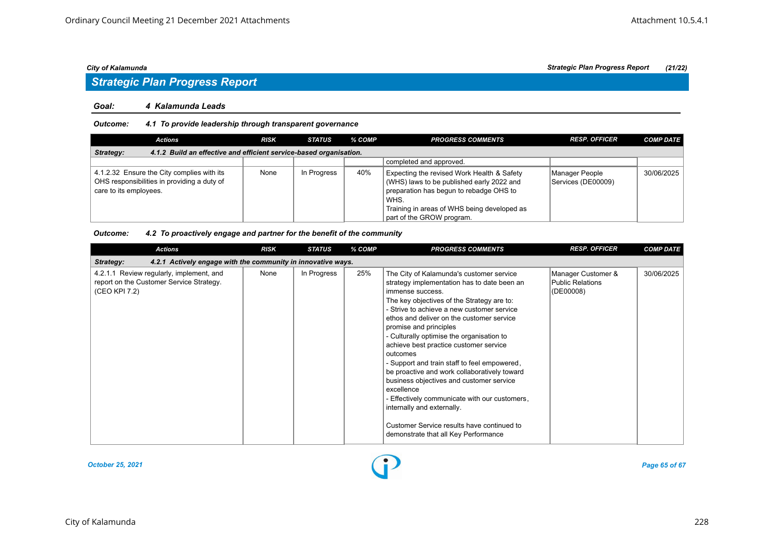## *Strategic Plan Progress Report*

### *Goal: 4 Kalamunda Leads*

#### *Outcome: 4.1 To provide leadership through transparent governance*

| <b>Actions</b>                                                                                                      | <b>RISK</b> | <b>STATUS</b> | % COMP | <b>PROGRESS COMMENTS</b>                                                                                                                                                                                               | <b>RESP. OFFICER</b>                 | <b>COMP DATE</b> |  |  |  |
|---------------------------------------------------------------------------------------------------------------------|-------------|---------------|--------|------------------------------------------------------------------------------------------------------------------------------------------------------------------------------------------------------------------------|--------------------------------------|------------------|--|--|--|
| 4.1.2 Build an effective and efficient service-based organisation.<br>Strategy:                                     |             |               |        |                                                                                                                                                                                                                        |                                      |                  |  |  |  |
|                                                                                                                     |             |               |        | completed and approved.                                                                                                                                                                                                |                                      |                  |  |  |  |
| 4.1.2.32 Ensure the City complies with its<br>OHS responsibilities in providing a duty of<br>care to its employees. | None        | In Progress   | 40%    | Expecting the revised Work Health & Safety<br>(WHS) laws to be published early 2022 and<br>preparation has begun to rebadge OHS to<br>WHS.<br>Training in areas of WHS being developed as<br>part of the GROW program. | Manager People<br>Services (DE00009) | 30/06/2025       |  |  |  |

#### *Outcome: 4.2 To proactively engage and partner for the benefit of the community*

| <b>Actions</b>                                                                                        | <b>RISK</b> | <b>STATUS</b> | % COMP | <b>PROGRESS COMMENTS</b>                                                                                                                                                                                                                                                                                                                                                                                                                                                                                                                                                                                                                                                                                         | <b>RESP. OFFICER</b>                                | <b>COMP DATE</b> |  |  |  |
|-------------------------------------------------------------------------------------------------------|-------------|---------------|--------|------------------------------------------------------------------------------------------------------------------------------------------------------------------------------------------------------------------------------------------------------------------------------------------------------------------------------------------------------------------------------------------------------------------------------------------------------------------------------------------------------------------------------------------------------------------------------------------------------------------------------------------------------------------------------------------------------------------|-----------------------------------------------------|------------------|--|--|--|
| 4.2.1 Actively engage with the community in innovative ways.<br>Strategy:                             |             |               |        |                                                                                                                                                                                                                                                                                                                                                                                                                                                                                                                                                                                                                                                                                                                  |                                                     |                  |  |  |  |
| 4.2.1.1 Review regularly, implement, and<br>report on the Customer Service Strategy.<br>(CEO KPI 7.2) | None        | In Progress   | 25%    | The City of Kalamunda's customer service<br>strategy implementation has to date been an<br>immense success.<br>The key objectives of the Strategy are to:<br>- Strive to achieve a new customer service<br>ethos and deliver on the customer service<br>promise and principles<br>- Culturally optimise the organisation to<br>achieve best practice customer service<br>outcomes<br>- Support and train staff to feel empowered,<br>be proactive and work collaboratively toward<br>business objectives and customer service<br>excellence<br>- Effectively communicate with our customers,<br>internally and externally.<br>Customer Service results have continued to<br>demonstrate that all Key Performance | Manager Customer &<br>Public Relations<br>(DE00008) | 30/06/2025       |  |  |  |

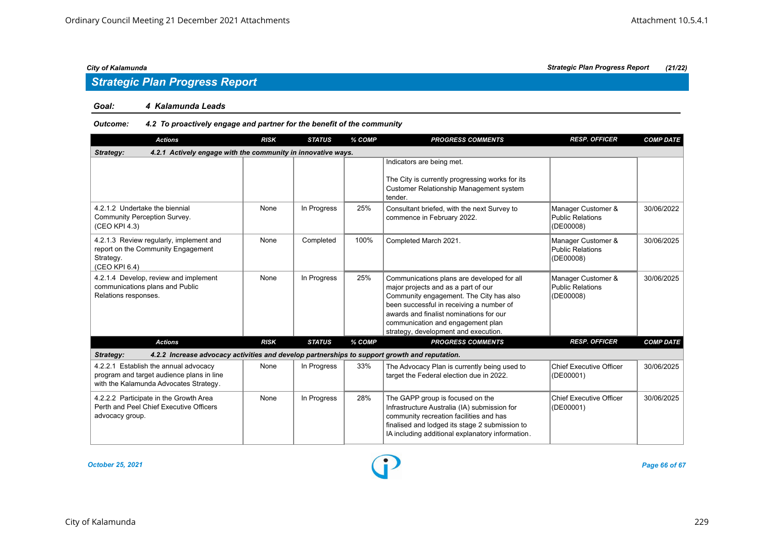## *Strategic Plan Progress Report*

### *Goal: 4 Kalamunda Leads*

### *Outcome: 4.2 To proactively engage and partner for the benefit of the community*

| <b>Actions</b>                                                                                                               | <b>RISK</b> | <b>STATUS</b> | % COMP | <b>PROGRESS COMMENTS</b>                                                                                                                                                                                                                                                                         | <b>RESP. OFFICER</b>                                       | <b>COMP DATE</b> |  |  |
|------------------------------------------------------------------------------------------------------------------------------|-------------|---------------|--------|--------------------------------------------------------------------------------------------------------------------------------------------------------------------------------------------------------------------------------------------------------------------------------------------------|------------------------------------------------------------|------------------|--|--|
| 4.2.1 Actively engage with the community in innovative ways.<br>Strategy:                                                    |             |               |        |                                                                                                                                                                                                                                                                                                  |                                                            |                  |  |  |
|                                                                                                                              |             |               |        | Indicators are being met.<br>The City is currently progressing works for its<br><b>Customer Relationship Management system</b><br>tender.                                                                                                                                                        |                                                            |                  |  |  |
| 4.2.1.2 Undertake the biennial<br>Community Perception Survey.<br>(CEO KPI 4.3)                                              | None        | In Progress   | 25%    | Consultant briefed, with the next Survey to<br>commence in February 2022.                                                                                                                                                                                                                        | Manager Customer &<br><b>Public Relations</b><br>(DE00008) | 30/06/2022       |  |  |
| 4.2.1.3 Review regularly, implement and<br>report on the Community Engagement<br>Strategy.<br>(CEO KPI 6.4)                  | None        | Completed     | 100%   | Completed March 2021.                                                                                                                                                                                                                                                                            | Manager Customer &<br><b>Public Relations</b><br>(DE00008) | 30/06/2025       |  |  |
| 4.2.1.4 Develop, review and implement<br>communications plans and Public<br>Relations responses.                             | None        | In Progress   | 25%    | Communications plans are developed for all<br>major projects and as a part of our<br>Community engagement. The City has also<br>been successful in receiving a number of<br>awards and finalist nominations for our<br>communication and engagement plan<br>strategy, development and execution. | Manager Customer &<br><b>Public Relations</b><br>(DE00008) | 30/06/2025       |  |  |
| <b>Actions</b>                                                                                                               | <b>RISK</b> | <b>STATUS</b> | % COMP | <b>PROGRESS COMMENTS</b>                                                                                                                                                                                                                                                                         | <b>RESP. OFFICER</b>                                       | <b>COMP DATE</b> |  |  |
| 4.2.2 Increase advocacy activities and develop partnerships to support growth and reputation.<br>Strategy:                   |             |               |        |                                                                                                                                                                                                                                                                                                  |                                                            |                  |  |  |
| 4.2.2.1 Establish the annual advocacy<br>program and target audience plans in line<br>with the Kalamunda Advocates Strategy. | None        | In Progress   | 33%    | The Advocacy Plan is currently being used to<br>target the Federal election due in 2022.                                                                                                                                                                                                         | Chief Executive Officer<br>(DE00001)                       | 30/06/2025       |  |  |
| 4.2.2.2 Participate in the Growth Area<br>Perth and Peel Chief Executive Officers<br>advocacy group.                         | None        | In Progress   | 28%    | The GAPP group is focused on the<br>Infrastructure Australia (IA) submission for<br>community recreation facilities and has<br>finalised and lodged its stage 2 submission to<br>IA including additional explanatory information.                                                                | <b>Chief Executive Officer</b><br>(DE00001)                | 30/06/2025       |  |  |